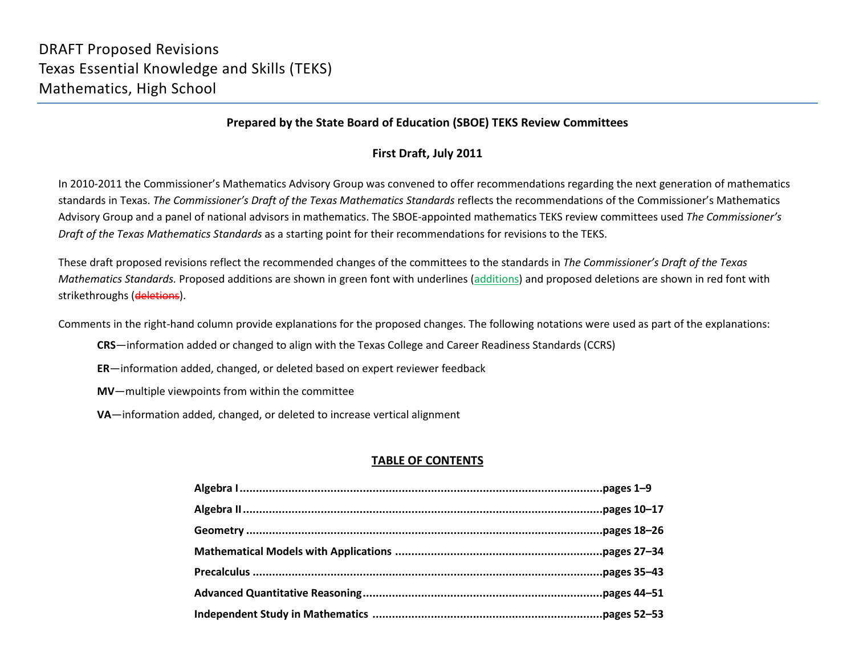#### **Prepared by the State Board of Education (SBOE) TEKS Review Committees**

#### **First Draft, July 2011**

In 2010-2011 the Commissioner's Mathematics Advisory Group was convened to offer recommendations regarding the next generation of mathematics standards in Texas. *The Commissioner's Draft of the Texas Mathematics Standards* reflects the recommendations of the Commissioner's Mathematics Advisory Group and a panel of national advisors in mathematics. The SBOE-appointed mathematics TEKS review committees used *The Commissioner's Draft of the Texas Mathematics Standards* as a starting point for their recommendations for revisions to the TEKS.

These draft proposed revisions reflect the recommended changes of the committees to the standards in *The Commissioner's Draft of the Texas Mathematics Standards.* Proposed additions are shown in green font with underlines (additions) and proposed deletions are shown in red font with strikethroughs (deletions).

Comments in the right-hand column provide explanations for the proposed changes. The following notations were used as part of the explanations:

- **CRS**—information added or changed to align with the Texas College and Career Readiness Standards (CCRS)
- **ER**—information added, changed, or deleted based on expert reviewer feedback
- **MV**—multiple viewpoints from within the committee
- **VA**—information added, changed, or deleted to increase vertical alignment

### **TABLE OF CONTENTS**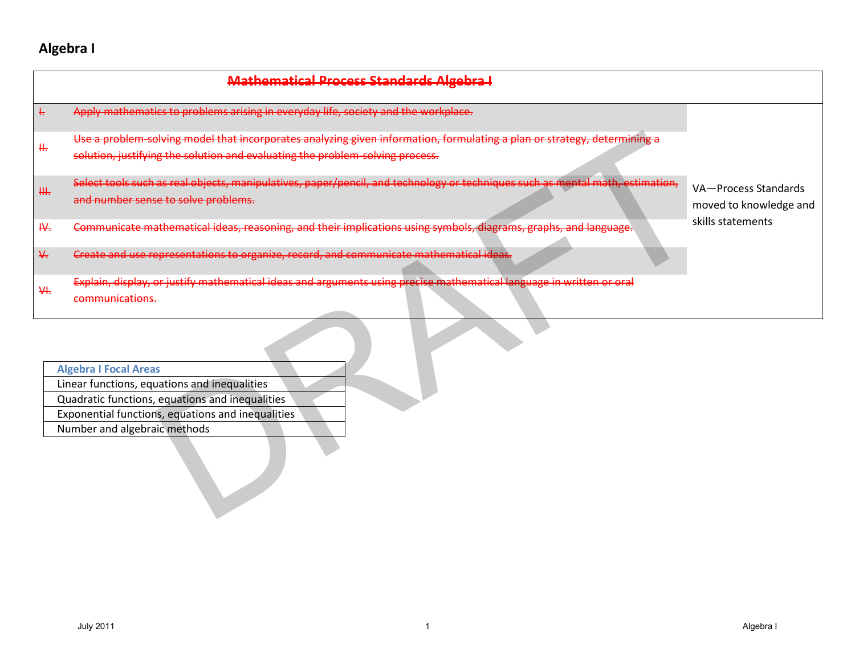# **Algebra I**

|                                      | <b>Mathematical Process Standards Algebra I</b>                                                                                                                                                                      |                                                |
|--------------------------------------|----------------------------------------------------------------------------------------------------------------------------------------------------------------------------------------------------------------------|------------------------------------------------|
| $\frac{1}{15}$                       | Apply mathematics to problems arising in everyday life, society and the workplace.                                                                                                                                   |                                                |
| Щ.                                   | Use a problem-solving model that incorporates analyzing given information, formulating a plan or strategy, determining a<br>solution, justifying the solution and evaluating the problem-solving process.            |                                                |
| ₩.                                   | Select tools such as real objects, manipulatives, paper/pencil, and technology or techniques such as mental math, estimation,<br>and number sense to solve problems.                                                 | VA-Process Standards<br>moved to knowledge and |
| H.                                   | Communicate mathematical ideas, reasoning, and their implications using symbols, diagrams, graphs, and language.                                                                                                     | skills statements                              |
| $\frac{\mathsf{V}}{\mathsf{V}\cdot}$ | Create and use representations to organize, record, and communicate mathematical ideas.                                                                                                                              |                                                |
| H.                                   | Explain, display, or justify mathematical ideas and arguments using precise mathematical language in written or oral<br>communications.                                                                              |                                                |
|                                      | <b>Algebra I Focal Areas</b><br>Linear functions, equations and inequalities<br>Quadratic functions, equations and inequalities<br>Exponential functions, equations and inequalities<br>Number and algebraic methods |                                                |
|                                      | <b>July 2011</b>                                                                                                                                                                                                     | Algebra I                                      |

| <b>Algebra I Focal Areas</b>                      |  |
|---------------------------------------------------|--|
| Linear functions, equations and inequalities      |  |
| Quadratic functions, equations and inequalities   |  |
| Exponential functions, equations and inequalities |  |
| Number and algebraic methods                      |  |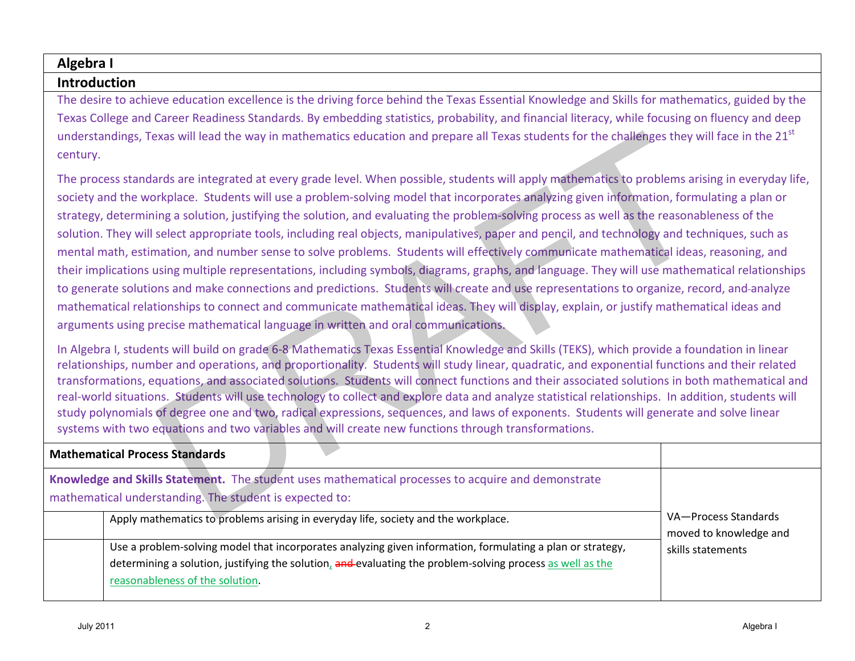#### **Algebra I**

#### **Introduction**

The desire to achieve education excellence is the driving force behind the Texas Essential Knowledge and Skills for mathematics, guided by the Texas College and Career Readiness Standards. By embedding statistics, probability, and financial literacy, while focusing on fluency and deep understandings, Texas will lead the way in mathematics education and prepare all Texas students for the challenges they will face in the 21<sup>st</sup> century.

| understandings, Texas will lead the way in mathematics education and prepare all Texas students for the challenges they will face in the 21 <sup>st</sup><br>century.                                                                                                                                                                                                                                                                                                                                                                                                                                                                                                                                                                                                                                                                                                                                                                                                                                                                                                                                                                                                                                                                                               |                                                |  |
|---------------------------------------------------------------------------------------------------------------------------------------------------------------------------------------------------------------------------------------------------------------------------------------------------------------------------------------------------------------------------------------------------------------------------------------------------------------------------------------------------------------------------------------------------------------------------------------------------------------------------------------------------------------------------------------------------------------------------------------------------------------------------------------------------------------------------------------------------------------------------------------------------------------------------------------------------------------------------------------------------------------------------------------------------------------------------------------------------------------------------------------------------------------------------------------------------------------------------------------------------------------------|------------------------------------------------|--|
| The process standards are integrated at every grade level. When possible, students will apply mathematics to problems arising in everyday life,<br>society and the workplace. Students will use a problem-solving model that incorporates analyzing given information, formulating a plan or<br>strategy, determining a solution, justifying the solution, and evaluating the problem-solving process as well as the reasonableness of the<br>solution. They will select appropriate tools, including real objects, manipulatives, paper and pencil, and technology and techniques, such as<br>mental math, estimation, and number sense to solve problems. Students will effectively communicate mathematical ideas, reasoning, and<br>their implications using multiple representations, including symbols, diagrams, graphs, and language. They will use mathematical relationships<br>to generate solutions and make connections and predictions. Students will create and use representations to organize, record, and-analyze<br>mathematical relationships to connect and communicate mathematical ideas. They will display, explain, or justify mathematical ideas and<br>arguments using precise mathematical language in written and oral communications. |                                                |  |
| In Algebra I, students will build on grade 6-8 Mathematics Texas Essential Knowledge and Skills (TEKS), which provide a foundation in linear<br>relationships, number and operations, and proportionality. Students will study linear, quadratic, and exponential functions and their related<br>transformations, equations, and associated solutions. Students will connect functions and their associated solutions in both mathematical and<br>real-world situations. Students will use technology to collect and explore data and analyze statistical relationships. In addition, students will<br>study polynomials of degree one and two, radical expressions, sequences, and laws of exponents. Students will generate and solve linear<br>systems with two equations and two variables and will create new functions through transformations.                                                                                                                                                                                                                                                                                                                                                                                                               |                                                |  |
| <b>Mathematical Process Standards</b>                                                                                                                                                                                                                                                                                                                                                                                                                                                                                                                                                                                                                                                                                                                                                                                                                                                                                                                                                                                                                                                                                                                                                                                                                               |                                                |  |
| Knowledge and Skills Statement. The student uses mathematical processes to acquire and demonstrate<br>mathematical understanding. The student is expected to:                                                                                                                                                                                                                                                                                                                                                                                                                                                                                                                                                                                                                                                                                                                                                                                                                                                                                                                                                                                                                                                                                                       |                                                |  |
| Apply mathematics to problems arising in everyday life, society and the workplace.                                                                                                                                                                                                                                                                                                                                                                                                                                                                                                                                                                                                                                                                                                                                                                                                                                                                                                                                                                                                                                                                                                                                                                                  | VA-Process Standards<br>moved to knowledge and |  |
| Use a problem-solving model that incorporates analyzing given information, formulating a plan or strategy,<br>determining a solution, justifying the solution, and evaluating the problem-solving process as well as the<br>reasonableness of the solution.                                                                                                                                                                                                                                                                                                                                                                                                                                                                                                                                                                                                                                                                                                                                                                                                                                                                                                                                                                                                         | skills statements                              |  |
| <b>July 2011</b><br>$\overline{2}$                                                                                                                                                                                                                                                                                                                                                                                                                                                                                                                                                                                                                                                                                                                                                                                                                                                                                                                                                                                                                                                                                                                                                                                                                                  | Algebra I                                      |  |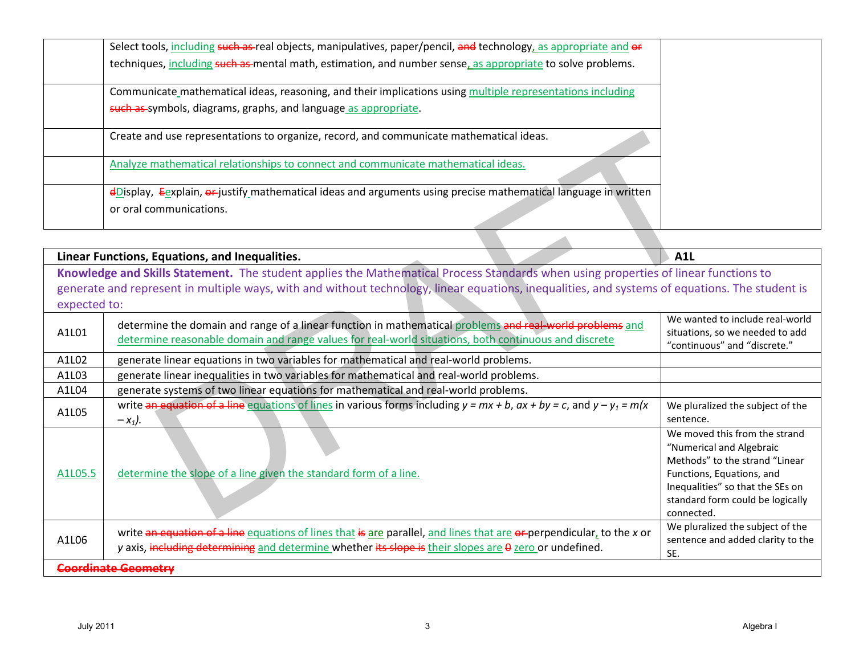| Select tools, including such as real objects, manipulatives, paper/pencil, and technology, as appropriate and or |  |
|------------------------------------------------------------------------------------------------------------------|--|
| techniques, including such as mental math, estimation, and number sense, as appropriate to solve problems.       |  |
| Communicate mathematical ideas, reasoning, and their implications using multiple representations including       |  |
| such as symbols, diagrams, graphs, and language as appropriate.                                                  |  |
| Create and use representations to organize, record, and communicate mathematical ideas.                          |  |
| Analyze mathematical relationships to connect and communicate mathematical ideas.                                |  |
| dDisplay, Eexplain, or justify mathematical ideas and arguments using precise mathematical language in written   |  |
| or oral communications.                                                                                          |  |

|                  | Create and use representations to organize, record, and communicate mathematical ideas.                                                                                                                                                                                               |                                                                                                                                                                                                                |
|------------------|---------------------------------------------------------------------------------------------------------------------------------------------------------------------------------------------------------------------------------------------------------------------------------------|----------------------------------------------------------------------------------------------------------------------------------------------------------------------------------------------------------------|
|                  | Analyze mathematical relationships to connect and communicate mathematical ideas.                                                                                                                                                                                                     |                                                                                                                                                                                                                |
|                  | eDisplay, Eexplain, or justify mathematical ideas and arguments using precise mathematical language in written<br>or oral communications.                                                                                                                                             |                                                                                                                                                                                                                |
|                  |                                                                                                                                                                                                                                                                                       |                                                                                                                                                                                                                |
|                  | Linear Functions, Equations, and Inequalities.                                                                                                                                                                                                                                        | <b>A1L</b>                                                                                                                                                                                                     |
| expected to:     | Knowledge and Skills Statement. The student applies the Mathematical Process Standards when using properties of linear functions to<br>generate and represent in multiple ways, with and without technology, linear equations, inequalities, and systems of equations. The student is |                                                                                                                                                                                                                |
| A1L01            | determine the domain and range of a linear function in mathematical problems and real-world problems and<br>determine reasonable domain and range values for real-world situations, both continuous and discrete                                                                      | We wanted to include real-world<br>situations, so we needed to add<br>"continuous" and "discrete."                                                                                                             |
| A1L02            | generate linear equations in two variables for mathematical and real-world problems.                                                                                                                                                                                                  |                                                                                                                                                                                                                |
| A1L03            | generate linear inequalities in two variables for mathematical and real-world problems.                                                                                                                                                                                               |                                                                                                                                                                                                                |
| A1L04            | generate systems of two linear equations for mathematical and real-world problems.                                                                                                                                                                                                    |                                                                                                                                                                                                                |
| A1L05            | write an equation of a line equations of lines in various forms including $y = mx + b$ , $ax + by = c$ , and $y - y_1 = m/x$<br>$-x_1$ ).                                                                                                                                             | We pluralized the subject of the<br>sentence.                                                                                                                                                                  |
| A1L05.5          | determine the slope of a line given the standard form of a line.                                                                                                                                                                                                                      | We moved this from the strand<br>"Numerical and Algebraic<br>Methods" to the strand "Linear<br>Functions, Equations, and<br>Inequalities" so that the SEs on<br>standard form could be logically<br>connected. |
| A1L06            | write an equation of a line equations of lines that is are parallel, and lines that are or-perpendicular, to the x or<br>y axis, including determining and determine whether its slope is their slopes are 0 zero or undefined.                                                       | We pluralized the subject of the<br>sentence and added clarity to the<br>SE.                                                                                                                                   |
|                  | Coordinate Geometry                                                                                                                                                                                                                                                                   |                                                                                                                                                                                                                |
| <b>July 2011</b> | 3                                                                                                                                                                                                                                                                                     | Algebra I                                                                                                                                                                                                      |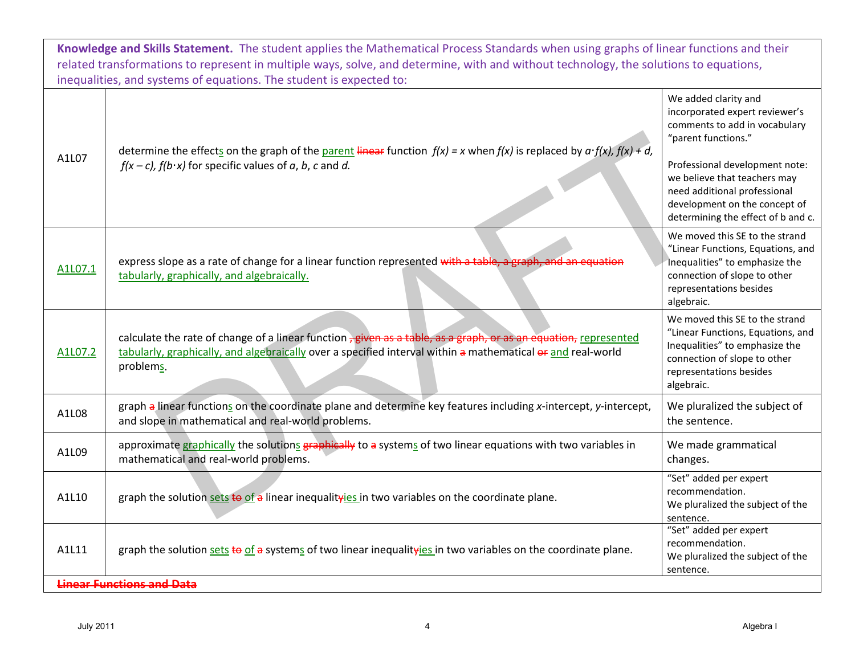| Knowledge and Skills Statement. The student applies the Mathematical Process Standards when using graphs of linear functions and their<br>related transformations to represent in multiple ways, solve, and determine, with and without technology, the solutions to equations,<br>inequalities, and systems of equations. The student is expected to: |                                                                                                                                                                                                                                              |                                                                                                                                                                                |
|--------------------------------------------------------------------------------------------------------------------------------------------------------------------------------------------------------------------------------------------------------------------------------------------------------------------------------------------------------|----------------------------------------------------------------------------------------------------------------------------------------------------------------------------------------------------------------------------------------------|--------------------------------------------------------------------------------------------------------------------------------------------------------------------------------|
| determine the effects on the graph of the parent linear function $f(x) = x$ when $f(x)$ is replaced by $a \cdot f(x)$ , $f(x) + d$ ,<br>A1L07<br>$f(x-c)$ , $f(b \cdot x)$ for specific values of a, b, c and d.                                                                                                                                       | We added clarity and<br>incorporated expert reviewer's<br>comments to add in vocabulary<br>"parent functions."<br>Professional development note:<br>we believe that teachers may                                                             |                                                                                                                                                                                |
|                                                                                                                                                                                                                                                                                                                                                        |                                                                                                                                                                                                                                              | need additional professional<br>development on the concept of<br>determining the effect of b and c.                                                                            |
| A1L07.1                                                                                                                                                                                                                                                                                                                                                | express slope as a rate of change for a linear function represented with a table, a graph, and an equation<br>tabularly, graphically, and algebraically.                                                                                     | We moved this SE to the strand<br>"Linear Functions, Equations, and<br>Inequalities" to emphasize the<br>connection of slope to other<br>representations besides<br>algebraic. |
| A1L07.2                                                                                                                                                                                                                                                                                                                                                | calculate the rate of change of a linear function , given as a table, as a graph, or as an equation, represented<br>tabularly, graphically, and algebraically over a specified interval within a mathematical or and real-world<br>problems. | We moved this SE to the strand<br>"Linear Functions, Equations, and<br>Inequalities" to emphasize the<br>connection of slope to other<br>representations besides<br>algebraic. |
| A1L08                                                                                                                                                                                                                                                                                                                                                  | graph a linear functions on the coordinate plane and determine key features including x-intercept, y-intercept,<br>and slope in mathematical and real-world problems.                                                                        | We pluralized the subject of<br>the sentence.                                                                                                                                  |
| A1L09                                                                                                                                                                                                                                                                                                                                                  | approximate graphically the solutions graphically to a systems of two linear equations with two variables in<br>mathematical and real-world problems.                                                                                        | We made grammatical<br>changes.                                                                                                                                                |
| A1L10                                                                                                                                                                                                                                                                                                                                                  | graph the solution sets to of a linear inequalityies in two variables on the coordinate plane.                                                                                                                                               | "Set" added per expert<br>recommendation.<br>We pluralized the subject of the<br>sentence.                                                                                     |
| A1L11                                                                                                                                                                                                                                                                                                                                                  | graph the solution sets to of a systems of two linear inequalityies in two variables on the coordinate plane.                                                                                                                                | "Set" added per expert<br>recommendation.<br>We pluralized the subject of the<br>sentence.                                                                                     |
| <b>Linear Functions and Data</b>                                                                                                                                                                                                                                                                                                                       |                                                                                                                                                                                                                                              |                                                                                                                                                                                |
| <b>July 2011</b>                                                                                                                                                                                                                                                                                                                                       | 4                                                                                                                                                                                                                                            | Algebra I                                                                                                                                                                      |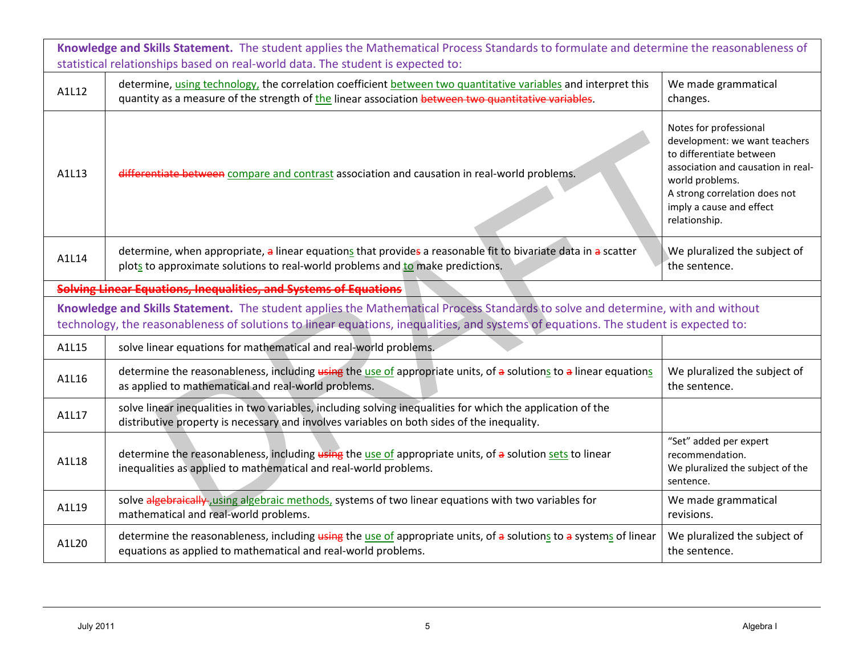| Knowledge and Skills Statement. The student applies the Mathematical Process Standards to formulate and determine the reasonableness of<br>statistical relationships based on real-world data. The student is expected to: |                                                                                                                                                                                                                                                                         |                                                                                                                                                                                                                            |
|----------------------------------------------------------------------------------------------------------------------------------------------------------------------------------------------------------------------------|-------------------------------------------------------------------------------------------------------------------------------------------------------------------------------------------------------------------------------------------------------------------------|----------------------------------------------------------------------------------------------------------------------------------------------------------------------------------------------------------------------------|
| A1L12                                                                                                                                                                                                                      | determine, using technology, the correlation coefficient between two quantitative variables and interpret this<br>quantity as a measure of the strength of the linear association between two quantitative variables.                                                   | We made grammatical<br>changes.                                                                                                                                                                                            |
| A1L13                                                                                                                                                                                                                      | differentiate between compare and contrast association and causation in real-world problems.                                                                                                                                                                            | Notes for professional<br>development: we want teachers<br>to differentiate between<br>association and causation in real-<br>world problems.<br>A strong correlation does not<br>imply a cause and effect<br>relationship. |
| A1L14                                                                                                                                                                                                                      | determine, when appropriate, a linear equations that provides a reasonable fit to bivariate data in a scatter<br>plots to approximate solutions to real-world problems and to make predictions.                                                                         | We pluralized the subject of<br>the sentence.                                                                                                                                                                              |
|                                                                                                                                                                                                                            | Solving Linear Equations, Inequalities, and Systems of Equations                                                                                                                                                                                                        |                                                                                                                                                                                                                            |
|                                                                                                                                                                                                                            | Knowledge and Skills Statement. The student applies the Mathematical Process Standards to solve and determine, with and without<br>technology, the reasonableness of solutions to linear equations, inequalities, and systems of equations. The student is expected to: |                                                                                                                                                                                                                            |
| A1L15                                                                                                                                                                                                                      | solve linear equations for mathematical and real-world problems.                                                                                                                                                                                                        |                                                                                                                                                                                                                            |
| A1L16                                                                                                                                                                                                                      | determine the reasonableness, including using the use of appropriate units, of a solutions to a linear equations<br>as applied to mathematical and real-world problems.                                                                                                 | We pluralized the subject of<br>the sentence.                                                                                                                                                                              |
| A1L17                                                                                                                                                                                                                      | solve linear inequalities in two variables, including solving inequalities for which the application of the<br>distributive property is necessary and involves variables on both sides of the inequality.                                                               |                                                                                                                                                                                                                            |
| A1L18                                                                                                                                                                                                                      | determine the reasonableness, including using the use of appropriate units, of a solution sets to linear<br>inequalities as applied to mathematical and real-world problems.                                                                                            | "Set" added per expert<br>recommendation.<br>We pluralized the subject of the<br>sentence.                                                                                                                                 |
| A1L19                                                                                                                                                                                                                      | solve algebraically, using algebraic methods, systems of two linear equations with two variables for<br>mathematical and real-world problems.                                                                                                                           | We made grammatical<br>revisions.                                                                                                                                                                                          |
| A1L20                                                                                                                                                                                                                      | determine the reasonableness, including using the use of appropriate units, of a solutions to a systems of linear<br>equations as applied to mathematical and real-world problems.                                                                                      | We pluralized the subject of<br>the sentence.                                                                                                                                                                              |
|                                                                                                                                                                                                                            |                                                                                                                                                                                                                                                                         |                                                                                                                                                                                                                            |
| <b>July 2011</b>                                                                                                                                                                                                           | 5                                                                                                                                                                                                                                                                       | Algebra I                                                                                                                                                                                                                  |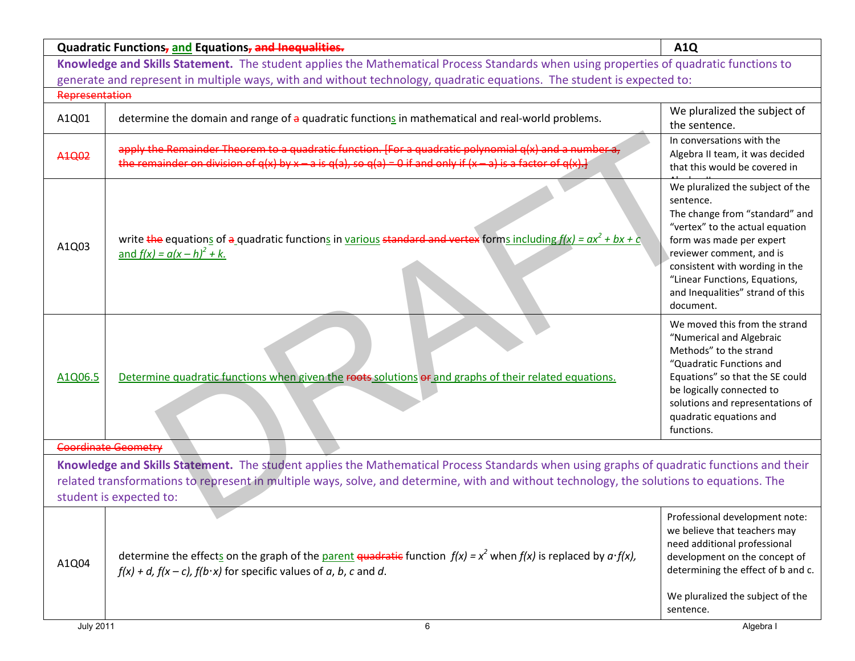| Knowledge and Skills Statement. The student applies the Mathematical Process Standards when using properties of quadratic functions to<br>generate and represent in multiple ways, with and without technology, quadratic equations. The student is expected to:<br>Representation<br>determine the domain and range of a quadratic functions in mathematical and real-world problems.<br>A1Q01<br>the sentence.<br>In conversations with the<br>apply the Remainder Theorem to a quadratic function. [For a quadratic polynomial q(x) and a number a,<br>A <sub>1</sub> Q <sub>02</sub><br>the remainder on division of $q(x)$ by $x - a$ is $q(a)$ , so $q(a) = 0$ if and only if $(x - a)$ is a factor of $q(x)$ .<br>that this would be covered in<br>sentence.<br>write the equations of a quadratic functions in various standard and vertex forms including $f(x) = ax^2 + bx + c$<br>form was made per expert<br>A1Q03<br><u>and <math>f(x) = a(x - h)^2 + k</math>.</u><br>reviewer comment, and is<br>"Linear Functions, Equations,<br>document.<br>"Numerical and Algebraic<br>Methods" to the strand<br>"Quadratic Functions and<br>Determine quadratic functions when given the roots solutions or and graphs of their related equations.<br>A1Q06.5<br>be logically connected to<br>quadratic equations and<br>functions.<br><b>Coordinate Geometry</b><br>related transformations to represent in multiple ways, solve, and determine, with and without technology, the solutions to equations. The<br>student is expected to:<br>we believe that teachers may<br>need additional professional<br>determine the effects on the graph of the parent quadratic function $f(x) = x^2$ when $f(x)$ is replaced by $a \cdot f(x)$ ,<br>A1Q04<br>$f(x) + d$ , $f(x - c)$ , $f(b \cdot x)$ for specific values of a, b, c and d.<br>sentence. |                                                                                                                                           | Quadratic Functions, and Equations, and Inequalities. | <b>A1Q</b>                                                                                                                                                                  |
|-------------------------------------------------------------------------------------------------------------------------------------------------------------------------------------------------------------------------------------------------------------------------------------------------------------------------------------------------------------------------------------------------------------------------------------------------------------------------------------------------------------------------------------------------------------------------------------------------------------------------------------------------------------------------------------------------------------------------------------------------------------------------------------------------------------------------------------------------------------------------------------------------------------------------------------------------------------------------------------------------------------------------------------------------------------------------------------------------------------------------------------------------------------------------------------------------------------------------------------------------------------------------------------------------------------------------------------------------------------------------------------------------------------------------------------------------------------------------------------------------------------------------------------------------------------------------------------------------------------------------------------------------------------------------------------------------------------------------------------------------------------------------------------------------------------------------------------------------------|-------------------------------------------------------------------------------------------------------------------------------------------|-------------------------------------------------------|-----------------------------------------------------------------------------------------------------------------------------------------------------------------------------|
|                                                                                                                                                                                                                                                                                                                                                                                                                                                                                                                                                                                                                                                                                                                                                                                                                                                                                                                                                                                                                                                                                                                                                                                                                                                                                                                                                                                                                                                                                                                                                                                                                                                                                                                                                                                                                                                       |                                                                                                                                           |                                                       |                                                                                                                                                                             |
|                                                                                                                                                                                                                                                                                                                                                                                                                                                                                                                                                                                                                                                                                                                                                                                                                                                                                                                                                                                                                                                                                                                                                                                                                                                                                                                                                                                                                                                                                                                                                                                                                                                                                                                                                                                                                                                       |                                                                                                                                           |                                                       |                                                                                                                                                                             |
|                                                                                                                                                                                                                                                                                                                                                                                                                                                                                                                                                                                                                                                                                                                                                                                                                                                                                                                                                                                                                                                                                                                                                                                                                                                                                                                                                                                                                                                                                                                                                                                                                                                                                                                                                                                                                                                       |                                                                                                                                           |                                                       |                                                                                                                                                                             |
|                                                                                                                                                                                                                                                                                                                                                                                                                                                                                                                                                                                                                                                                                                                                                                                                                                                                                                                                                                                                                                                                                                                                                                                                                                                                                                                                                                                                                                                                                                                                                                                                                                                                                                                                                                                                                                                       |                                                                                                                                           |                                                       | We pluralized the subject of                                                                                                                                                |
|                                                                                                                                                                                                                                                                                                                                                                                                                                                                                                                                                                                                                                                                                                                                                                                                                                                                                                                                                                                                                                                                                                                                                                                                                                                                                                                                                                                                                                                                                                                                                                                                                                                                                                                                                                                                                                                       |                                                                                                                                           |                                                       | Algebra II team, it was decided                                                                                                                                             |
|                                                                                                                                                                                                                                                                                                                                                                                                                                                                                                                                                                                                                                                                                                                                                                                                                                                                                                                                                                                                                                                                                                                                                                                                                                                                                                                                                                                                                                                                                                                                                                                                                                                                                                                                                                                                                                                       |                                                                                                                                           |                                                       | We pluralized the subject of the<br>The change from "standard" and<br>"vertex" to the actual equation<br>consistent with wording in the<br>and Inequalities" strand of this |
|                                                                                                                                                                                                                                                                                                                                                                                                                                                                                                                                                                                                                                                                                                                                                                                                                                                                                                                                                                                                                                                                                                                                                                                                                                                                                                                                                                                                                                                                                                                                                                                                                                                                                                                                                                                                                                                       |                                                                                                                                           |                                                       | We moved this from the strand<br>Equations" so that the SE could<br>solutions and representations of                                                                        |
|                                                                                                                                                                                                                                                                                                                                                                                                                                                                                                                                                                                                                                                                                                                                                                                                                                                                                                                                                                                                                                                                                                                                                                                                                                                                                                                                                                                                                                                                                                                                                                                                                                                                                                                                                                                                                                                       |                                                                                                                                           |                                                       |                                                                                                                                                                             |
|                                                                                                                                                                                                                                                                                                                                                                                                                                                                                                                                                                                                                                                                                                                                                                                                                                                                                                                                                                                                                                                                                                                                                                                                                                                                                                                                                                                                                                                                                                                                                                                                                                                                                                                                                                                                                                                       | Knowledge and Skills Statement. The student applies the Mathematical Process Standards when using graphs of quadratic functions and their |                                                       |                                                                                                                                                                             |
| <b>July 2011</b><br>6<br>Algebra I                                                                                                                                                                                                                                                                                                                                                                                                                                                                                                                                                                                                                                                                                                                                                                                                                                                                                                                                                                                                                                                                                                                                                                                                                                                                                                                                                                                                                                                                                                                                                                                                                                                                                                                                                                                                                    |                                                                                                                                           |                                                       | Professional development note:<br>development on the concept of<br>determining the effect of b and c.<br>We pluralized the subject of the                                   |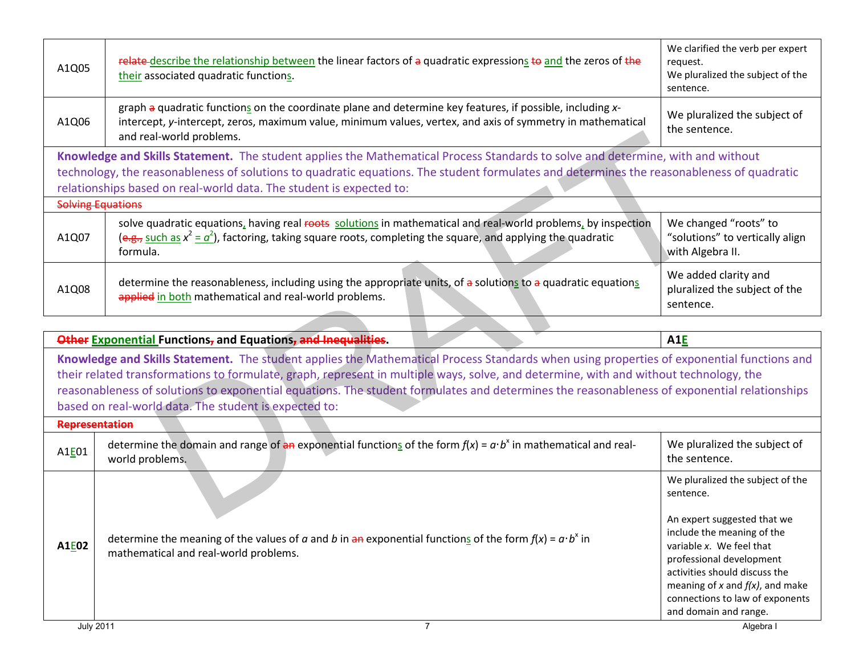| A1Q05                                                                                                                                                                                                                                                                                                                                                                                                                             | relate describe the relationship between the linear factors of a quadratic expressions to and the zeros of the<br>their associated quadratic functions.                                                                                                                                                                                             | We clarified the verb per expert<br>request.<br>We pluralized the subject of the<br>sentence.                                                                                                                                                                                                           |
|-----------------------------------------------------------------------------------------------------------------------------------------------------------------------------------------------------------------------------------------------------------------------------------------------------------------------------------------------------------------------------------------------------------------------------------|-----------------------------------------------------------------------------------------------------------------------------------------------------------------------------------------------------------------------------------------------------------------------------------------------------------------------------------------------------|---------------------------------------------------------------------------------------------------------------------------------------------------------------------------------------------------------------------------------------------------------------------------------------------------------|
| A1Q06                                                                                                                                                                                                                                                                                                                                                                                                                             | graph a quadratic functions on the coordinate plane and determine key features, if possible, including x-<br>intercept, y-intercept, zeros, maximum value, minimum values, vertex, and axis of symmetry in mathematical<br>and real-world problems.                                                                                                 | We pluralized the subject of<br>the sentence.                                                                                                                                                                                                                                                           |
|                                                                                                                                                                                                                                                                                                                                                                                                                                   | Knowledge and Skills Statement. The student applies the Mathematical Process Standards to solve and determine, with and without<br>technology, the reasonableness of solutions to quadratic equations. The student formulates and determines the reasonableness of quadratic<br>relationships based on real-world data. The student is expected to: |                                                                                                                                                                                                                                                                                                         |
| <b>Solving Equations</b>                                                                                                                                                                                                                                                                                                                                                                                                          |                                                                                                                                                                                                                                                                                                                                                     |                                                                                                                                                                                                                                                                                                         |
| A1Q07                                                                                                                                                                                                                                                                                                                                                                                                                             | solve quadratic equations, having real roots solutions in mathematical and real-world problems, by inspection<br>$(e.g., such as x2 = a2)$ , factoring, taking square roots, completing the square, and applying the quadratic<br>formula.                                                                                                          | We changed "roots" to<br>"solutions" to vertically align<br>with Algebra II.                                                                                                                                                                                                                            |
| A1Q08                                                                                                                                                                                                                                                                                                                                                                                                                             | determine the reasonableness, including using the appropriate units, of a solutions to a quadratic equations<br>applied in both mathematical and real-world problems.                                                                                                                                                                               | We added clarity and<br>pluralized the subject of the<br>sentence.                                                                                                                                                                                                                                      |
|                                                                                                                                                                                                                                                                                                                                                                                                                                   |                                                                                                                                                                                                                                                                                                                                                     |                                                                                                                                                                                                                                                                                                         |
|                                                                                                                                                                                                                                                                                                                                                                                                                                   | Other Exponential Functions, and Equations, and Inequalities.                                                                                                                                                                                                                                                                                       | A <sub>1</sub> E                                                                                                                                                                                                                                                                                        |
| Knowledge and Skills Statement. The student applies the Mathematical Process Standards when using properties of exponential functions and<br>their related transformations to formulate, graph, represent in multiple ways, solve, and determine, with and without technology, the<br>reasonableness of solutions to exponential equations. The student formulates and determines the reasonableness of exponential relationships |                                                                                                                                                                                                                                                                                                                                                     |                                                                                                                                                                                                                                                                                                         |
|                                                                                                                                                                                                                                                                                                                                                                                                                                   | based on real-world data. The student is expected to:                                                                                                                                                                                                                                                                                               |                                                                                                                                                                                                                                                                                                         |
| <b>Representation</b>                                                                                                                                                                                                                                                                                                                                                                                                             |                                                                                                                                                                                                                                                                                                                                                     |                                                                                                                                                                                                                                                                                                         |
| A1E01                                                                                                                                                                                                                                                                                                                                                                                                                             | determine the domain and range of an exponential functions of the form $f(x) = a \cdot b^x$ in mathematical and real-<br>world problems.                                                                                                                                                                                                            | We pluralized the subject of<br>the sentence.                                                                                                                                                                                                                                                           |
| A1E02                                                                                                                                                                                                                                                                                                                                                                                                                             | determine the meaning of the values of a and b in an exponential functions of the form $f(x) = a \cdot b^x$ in<br>mathematical and real-world problems.                                                                                                                                                                                             | We pluralized the subject of the<br>sentence.<br>An expert suggested that we<br>include the meaning of the<br>variable x. We feel that<br>professional development<br>activities should discuss the<br>meaning of $x$ and $f(x)$ , and make<br>connections to law of exponents<br>and domain and range. |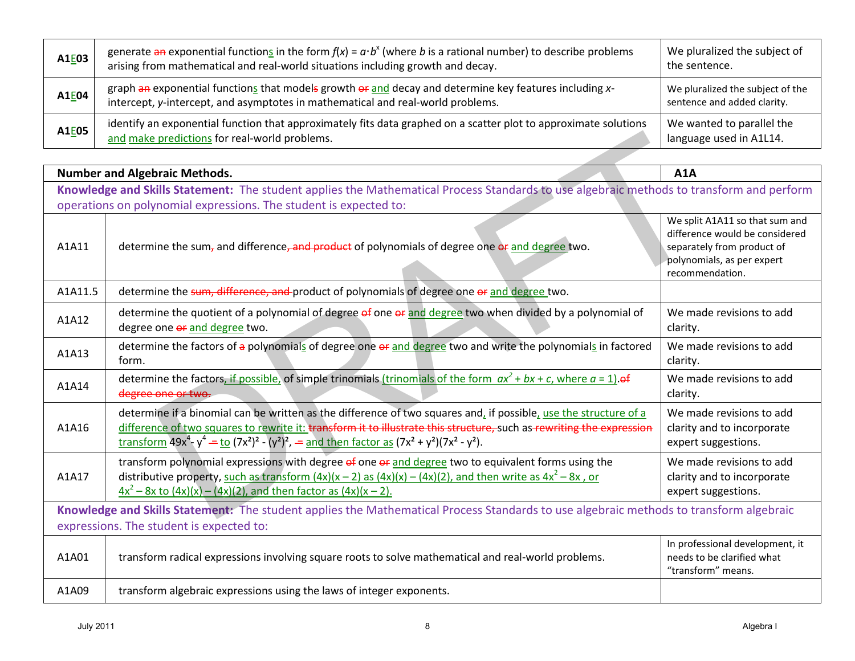| A1E03 | generate an exponential functions in the form $f(x) = a \cdot b^x$ (where b is a rational number) to describe problems<br>arising from mathematical and real-world situations including growth and decay. | We pluralized the subject of<br>the sentence.                   |
|-------|-----------------------------------------------------------------------------------------------------------------------------------------------------------------------------------------------------------|-----------------------------------------------------------------|
| A1E04 | graph an exponential functions that models growth or and decay and determine key features including x-<br>intercept, y-intercept, and asymptotes in mathematical and real-world problems.                 | We pluralized the subject of the<br>sentence and added clarity. |
| A1E05 | identify an exponential function that approximately fits data graphed on a scatter plot to approximate solutions<br>and make predictions for real-world problems.                                         | We wanted to parallel the<br>language used in A1L14.            |

| A1 <b>E05</b>                            | and make predictions for real-world problems.                                                                                                                                                                                                                                                                                                                                                                                                                                                                                                         | language used in A1L14.                                                                                                                         |
|------------------------------------------|-------------------------------------------------------------------------------------------------------------------------------------------------------------------------------------------------------------------------------------------------------------------------------------------------------------------------------------------------------------------------------------------------------------------------------------------------------------------------------------------------------------------------------------------------------|-------------------------------------------------------------------------------------------------------------------------------------------------|
|                                          |                                                                                                                                                                                                                                                                                                                                                                                                                                                                                                                                                       |                                                                                                                                                 |
|                                          | <b>Number and Algebraic Methods.</b>                                                                                                                                                                                                                                                                                                                                                                                                                                                                                                                  | A1A                                                                                                                                             |
|                                          | Knowledge and Skills Statement: The student applies the Mathematical Process Standards to use algebraic methods to transform and perform                                                                                                                                                                                                                                                                                                                                                                                                              |                                                                                                                                                 |
|                                          | operations on polynomial expressions. The student is expected to:                                                                                                                                                                                                                                                                                                                                                                                                                                                                                     |                                                                                                                                                 |
| A1A11                                    | determine the sum <sub>7</sub> and difference, and product of polynomials of degree one or and degree two.                                                                                                                                                                                                                                                                                                                                                                                                                                            | We split A1A11 so that sum and<br>difference would be considered<br>separately from product of<br>polynomials, as per expert<br>recommendation. |
| A1A11.5                                  | determine the sum, difference, and product of polynomials of degree one or and degree two.                                                                                                                                                                                                                                                                                                                                                                                                                                                            |                                                                                                                                                 |
| A1A12                                    | determine the quotient of a polynomial of degree of one or and degree two when divided by a polynomial of<br>degree one or and degree two.                                                                                                                                                                                                                                                                                                                                                                                                            | We made revisions to add<br>clarity.                                                                                                            |
| A1A13                                    | determine the factors of a polynomials of degree one of and degree two and write the polynomials in factored<br>form.                                                                                                                                                                                                                                                                                                                                                                                                                                 | We made revisions to add<br>clarity.                                                                                                            |
| A1A14                                    | determine the factors, if possible, of simple trinomials (trinomials of the form $ax^2 + bx + c$ , where $a = 1$ ) of<br>degree one or two.                                                                                                                                                                                                                                                                                                                                                                                                           | We made revisions to add<br>clarity.                                                                                                            |
| A1A16                                    | determine if a binomial can be written as the difference of two squares and, if possible, use the structure of a<br>difference of two squares to rewrite it: transform it to illustrate this structure, such as rewriting the expression<br>transform $49x^4 - y^4 = \frac{10}{(7x^2)^2} - (y^2)^2$ , $\frac{100}{(7x^2 + 6x^2)^2} = \frac{100}{(7x^2 + 6x^2)^2} = \frac{100}{(7x^2 + 6x^2)^2} = \frac{100}{(7x^2 + 6x^2)^2} = \frac{100}{(7x^2 + 6x^2)^2} = \frac{100}{(7x^2 + 6x^2)^2} = \frac{100}{(7x^2 + 6x^2)^2} = \frac{100}{(7x^2 + 6x^2)^2}$ | We made revisions to add<br>clarity and to incorporate<br>expert suggestions.                                                                   |
| A1A17                                    | transform polynomial expressions with degree of one or and degree two to equivalent forms using the<br>distributive property, such as transform $(4x)(x-2)$ as $(4x)(x) - (4x)(2)$ , and then write as $4x^2 - 8x$ , or<br>$4x^{2}$ – 8x to $(4x)(x)$ – $(4x)(2)$ , and then factor as $(4x)(x - 2)$ .                                                                                                                                                                                                                                                | We made revisions to add<br>clarity and to incorporate<br>expert suggestions.                                                                   |
|                                          | Knowledge and Skills Statement: The student applies the Mathematical Process Standards to use algebraic methods to transform algebraic                                                                                                                                                                                                                                                                                                                                                                                                                |                                                                                                                                                 |
| expressions. The student is expected to: |                                                                                                                                                                                                                                                                                                                                                                                                                                                                                                                                                       |                                                                                                                                                 |
| A1A01                                    | transform radical expressions involving square roots to solve mathematical and real-world problems.                                                                                                                                                                                                                                                                                                                                                                                                                                                   | In professional development, it<br>needs to be clarified what<br>"transform" means.                                                             |
| A1A09                                    | transform algebraic expressions using the laws of integer exponents.                                                                                                                                                                                                                                                                                                                                                                                                                                                                                  |                                                                                                                                                 |
| <b>July 2011</b>                         | 8                                                                                                                                                                                                                                                                                                                                                                                                                                                                                                                                                     | Algebra I                                                                                                                                       |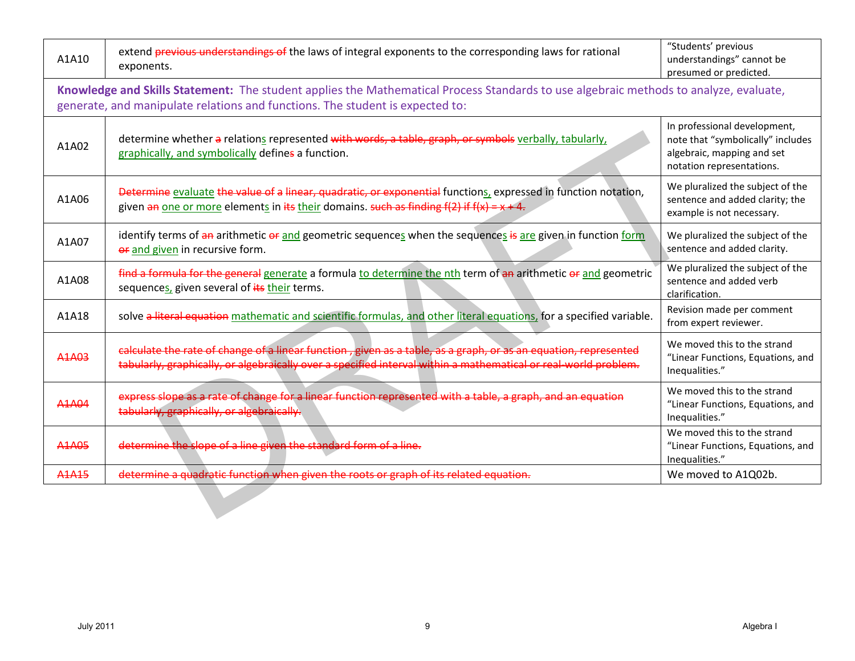| A1A10                                                                                                                                                                                                                  | extend previous understandings of the laws of integral exponents to the corresponding laws for rational<br>exponents.                                                                                                              | "Students' previous<br>understandings" cannot be<br>presumed or predicted.                                                   |  |  |
|------------------------------------------------------------------------------------------------------------------------------------------------------------------------------------------------------------------------|------------------------------------------------------------------------------------------------------------------------------------------------------------------------------------------------------------------------------------|------------------------------------------------------------------------------------------------------------------------------|--|--|
| Knowledge and Skills Statement: The student applies the Mathematical Process Standards to use algebraic methods to analyze, evaluate,<br>generate, and manipulate relations and functions. The student is expected to: |                                                                                                                                                                                                                                    |                                                                                                                              |  |  |
| A1A02                                                                                                                                                                                                                  | determine whether a relations represented with words, a table, graph, or symbols verbally, tabularly,<br>graphically, and symbolically defines a function.                                                                         | In professional development,<br>note that "symbolically" includes<br>algebraic, mapping and set<br>notation representations. |  |  |
| A1A06                                                                                                                                                                                                                  | Determine evaluate the value of a linear, quadratic, or exponential functions, expressed in function notation,<br>given an one or more elements in its their domains. such as finding $f(2)$ if $f(x) = x + 4$ .                   | We pluralized the subject of the<br>sentence and added clarity; the<br>example is not necessary.                             |  |  |
| A1A07                                                                                                                                                                                                                  | identify terms of an arithmetic or and geometric sequences when the sequences is are given in function form<br>or and given in recursive form.                                                                                     | We pluralized the subject of the<br>sentence and added clarity.                                                              |  |  |
| A1A08                                                                                                                                                                                                                  | find a formula for the general generate a formula to determine the nth term of an arithmetic or and geometric<br>sequences, given several of its their terms.                                                                      | We pluralized the subject of the<br>sentence and added verb<br>clarification.                                                |  |  |
| A1A18                                                                                                                                                                                                                  | solve a literal equation mathematic and scientific formulas, and other literal equations, for a specified variable.                                                                                                                | Revision made per comment<br>from expert reviewer.                                                                           |  |  |
| A1A03                                                                                                                                                                                                                  | calculate the rate of change of a linear function, given as a table, as a graph, or as an equation, represented<br>tabularly, graphically, or algebraically over a specified interval within a mathematical or real-world problem. | We moved this to the strand<br>"Linear Functions, Equations, and<br>Inequalities."                                           |  |  |
| A1A04                                                                                                                                                                                                                  | express slope as a rate of change for a linear function represented with a table, a graph, and an equation<br>tabularly, graphically, or algebraically.                                                                            | We moved this to the strand<br>"Linear Functions, Equations, and<br>Inequalities."                                           |  |  |
| <b>A1A05</b>                                                                                                                                                                                                           | determine the slope of a line given the standard form of a line.                                                                                                                                                                   | We moved this to the strand<br>"Linear Functions, Equations, and<br>Inequalities."                                           |  |  |
| <b>A1A15</b>                                                                                                                                                                                                           | determine a quadratic function when given the roots or graph of its related equation.                                                                                                                                              | We moved to A1Q02b.                                                                                                          |  |  |
|                                                                                                                                                                                                                        |                                                                                                                                                                                                                                    |                                                                                                                              |  |  |
| <b>July 2011</b>                                                                                                                                                                                                       | 9                                                                                                                                                                                                                                  | Algebra I                                                                                                                    |  |  |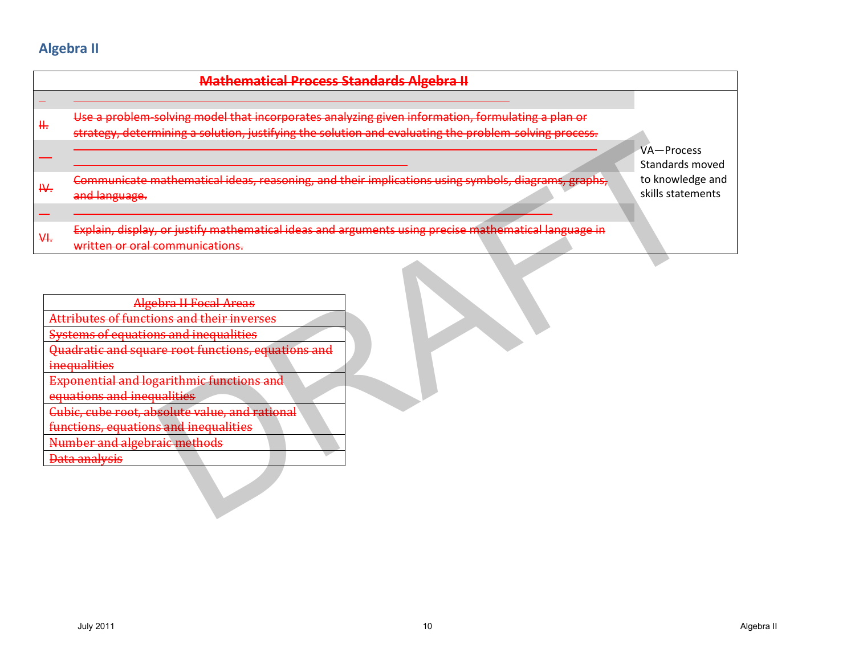# **Algebra II**

|         | <b>Mathematical Process Standards Algebra II</b>                                                                                                                                                                                                                                                                                                                                                                                |                                                          |
|---------|---------------------------------------------------------------------------------------------------------------------------------------------------------------------------------------------------------------------------------------------------------------------------------------------------------------------------------------------------------------------------------------------------------------------------------|----------------------------------------------------------|
| ÷<br>₩. | Use a problem solving model that incorporates analyzing given information, formulating a plan or<br>strategy, determining a solution, justifying the solution and evaluating the problem-solving process.                                                                                                                                                                                                                       | VA-Process                                               |
| ₩.      | Communicate mathematical ideas, reasoning, and their implications using symbols, diagrams, graphs,<br>and language.                                                                                                                                                                                                                                                                                                             | Standards moved<br>to knowledge and<br>skills statements |
| ₩.      | Explain, display, or justify mathematical ideas and arguments using precise mathematical language in<br>written or oral communications.                                                                                                                                                                                                                                                                                         |                                                          |
|         | <b>Algebra II Focal Areas</b><br>Attributes of functions and their inverses<br><b>Systems of equations and inequalities</b><br>Quadratic and square root functions, equations and<br>inequalities<br><b>Exponential and logarithmic functions and</b><br>equations and inequalities<br>Cubic, cube root, absolute value, and rational<br>functions, equations and inequalities<br>Number and algebraic methods<br>Data analysis |                                                          |
|         | <b>July 2011</b><br>10                                                                                                                                                                                                                                                                                                                                                                                                          | Algebra II                                               |

| Algebra II Focal Areas                                                                                                      |
|-----------------------------------------------------------------------------------------------------------------------------|
| <b>Attributes of functions and their inverses</b>                                                                           |
| <u>Systems of equations and inequalities</u>                                                                                |
| <u>Quadratic and cauaro root functions, qquations and</u><br><del>odadi atit and square root idiledons, cquations and</del> |
| ingawalitiga<br><del>mcuuamaco</del>                                                                                        |
| <b>Exponential and logarithmic functions and</b>                                                                            |
|                                                                                                                             |
| equations and inequalities                                                                                                  |
| <u>Cubic, cube root, absolute value, and rational</u>                                                                       |
| functions, equations and inequalities                                                                                       |
| Jumher and algebraic mothode<br><u>INUMIDOL AMU ARSODIANO MUODIDUO</u>                                                      |
| Data analweic<br><del>Data anaiyolo</del>                                                                                   |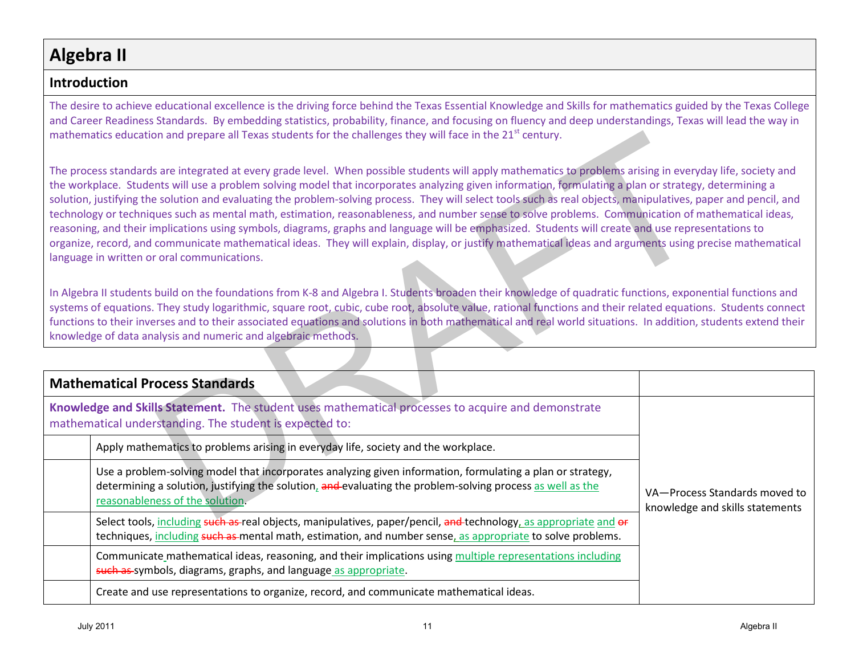# **Algebra II**

### **Introduction**

The desire to achieve educational excellence is the driving force behind the Texas Essential Knowledge and Skills for mathematics guided by the Texas College and Career Readiness Standards. By embedding statistics, probability, finance, and focusing on fluency and deep understandings, Texas will lead the way in mathematics education and prepare all Texas students for the challenges they will face in the 21<sup>st</sup> century.

| mathematics education and prepare all Texas students for the challenges they will face in the 21 <sup>st</sup> century.                                                                                                                                                                                                                                                                                                                                                                                                                                                                                                                                                                                                                                                                                                                                                                                                                                                                                       |                                                                  |  |
|---------------------------------------------------------------------------------------------------------------------------------------------------------------------------------------------------------------------------------------------------------------------------------------------------------------------------------------------------------------------------------------------------------------------------------------------------------------------------------------------------------------------------------------------------------------------------------------------------------------------------------------------------------------------------------------------------------------------------------------------------------------------------------------------------------------------------------------------------------------------------------------------------------------------------------------------------------------------------------------------------------------|------------------------------------------------------------------|--|
| The process standards are integrated at every grade level. When possible students will apply mathematics to problems arising in everyday life, society and<br>the workplace. Students will use a problem solving model that incorporates analyzing given information, formulating a plan or strategy, determining a<br>solution, justifying the solution and evaluating the problem-solving process. They will select tools such as real objects, manipulatives, paper and pencil, and<br>technology or techniques such as mental math, estimation, reasonableness, and number sense to solve problems. Communication of mathematical ideas,<br>reasoning, and their implications using symbols, diagrams, graphs and language will be emphasized. Students will create and use representations to<br>organize, record, and communicate mathematical ideas. They will explain, display, or justify mathematical ideas and arguments using precise mathematical<br>language in written or oral communications. |                                                                  |  |
| In Algebra II students build on the foundations from K-8 and Algebra I. Students broaden their knowledge of quadratic functions, exponential functions and<br>systems of equations. They study logarithmic, square root, cubic, cube root, absolute value, rational functions and their related equations. Students connect<br>functions to their inverses and to their associated equations and solutions in both mathematical and real world situations. In addition, students extend their<br>knowledge of data analysis and numeric and algebraic methods.                                                                                                                                                                                                                                                                                                                                                                                                                                                |                                                                  |  |
| <b>Mathematical Process Standards</b>                                                                                                                                                                                                                                                                                                                                                                                                                                                                                                                                                                                                                                                                                                                                                                                                                                                                                                                                                                         |                                                                  |  |
| Knowledge and Skills Statement. The student uses mathematical processes to acquire and demonstrate<br>mathematical understanding. The student is expected to:                                                                                                                                                                                                                                                                                                                                                                                                                                                                                                                                                                                                                                                                                                                                                                                                                                                 |                                                                  |  |
| Apply mathematics to problems arising in everyday life, society and the workplace.                                                                                                                                                                                                                                                                                                                                                                                                                                                                                                                                                                                                                                                                                                                                                                                                                                                                                                                            |                                                                  |  |
| Use a problem-solving model that incorporates analyzing given information, formulating a plan or strategy,<br>determining a solution, justifying the solution, and evaluating the problem-solving process as well as the<br>reasonableness of the solution.                                                                                                                                                                                                                                                                                                                                                                                                                                                                                                                                                                                                                                                                                                                                                   | VA-Process Standards moved to<br>knowledge and skills statements |  |
| Select tools, including such as real objects, manipulatives, paper/pencil, and technology, as appropriate and or<br>techniques, including such as mental math, estimation, and number sense, as appropriate to solve problems.                                                                                                                                                                                                                                                                                                                                                                                                                                                                                                                                                                                                                                                                                                                                                                                |                                                                  |  |
| Communicate mathematical ideas, reasoning, and their implications using multiple representations including<br>such as symbols, diagrams, graphs, and language as appropriate.                                                                                                                                                                                                                                                                                                                                                                                                                                                                                                                                                                                                                                                                                                                                                                                                                                 |                                                                  |  |
| Create and use representations to organize, record, and communicate mathematical ideas.                                                                                                                                                                                                                                                                                                                                                                                                                                                                                                                                                                                                                                                                                                                                                                                                                                                                                                                       |                                                                  |  |
| <b>July 2011</b><br>11                                                                                                                                                                                                                                                                                                                                                                                                                                                                                                                                                                                                                                                                                                                                                                                                                                                                                                                                                                                        | Algebra II                                                       |  |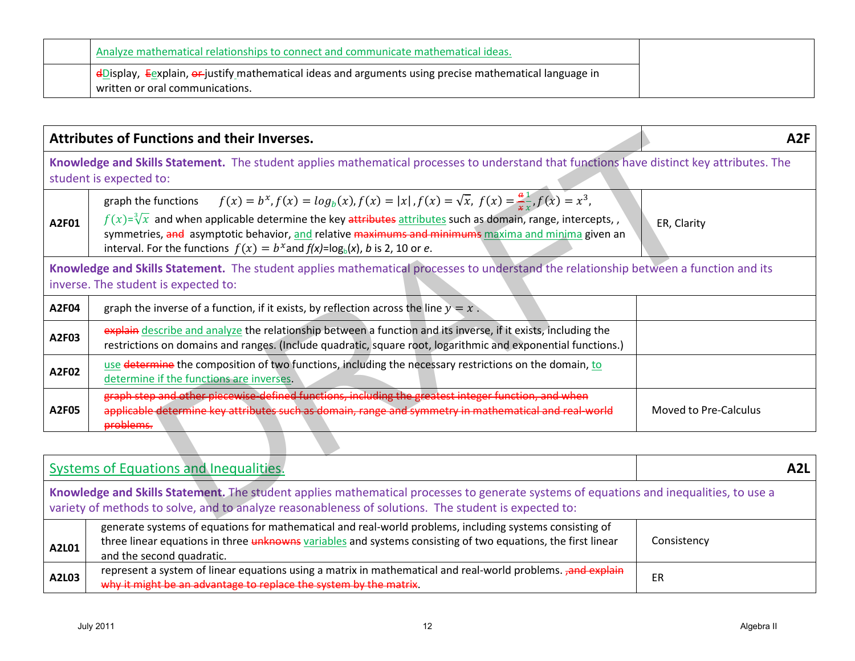| Analyze mathematical relationships to connect and communicate mathematical ideas.                                                                      |
|--------------------------------------------------------------------------------------------------------------------------------------------------------|
| <sup>1</sup> dDisplay, Eexplain, or justify mathematical ideas and arguments using precise mathematical language in<br>written or oral communications. |

|       | <b>Attributes of Functions and their Inverses.</b>                                                                                                                                                                                                                                                                                                                                                                                  | A <sub>2F</sub>       |
|-------|-------------------------------------------------------------------------------------------------------------------------------------------------------------------------------------------------------------------------------------------------------------------------------------------------------------------------------------------------------------------------------------------------------------------------------------|-----------------------|
|       | Knowledge and Skills Statement. The student applies mathematical processes to understand that functions have distinct key attributes. The<br>student is expected to:                                                                                                                                                                                                                                                                |                       |
| A2F01 | $f(x) = b^x, f(x) = log_b(x), f(x) =  x , f(x) = \sqrt{x}, f(x) = \frac{a}{x}, f(x) = x^3,$<br>graph the functions<br>$f(x)=\sqrt[3]{x}$ and when applicable determine the key attributes attributes such as domain, range, intercepts,<br>symmetries, and asymptotic behavior, and relative maximums and minimums maxima and minima given an<br>interval. For the functions $f(x) = b^x$ and $f(x) = \log_b(x)$ , b is 2, 10 or e. | ER, Clarity           |
|       | Knowledge and Skills Statement. The student applies mathematical processes to understand the relationship between a function and its<br>inverse. The student is expected to:                                                                                                                                                                                                                                                        |                       |
| A2F04 | graph the inverse of a function, if it exists, by reflection across the line $y = x$ .                                                                                                                                                                                                                                                                                                                                              |                       |
| A2F03 | explain describe and analyze the relationship between a function and its inverse, if it exists, including the<br>restrictions on domains and ranges. (Include quadratic, square root, logarithmic and exponential functions.)                                                                                                                                                                                                       |                       |
| A2F02 | use determine the composition of two functions, including the necessary restrictions on the domain, to<br>determine if the functions are inverses.                                                                                                                                                                                                                                                                                  |                       |
| A2F05 | graph step and other piecewise defined functions, including the greatest integer function, and when<br>applicable determine key attributes such as domain, range and symmetry in mathematical and real-world<br>problems.                                                                                                                                                                                                           | Moved to Pre-Calculus |
|       |                                                                                                                                                                                                                                                                                                                                                                                                                                     |                       |
|       | <b>Systems of Equations and Inequalities.</b>                                                                                                                                                                                                                                                                                                                                                                                       | A <sub>2</sub> L      |
|       | Knowledge and Skills Statement. The student applies mathematical processes to generate systems of equations and inequalities, to use a<br>variety of methods to solve, and to analyze reasonableness of solutions. The student is expected to:                                                                                                                                                                                      |                       |
| A2L01 | generate systems of equations for mathematical and real-world problems, including systems consisting of<br>three linear equations in three unknowns variables and systems consisting of two equations, the first linear<br>and the second quadratic.                                                                                                                                                                                | Consistency           |
| A2L03 | represent a system of linear equations using a matrix in mathematical and real-world problems. <b>Jand explain</b><br>why it might be an advantage to replace the system by the matrix.                                                                                                                                                                                                                                             | ER                    |
|       | <b>July 2011</b><br>12                                                                                                                                                                                                                                                                                                                                                                                                              | Algebra II            |

| <b>Systems of Equations and Inequalities.</b>                                                                                                                                                                                                  |                                                                                                                                                                                                                                                      | <b>A2L</b>  |
|------------------------------------------------------------------------------------------------------------------------------------------------------------------------------------------------------------------------------------------------|------------------------------------------------------------------------------------------------------------------------------------------------------------------------------------------------------------------------------------------------------|-------------|
| Knowledge and Skills Statement. The student applies mathematical processes to generate systems of equations and inequalities, to use a<br>variety of methods to solve, and to analyze reasonableness of solutions. The student is expected to: |                                                                                                                                                                                                                                                      |             |
| A2L01                                                                                                                                                                                                                                          | generate systems of equations for mathematical and real-world problems, including systems consisting of<br>three linear equations in three unknowns variables and systems consisting of two equations, the first linear<br>and the second quadratic. | Consistency |
| A2L03                                                                                                                                                                                                                                          | represent a system of linear equations using a matrix in mathematical and real-world problems. <sub>r</sub> and explain<br>why it might be an advantage to replace the system by the matrix.                                                         | ER          |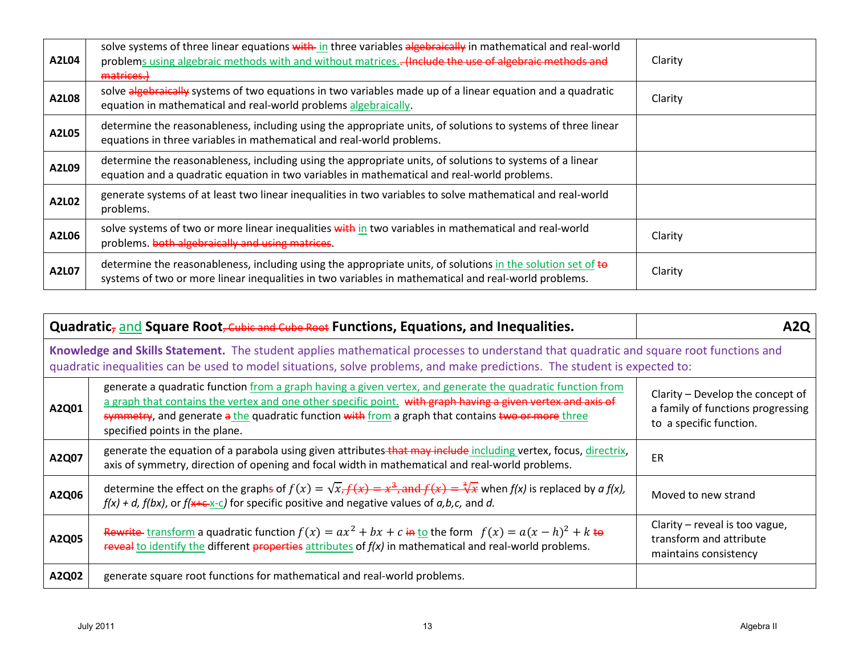| A2L04 | solve systems of three linear equations with in three variables algebraically in mathematical and real-world<br>problems using algebraic methods with and without matrices.- (Include the use of algebraic methods and<br>matrices.) | Clarity |
|-------|--------------------------------------------------------------------------------------------------------------------------------------------------------------------------------------------------------------------------------------|---------|
| A2L08 | solve algebraically systems of two equations in two variables made up of a linear equation and a quadratic<br>equation in mathematical and real-world problems algebraically.                                                        | Clarity |
| A2L05 | determine the reasonableness, including using the appropriate units, of solutions to systems of three linear<br>equations in three variables in mathematical and real-world problems.                                                |         |
| A2L09 | determine the reasonableness, including using the appropriate units, of solutions to systems of a linear<br>equation and a quadratic equation in two variables in mathematical and real-world problems.                              |         |
| A2L02 | generate systems of at least two linear inequalities in two variables to solve mathematical and real-world<br>problems.                                                                                                              |         |
| A2L06 | solve systems of two or more linear inequalities with in two variables in mathematical and real-world<br>problems. both algebraically and using matrices.                                                                            | Clarity |
| A2L07 | determine the reasonableness, including using the appropriate units, of solutions in the solution set of to<br>systems of two or more linear inequalities in two variables in mathematical and real-world problems.                  | Clarity |

| Quadratic, and Square Root, Cubic and Cube Root Functions, Equations, and Inequalities.                                                                                                                                                                            |                                                                                                                                                                                                                                                                                                                                                                  | A2Q                                                                                              |
|--------------------------------------------------------------------------------------------------------------------------------------------------------------------------------------------------------------------------------------------------------------------|------------------------------------------------------------------------------------------------------------------------------------------------------------------------------------------------------------------------------------------------------------------------------------------------------------------------------------------------------------------|--------------------------------------------------------------------------------------------------|
| Knowledge and Skills Statement. The student applies mathematical processes to understand that quadratic and square root functions and<br>quadratic inequalities can be used to model situations, solve problems, and make predictions. The student is expected to: |                                                                                                                                                                                                                                                                                                                                                                  |                                                                                                  |
| A2Q01                                                                                                                                                                                                                                                              | generate a quadratic function from a graph having a given vertex, and generate the quadratic function from<br>a graph that contains the vertex and one other specific point. with graph having a given vertex and axis of<br>symmetry, and generate a the quadratic function with from a graph that contains two or more three<br>specified points in the plane. | Clarity – Develop the concept of<br>a family of functions progressing<br>to a specific function. |
| A2Q07                                                                                                                                                                                                                                                              | generate the equation of a parabola using given attributes-that may include including vertex, focus, directrix,<br>axis of symmetry, direction of opening and focal width in mathematical and real-world problems.                                                                                                                                               | <b>ER</b>                                                                                        |
| A2Q06                                                                                                                                                                                                                                                              | determine the effect on the graphs of $f(x) = \sqrt{x}$ , $f(x) = x^3$ , and $f(x) = \sqrt[3]{x}$ when $f(x)$ is replaced by a $f(x)$ ,<br>$f(x) + d$ , $f(bx)$ , or $f(x+c^{-1})$ for specific positive and negative values of $a,b,c$ , and d.                                                                                                                 | Moved to new strand                                                                              |
| A2Q05                                                                                                                                                                                                                                                              | Rewrite transform a quadratic function $f(x) = ax^2 + bx + c$ in to the form $f(x) = a(x - h)^2 + k$ to<br>reveal to identify the different properties attributes of $f(x)$ in mathematical and real-world problems.                                                                                                                                             | Clarity - reveal is too vague,<br>transform and attribute<br>maintains consistency               |
| A2Q02                                                                                                                                                                                                                                                              | generate square root functions for mathematical and real-world problems.                                                                                                                                                                                                                                                                                         |                                                                                                  |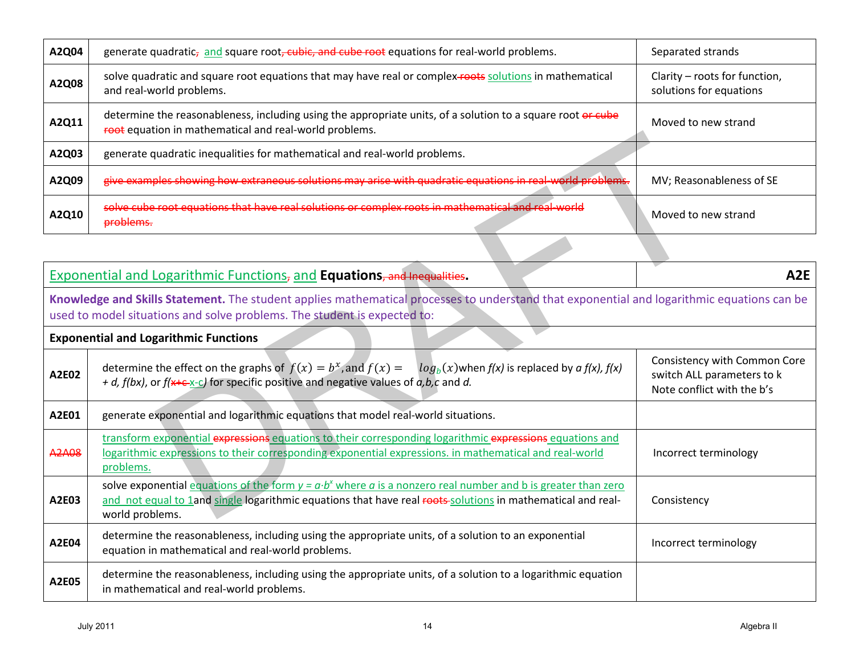| A2Q04 | generate quadratic <sub>z</sub> and square root, cubic, and cube root equations for real-world problems.                                                              | Separated strands                                        |
|-------|-----------------------------------------------------------------------------------------------------------------------------------------------------------------------|----------------------------------------------------------|
| A2Q08 | solve quadratic and square root equations that may have real or complex-roots solutions in mathematical<br>and real-world problems.                                   | Clarity - roots for function,<br>solutions for equations |
| A2Q11 | determine the reasonableness, including using the appropriate units, of a solution to a square root or cube<br>root equation in mathematical and real-world problems. | Moved to new strand                                      |
| A2Q03 | generate quadratic inequalities for mathematical and real-world problems.                                                                                             |                                                          |
| A2Q09 | give examples showing how extraneous solutions may arise with quadratic equations in real-world problems.                                                             | MV; Reasonableness of SE                                 |
| A2Q10 | solve cube root equations that have real solutions or complex roots in mathematical and real-world<br><del>problems.</del>                                            | Moved to new strand                                      |

|              | <del>foot</del> equation in mathematical and real-world problems.                                                                                                                                                                                 |                                                                                          |
|--------------|---------------------------------------------------------------------------------------------------------------------------------------------------------------------------------------------------------------------------------------------------|------------------------------------------------------------------------------------------|
| A2Q03        | generate quadratic inequalities for mathematical and real-world problems.                                                                                                                                                                         |                                                                                          |
| A2Q09        | give examples showing how extraneous solutions may arise with quadratic equations in real-world problems.                                                                                                                                         | MV; Reasonableness of SE                                                                 |
| A2Q10        | solve cube root equations that have real solutions or complex roots in mathematical and real-world<br>problems.                                                                                                                                   | Moved to new strand                                                                      |
|              |                                                                                                                                                                                                                                                   |                                                                                          |
|              | <b>Exponential and Logarithmic Functions, and Equations, and Inequalities.</b>                                                                                                                                                                    | A <sub>2</sub> E                                                                         |
|              | Knowledge and Skills Statement. The student applies mathematical processes to understand that exponential and logarithmic equations can be<br>used to model situations and solve problems. The student is expected to:                            |                                                                                          |
|              | <b>Exponential and Logarithmic Functions</b>                                                                                                                                                                                                      |                                                                                          |
| A2E02        | determine the effect on the graphs of $f(x) = b^x$ , and $f(x) =$<br>$log_b(x)$ when $f(x)$ is replaced by a $f(x)$ , $f(x)$<br>+ d, $f(bx)$ , or $f(x+c-x-c)$ for specific positive and negative values of $a,b,c$ and d.                        | Consistency with Common Core<br>switch ALL parameters to k<br>Note conflict with the b's |
| A2E01        | generate exponential and logarithmic equations that model real-world situations.                                                                                                                                                                  |                                                                                          |
| <b>A2A08</b> | transform exponential expressions equations to their corresponding logarithmic expressions equations and<br>logarithmic expressions to their corresponding exponential expressions. in mathematical and real-world<br>problems.                   | Incorrect terminology                                                                    |
| A2E03        | solve exponential equations of the form $y = a b^x$ where a is a nonzero real number and b is greater than zero<br>and not equal to 1and single logarithmic equations that have real roots-solutions in mathematical and real-<br>world problems. | Consistency                                                                              |
| A2E04        | determine the reasonableness, including using the appropriate units, of a solution to an exponential<br>equation in mathematical and real-world problems.                                                                                         | Incorrect terminology                                                                    |
| A2E05        | determine the reasonableness, including using the appropriate units, of a solution to a logarithmic equation<br>in mathematical and real-world problems.                                                                                          |                                                                                          |
|              | <b>July 2011</b><br>14                                                                                                                                                                                                                            | Algebra II                                                                               |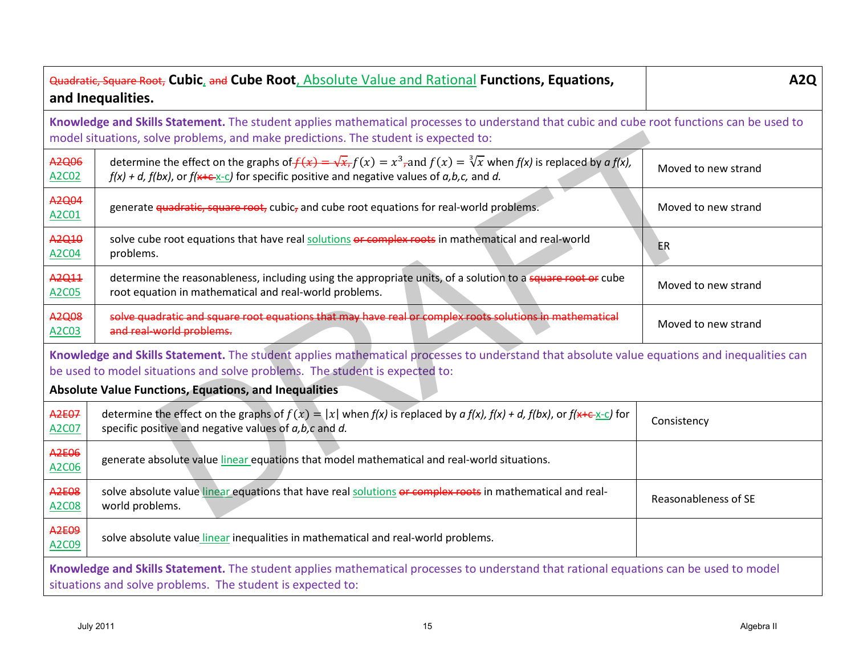| Quadratic, Square Root, Cubic, and Cube Root, Absolute Value and Rational Functions, Equations,<br>and Inequalities.                                                                                                                                                                       |                                                                                                                                                                                                                                                 | <b>A2Q</b>           |
|--------------------------------------------------------------------------------------------------------------------------------------------------------------------------------------------------------------------------------------------------------------------------------------------|-------------------------------------------------------------------------------------------------------------------------------------------------------------------------------------------------------------------------------------------------|----------------------|
| model situations, solve problems, and make predictions. The student is expected to:                                                                                                                                                                                                        | Knowledge and Skills Statement. The student applies mathematical processes to understand that cubic and cube root functions can be used to                                                                                                      |                      |
| A2Q06<br>A2C02                                                                                                                                                                                                                                                                             | determine the effect on the graphs of $f(x) = \sqrt{x}$ , $f(x) = x^3$ , and $f(x) = \sqrt[3]{x}$ when $f(x)$ is replaced by a $f(x)$ ,<br>$f(x) + d$ , $f(bx)$ , or $f(x+c^{-})$ for specific positive and negative values of $a,b,c$ , and d. | Moved to new strand  |
| A2Q04<br>A2C01                                                                                                                                                                                                                                                                             | generate quadratic, square root, cubic, and cube root equations for real-world problems.                                                                                                                                                        | Moved to new strand  |
| A2Q10<br>A2C04                                                                                                                                                                                                                                                                             | solve cube root equations that have real solutions or complex roots in mathematical and real-world<br>problems.                                                                                                                                 | <b>ER</b>            |
| A2Q11<br>A2C05                                                                                                                                                                                                                                                                             | determine the reasonableness, including using the appropriate units, of a solution to a square root or cube<br>root equation in mathematical and real-world problems.                                                                           | Moved to new strand  |
| A2Q08<br>A2C03                                                                                                                                                                                                                                                                             | solve quadratic and square root equations that may have real or complex roots solutions in mathematical<br>and real-world problems.                                                                                                             | Moved to new strand  |
| Knowledge and Skills Statement. The student applies mathematical processes to understand that absolute value equations and inequalities can<br>be used to model situations and solve problems. The student is expected to:<br><b>Absolute Value Functions, Equations, and Inequalities</b> |                                                                                                                                                                                                                                                 |                      |
| <b>A2E07</b><br>A2C07                                                                                                                                                                                                                                                                      | determine the effect on the graphs of $f(x) =  x $ when $f(x)$ is replaced by $a f(x)$ , $f(x) + d$ , $f(bx)$ , or $f(x + c^{-1}c)$ for<br>specific positive and negative values of a, b, c and d.                                              | Consistency          |
| <b>A2E06</b><br>A2C06                                                                                                                                                                                                                                                                      | generate absolute value linear equations that model mathematical and real-world situations.                                                                                                                                                     |                      |
| <b>A2E08</b><br>A2C08                                                                                                                                                                                                                                                                      | solve absolute value linear equations that have real solutions or complex roots in mathematical and real-<br>world problems.                                                                                                                    | Reasonableness of SE |
| <b>A2E09</b><br>A2C09                                                                                                                                                                                                                                                                      | solve absolute value linear inequalities in mathematical and real-world problems.                                                                                                                                                               |                      |
| Knowledge and Skills Statement. The student applies mathematical processes to understand that rational equations can be used to model<br>situations and solve problems. The student is expected to:                                                                                        |                                                                                                                                                                                                                                                 |                      |
|                                                                                                                                                                                                                                                                                            | <b>July 2011</b><br>15                                                                                                                                                                                                                          | Algebra II           |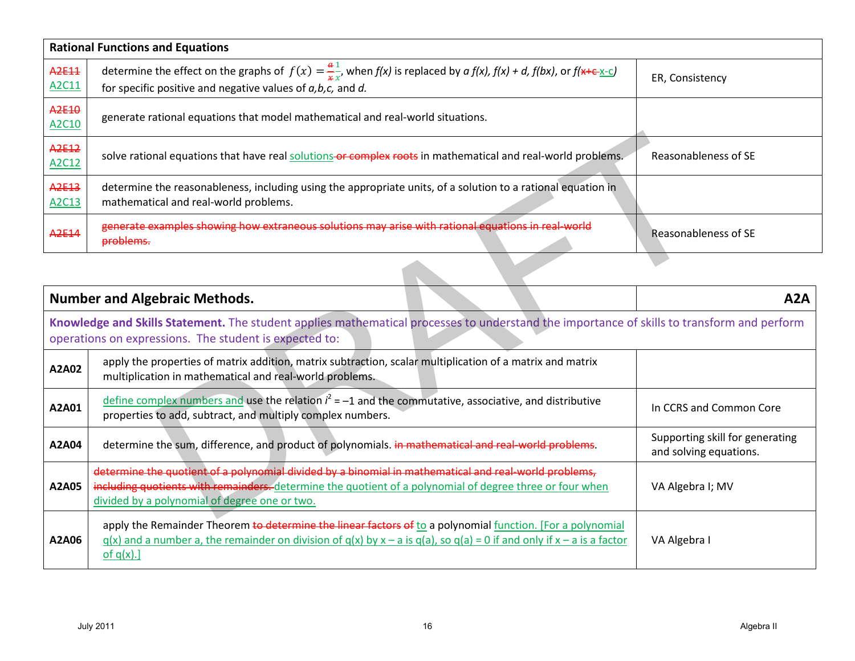|                            | <b>Rational Functions and Equations</b>                                                                                                                                                                            |                      |  |
|----------------------------|--------------------------------------------------------------------------------------------------------------------------------------------------------------------------------------------------------------------|----------------------|--|
| A2E11<br>A2C11             | determine the effect on the graphs of $f(x) = \frac{a}{x} \frac{1}{x}$ , when $f(x)$ is replaced by $a f(x)$ , $f(x) + d$ , $f(bx)$ , or $f(x+c)$<br>for specific positive and negative values of $a,b,c$ , and d. | ER, Consistency      |  |
| A2E10<br>A2C10             | generate rational equations that model mathematical and real-world situations.                                                                                                                                     |                      |  |
| A2E12<br>A2C12             | solve rational equations that have real solutions-or complex roots in mathematical and real-world problems.                                                                                                        | Reasonableness of SE |  |
| A <sub>2E13</sub><br>A2C13 | determine the reasonableness, including using the appropriate units, of a solution to a rational equation in<br>mathematical and real-world problems.                                                              |                      |  |
| A <sub>2E14</sub>          | generate examples showing how extraneous solutions may arise with rational equations in real-world<br>problems.                                                                                                    | Reasonableness of SE |  |

| A <sub>2E12</sub><br>A2C12 | solve rational equations that have real solutions or complex roots in mathematical and real-world problems.                                                                                                                                                        | Reasonableness of SE                                      |
|----------------------------|--------------------------------------------------------------------------------------------------------------------------------------------------------------------------------------------------------------------------------------------------------------------|-----------------------------------------------------------|
| A2E13<br>A2C13             | determine the reasonableness, including using the appropriate units, of a solution to a rational equation in<br>mathematical and real-world problems.                                                                                                              |                                                           |
| A <sub>2E14</sub>          | generate examples showing how extraneous solutions may arise with rational equations in real-world<br>problems.                                                                                                                                                    | Reasonableness of SE                                      |
|                            |                                                                                                                                                                                                                                                                    |                                                           |
|                            | <b>Number and Algebraic Methods.</b>                                                                                                                                                                                                                               | A2A                                                       |
|                            | Knowledge and Skills Statement. The student applies mathematical processes to understand the importance of skills to transform and perform<br>operations on expressions. The student is expected to:                                                               |                                                           |
| A2A02                      | apply the properties of matrix addition, matrix subtraction, scalar multiplication of a matrix and matrix<br>multiplication in mathematical and real-world problems.                                                                                               |                                                           |
| A2A01                      | define complex numbers and use the relation $i^2 = -1$ and the commutative, associative, and distributive<br>properties to add, subtract, and multiply complex numbers.                                                                                            | In CCRS and Common Core                                   |
| A2A04                      | determine the sum, difference, and product of polynomials. in mathematical and real-world problems.                                                                                                                                                                | Supporting skill for generating<br>and solving equations. |
| A2A05                      | determine the quotient of a polynomial divided by a binomial in mathematical and real-world problems,<br>including quotients with remainders. determine the quotient of a polynomial of degree three or four when<br>divided by a polynomial of degree one or two. | VA Algebra I; MV                                          |
| A2A06                      | apply the Remainder Theorem to determine the linear factors of to a polynomial function. [For a polynomial<br>$q(x)$ and a number a, the remainder on division of $q(x)$ by x – a is $q(a)$ , so $q(a) = 0$ if and only if x – a is a factor<br>of $q(x)$ .]       | VA Algebra I                                              |
|                            |                                                                                                                                                                                                                                                                    |                                                           |
|                            | <b>July 2011</b><br>16                                                                                                                                                                                                                                             | Algebra II                                                |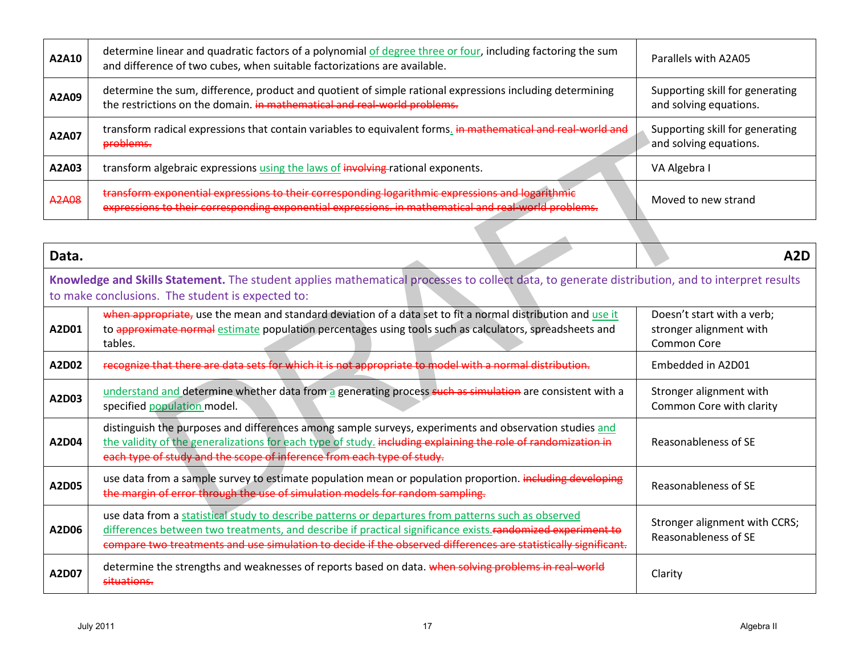| A2A10 | determine linear and quadratic factors of a polynomial of degree three or four, including factoring the sum<br>and difference of two cubes, when suitable factorizations are available.                  | Parallels with A2A05                                      |
|-------|----------------------------------------------------------------------------------------------------------------------------------------------------------------------------------------------------------|-----------------------------------------------------------|
| A2A09 | determine the sum, difference, product and quotient of simple rational expressions including determining<br>the restrictions on the domain. in mathematical and real-world problems.                     | Supporting skill for generating<br>and solving equations. |
| A2A07 | transform radical expressions that contain variables to equivalent forms. in mathematical and real-world and<br>problems.                                                                                | Supporting skill for generating<br>and solving equations. |
| A2A03 | transform algebraic expressions using the laws of involving rational exponents.                                                                                                                          | VA Algebra I                                              |
| A2A08 | transform exponential expressions to their corresponding logarithmic expressions and logarithmic<br>expressions to their corresponding exponential expressions. in mathematical and real world problems. | Moved to new strand                                       |

| A2A07        | transionii raultai expressions tiidt contain variables to equivalent forms. <del>In mathematical anu real-world anu</del><br>problems.                                                                                                                                                                                               | Supporting SKIII for generating<br>and solving equations.                   |
|--------------|--------------------------------------------------------------------------------------------------------------------------------------------------------------------------------------------------------------------------------------------------------------------------------------------------------------------------------------|-----------------------------------------------------------------------------|
| A2A03        | transform algebraic expressions using the laws of involving rational exponents.                                                                                                                                                                                                                                                      | VA Algebra I                                                                |
| <b>A2A08</b> | transform exponential expressions to their corresponding logarithmic expressions and logarithmic<br>expressions to their corresponding exponential expressions. in mathematical and real world problems.                                                                                                                             | Moved to new strand                                                         |
|              |                                                                                                                                                                                                                                                                                                                                      |                                                                             |
| Data.        |                                                                                                                                                                                                                                                                                                                                      | A <sub>2</sub> D                                                            |
|              | Knowledge and Skills Statement. The student applies mathematical processes to collect data, to generate distribution, and to interpret results<br>to make conclusions. The student is expected to:                                                                                                                                   |                                                                             |
| A2D01        | when appropriate, use the mean and standard deviation of a data set to fit a normal distribution and use it<br>to approximate normal estimate population percentages using tools such as calculators, spreadsheets and<br>tables.                                                                                                    | Doesn't start with a verb;<br>stronger alignment with<br><b>Common Core</b> |
| A2D02        | recognize that there are data sets for which it is not appropriate to model with a normal distribution.                                                                                                                                                                                                                              | Embedded in A2D01                                                           |
| A2D03        | understand and determine whether data from a generating process such as simulation are consistent with a<br>specified population model.                                                                                                                                                                                              | Stronger alignment with<br>Common Core with clarity                         |
| A2D04        | distinguish the purposes and differences among sample surveys, experiments and observation studies and<br>the validity of the generalizations for each type of study, including explaining the role of randomization in<br>each type of study and the scope of inference from each type of study.                                    | Reasonableness of SE                                                        |
| A2D05        | use data from a sample survey to estimate population mean or population proportion. including developing<br>the margin of error through the use of simulation models for random sampling.                                                                                                                                            | Reasonableness of SE                                                        |
| A2D06        | use data from a statistical study to describe patterns or departures from patterns such as observed<br>differences between two treatments, and describe if practical significance exists. randomized experiment to<br>compare two treatments and use simulation to decide if the observed differences are statistically significant. | Stronger alignment with CCRS;<br>Reasonableness of SE                       |
| A2D07        | determine the strengths and weaknesses of reports based on data. when solving problems in real world<br>situations.                                                                                                                                                                                                                  | Clarity                                                                     |
|              | <b>July 2011</b><br>17                                                                                                                                                                                                                                                                                                               | Algebra II                                                                  |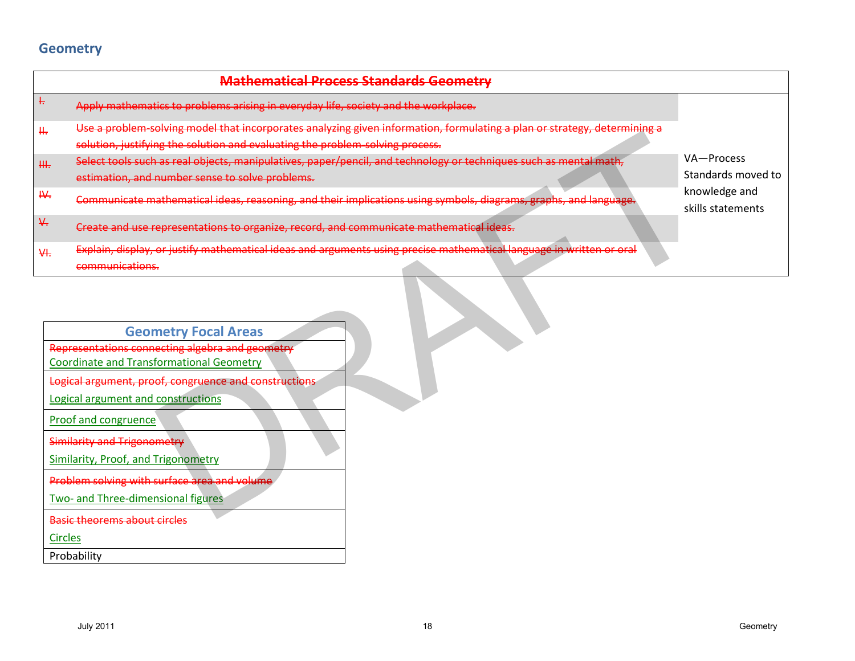## **Geometry**

|    |                                                                                                                                                                                                                                                                                                                                                                                                                      | <b>Mathematical Process Standards Geometry</b>                                                                           |                                    |
|----|----------------------------------------------------------------------------------------------------------------------------------------------------------------------------------------------------------------------------------------------------------------------------------------------------------------------------------------------------------------------------------------------------------------------|--------------------------------------------------------------------------------------------------------------------------|------------------------------------|
| Ļ, | Apply mathematics to problems arising in everyday life, society and the workplace.                                                                                                                                                                                                                                                                                                                                   |                                                                                                                          |                                    |
| Щ. |                                                                                                                                                                                                                                                                                                                                                                                                                      | Use a problem-solving model that incorporates analyzing given information, formulating a plan or strategy, determining a |                                    |
|    | solution, justifying the solution and evaluating the problem-solving process.                                                                                                                                                                                                                                                                                                                                        |                                                                                                                          |                                    |
| Щ. | Select tools such as real objects, manipulatives, paper/pencil, and technology or techniques such as mental math,                                                                                                                                                                                                                                                                                                    |                                                                                                                          | VA-Process                         |
|    | estimation, and number sense to solve problems.                                                                                                                                                                                                                                                                                                                                                                      |                                                                                                                          | Standards moved to                 |
| ₩. |                                                                                                                                                                                                                                                                                                                                                                                                                      | Communicate mathematical ideas, reasoning, and their implications using symbols, diagrams, graphs, and language.         | knowledge and<br>skills statements |
| ₩. | Create and use representations to organize, record, and communicate mathematical ideas.                                                                                                                                                                                                                                                                                                                              |                                                                                                                          |                                    |
| ₩. |                                                                                                                                                                                                                                                                                                                                                                                                                      | Explain, display, or justify mathematical ideas and arguments using precise mathematical language in written or oral     |                                    |
|    | communications.                                                                                                                                                                                                                                                                                                                                                                                                      |                                                                                                                          |                                    |
|    | <b>Geometry Focal Areas</b><br>Representations connecting algebra and geometry<br><b>Coordinate and Transformational Geometry</b><br>Logical argument, proof, congruence and constructions<br>Logical argument and constructions<br>Proof and congruence<br>Similarity and Trigonometry<br>Similarity, Proof, and Trigonometry<br>Problem solving with surface area and volume<br>Two- and Three-dimensional figures |                                                                                                                          |                                    |
|    | <b>Basic theorems about circles</b>                                                                                                                                                                                                                                                                                                                                                                                  |                                                                                                                          |                                    |
|    | <b>Circles</b>                                                                                                                                                                                                                                                                                                                                                                                                       |                                                                                                                          |                                    |
|    | Probability                                                                                                                                                                                                                                                                                                                                                                                                          |                                                                                                                          |                                    |
|    | <b>July 2011</b>                                                                                                                                                                                                                                                                                                                                                                                                     | 18                                                                                                                       | Geometry                           |

| <b>Geometry Focal Areas</b>                           |  |
|-------------------------------------------------------|--|
| Representations connecting algebra and geometry       |  |
| <b>Coordinate and Transformational Geometry</b>       |  |
| Logical argument, proof, congruence and constructions |  |
| Logical argument and constructions                    |  |
| Proof and congruence                                  |  |
| <b>Similarity and Trigonometry</b>                    |  |
| Similarity, Proof, and Trigonometry                   |  |
| Problem solving with surface area and volume          |  |
| Two- and Three-dimensional figures                    |  |
| <b>Basic theorems about circles</b>                   |  |
| <b>Circles</b>                                        |  |
| Probability                                           |  |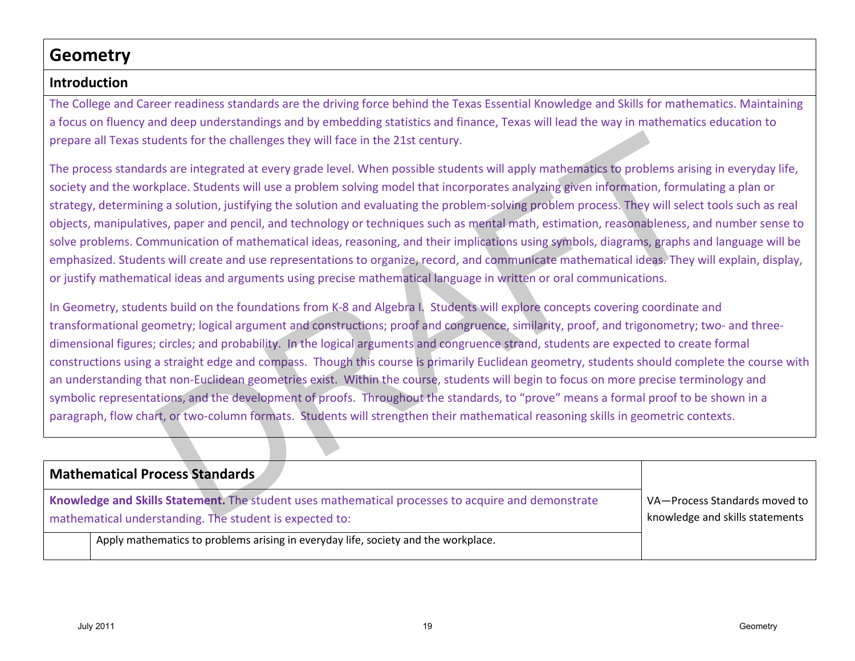# **Geometry**

### **Introduction**

The College and Career readiness standards are the driving force behind the Texas Essential Knowledge and Skills for mathematics. Maintaining a focus on fluency and deep understandings and by embedding statistics and finance, Texas will lead the way in mathematics education to prepare all Texas students for the challenges they will face in the 21st century.

The process standards are integrated at every grade level. When possible students will apply mathematics to problems arising in everyday life, society and the workplace. Students will use a problem solving model that incorporates analyzing given information, formulating a plan or strategy, determining a solution, justifying the solution and evaluating the problem-solving problem process. They will select tools such as real objects, manipulatives, paper and pencil, and technology or techniques such as mental math, estimation, reasonableness, and number sense to solve problems. Communication of mathematical ideas, reasoning, and their implications using symbols, diagrams, graphs and language will be emphasized. Students will create and use representations to organize, record, and communicate mathematical ideas. They will explain, display, or justify mathematical ideas and arguments using precise mathematical language in written or oral communications.

In Geometry, students build on the foundations from K-8 and Algebra I. Students will explore concepts covering coordinate and transformational geometry; logical argument and constructions; proof and congruence, similarity, proof, and trigonometry; two- and threedimensional figures; circles; and probability. In the logical arguments and congruence strand, students are expected to create formal constructions using a straight edge and compass. Though this course is primarily Euclidean geometry, students should complete the course with an understanding that non-Euclidean geometries exist. Within the course, students will begin to focus on more precise terminology and symbolic representations, and the development of proofs. Throughout the standards, to "prove" means a formal proof to be shown in a paragraph, flow chart, or two-column formats. Students will strengthen their mathematical reasoning skills in geometric contexts. Ire all Texas students for the challenges they will face in the 21st century.<br>
Youted root as standard are integrated at every grade loeel, When possible students will apply mathematics to problems arising in every<br>stay an

| <b>Mathematical Process Standards</b>                                                                                                                         |                                                                  |
|---------------------------------------------------------------------------------------------------------------------------------------------------------------|------------------------------------------------------------------|
| Knowledge and Skills Statement. The student uses mathematical processes to acquire and demonstrate<br>mathematical understanding. The student is expected to: | VA-Process Standards moved to<br>knowledge and skills statements |
| Apply mathematics to problems arising in everyday life, society and the workplace.                                                                            |                                                                  |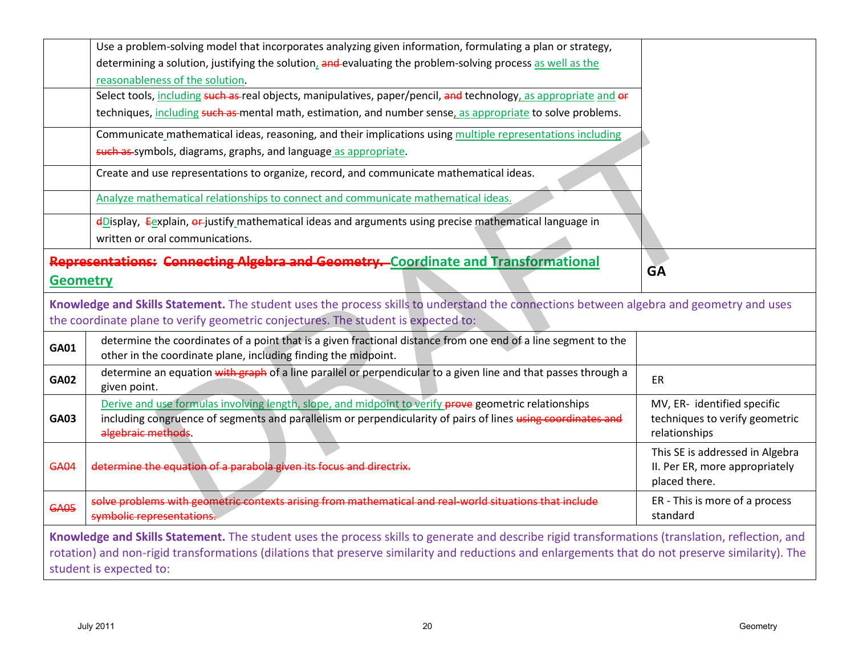|                 | Use a problem-solving model that incorporates analyzing given information, formulating a plan or strategy,                                                                                                                                                                                                                       |                                                                                    |
|-----------------|----------------------------------------------------------------------------------------------------------------------------------------------------------------------------------------------------------------------------------------------------------------------------------------------------------------------------------|------------------------------------------------------------------------------------|
|                 | determining a solution, justifying the solution, and evaluating the problem-solving process as well as the                                                                                                                                                                                                                       |                                                                                    |
|                 | reasonableness of the solution.                                                                                                                                                                                                                                                                                                  |                                                                                    |
|                 | Select tools, including such as-real objects, manipulatives, paper/pencil, and technology, as appropriate and or                                                                                                                                                                                                                 |                                                                                    |
|                 | techniques, including such as mental math, estimation, and number sense, as appropriate to solve problems.                                                                                                                                                                                                                       |                                                                                    |
|                 | Communicate mathematical ideas, reasoning, and their implications using multiple representations including                                                                                                                                                                                                                       |                                                                                    |
|                 | such as symbols, diagrams, graphs, and language as appropriate.                                                                                                                                                                                                                                                                  |                                                                                    |
|                 | Create and use representations to organize, record, and communicate mathematical ideas.                                                                                                                                                                                                                                          |                                                                                    |
|                 | Analyze mathematical relationships to connect and communicate mathematical ideas.                                                                                                                                                                                                                                                |                                                                                    |
|                 | $\frac{d}{dx}$ = $\frac{d}{dx}$ = $\frac{d}{dx}$ = $\frac{d}{dx}$ = $\frac{d}{dx}$ are attempt in the state ideas and arguments using precise mathematical language in                                                                                                                                                           |                                                                                    |
|                 | written or oral communications.                                                                                                                                                                                                                                                                                                  |                                                                                    |
| <b>Geometry</b> | <b>Representations: Connecting Algebra and Geometry.</b> Coordinate and Transformational                                                                                                                                                                                                                                         | <b>GA</b>                                                                          |
|                 | Knowledge and Skills Statement. The student uses the process skills to understand the connections between algebra and geometry and uses<br>the coordinate plane to verify geometric conjectures. The student is expected to:                                                                                                     |                                                                                    |
| <b>GA01</b>     | determine the coordinates of a point that is a given fractional distance from one end of a line segment to the<br>other in the coordinate plane, including finding the midpoint.                                                                                                                                                 |                                                                                    |
| <b>GA02</b>     | determine an equation with graph of a line parallel or perpendicular to a given line and that passes through a<br>given point.                                                                                                                                                                                                   | ER                                                                                 |
| <b>GA03</b>     | Derive and use formulas involving length, slope, and midpoint to verify prove geometric relationships<br>including congruence of segments and parallelism or perpendicularity of pairs of lines using coordinates and<br>algebraic methods.                                                                                      | MV, ER- identified specific<br>techniques to verify geometric<br>relationships     |
| <b>GA04</b>     | determine the equation of a parabola given its focus and directrix.                                                                                                                                                                                                                                                              | This SE is addressed in Algebra<br>II. Per ER, more appropriately<br>placed there. |
| <b>GA05</b>     | real world situations that include<br>solve problems with geometric contexts arising from mathematical<br>symbolic representations.                                                                                                                                                                                              | ER - This is more of a process<br>standard                                         |
|                 | Knowledge and Skills Statement. The student uses the process skills to generate and describe rigid transformations (translation, reflection, and<br>rotation) and non-rigid transformations (dilations that preserve similarity and reductions and enlargements that do not preserve similarity). The<br>student is expected to: |                                                                                    |
|                 |                                                                                                                                                                                                                                                                                                                                  |                                                                                    |
|                 | <b>July 2011</b><br>20                                                                                                                                                                                                                                                                                                           | Geometry                                                                           |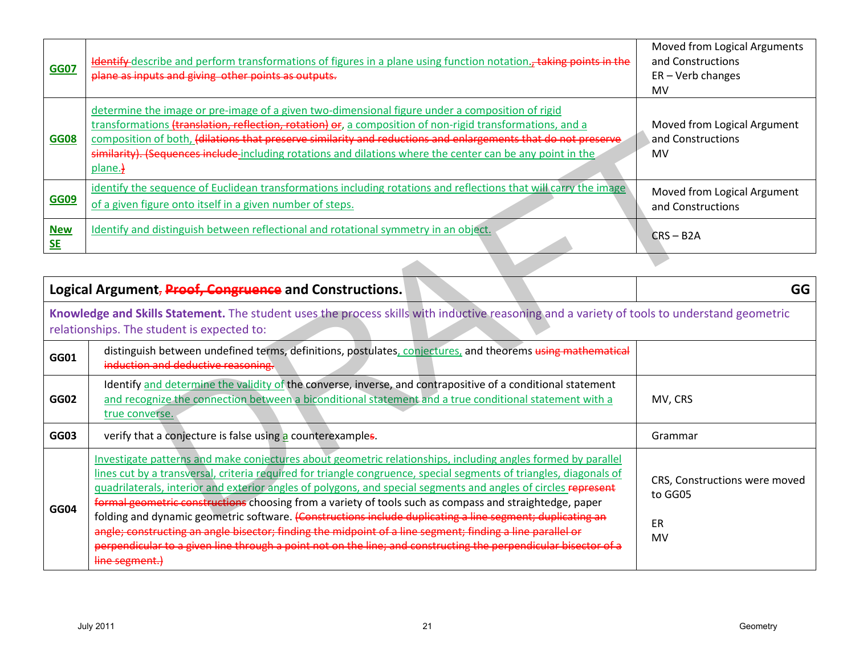| <b>GG07</b>             | ldentify describe and perform transformations of figures in a plane using function notation., taking points in the<br>plane as inputs and giving other points as outputs.                                                                                                                                                                                                                                                                             | Moved from Logical Arguments<br>and Constructions<br>$ER - Verb$ changes<br>MV |
|-------------------------|-------------------------------------------------------------------------------------------------------------------------------------------------------------------------------------------------------------------------------------------------------------------------------------------------------------------------------------------------------------------------------------------------------------------------------------------------------|--------------------------------------------------------------------------------|
| <b>GG08</b>             | determine the image or pre-image of a given two-dimensional figure under a composition of rigid<br>transformations (translation, reflection, rotation) or, a composition of non-rigid transformations, and a<br>composition of both, (dilations that preserve similarity and reductions and enlargements that do not preserve<br>similarity). (Sequences include including rotations and dilations where the center can be any point in the<br>plane. | Moved from Logical Argument<br>and Constructions<br>MV                         |
| <b>GG09</b>             | identify the sequence of Euclidean transformations including rotations and reflections that will carry the image<br>of a given figure onto itself in a given number of steps.                                                                                                                                                                                                                                                                         | Moved from Logical Argument<br>and Constructions                               |
| <b>New</b><br><b>SE</b> | Identify and distinguish between reflectional and rotational symmetry in an object.                                                                                                                                                                                                                                                                                                                                                                   | $CRS - B2A$                                                                    |

| <b>GG08</b>             | composition of both, (dilations that preserve similarity and reductions and enlargements that do not preserve<br>similarity). (Sequences include-including rotations and dilations where the center can be any point in the<br>plane.}                                                                                                                                                                                                                                                                                                                                                                                                                                                                                                                                                                                         | and Constructions<br>MV                              |
|-------------------------|--------------------------------------------------------------------------------------------------------------------------------------------------------------------------------------------------------------------------------------------------------------------------------------------------------------------------------------------------------------------------------------------------------------------------------------------------------------------------------------------------------------------------------------------------------------------------------------------------------------------------------------------------------------------------------------------------------------------------------------------------------------------------------------------------------------------------------|------------------------------------------------------|
| <b>GG09</b>             | identify the sequence of Euclidean transformations including rotations and reflections that will carry the image<br>of a given figure onto itself in a given number of steps.                                                                                                                                                                                                                                                                                                                                                                                                                                                                                                                                                                                                                                                  | Moved from Logical Argument<br>and Constructions     |
| <b>New</b><br><b>SE</b> | Identify and distinguish between reflectional and rotational symmetry in an object.                                                                                                                                                                                                                                                                                                                                                                                                                                                                                                                                                                                                                                                                                                                                            | $CRS - B2A$                                          |
|                         | Logical Argument, Proof, Congruence and Constructions.                                                                                                                                                                                                                                                                                                                                                                                                                                                                                                                                                                                                                                                                                                                                                                         | GG                                                   |
|                         | Knowledge and Skills Statement. The student uses the process skills with inductive reasoning and a variety of tools to understand geometric<br>relationships. The student is expected to:                                                                                                                                                                                                                                                                                                                                                                                                                                                                                                                                                                                                                                      |                                                      |
| GG01                    | distinguish between undefined terms, definitions, postulates, conjectures, and theorems using mathematical<br>induction and deductive reasoning.                                                                                                                                                                                                                                                                                                                                                                                                                                                                                                                                                                                                                                                                               |                                                      |
| GG02                    | Identify and determine the validity of the converse, inverse, and contrapositive of a conditional statement<br>and recognize the connection between a biconditional statement and a true conditional statement with a<br>true converse.                                                                                                                                                                                                                                                                                                                                                                                                                                                                                                                                                                                        | MV, CRS                                              |
| GG03                    | verify that a conjecture is false using a counterexamples.                                                                                                                                                                                                                                                                                                                                                                                                                                                                                                                                                                                                                                                                                                                                                                     | Grammar                                              |
| <b>GG04</b>             | Investigate patterns and make conjectures about geometric relationships, including angles formed by parallel<br>lines cut by a transversal, criteria required for triangle congruence, special segments of triangles, diagonals of<br>guadrilaterals, interior and exterior angles of polygons, and special segments and angles of circles represent<br>formal geometric constructions choosing from a variety of tools such as compass and straightedge, paper<br>folding and dynamic geometric software. (Constructions include duplicating a line segment; duplicating an<br>angle; constructing an angle bisector; finding the midpoint of a line segment; finding a line parallel or<br>perpendicular to a given line through a point not on the line; and constructing the perpendicular bisector of a<br>line segment.) | CRS, Constructions were moved<br>to GG05<br>ER<br>MV |
|                         | <b>July 2011</b><br>21                                                                                                                                                                                                                                                                                                                                                                                                                                                                                                                                                                                                                                                                                                                                                                                                         | Geometry                                             |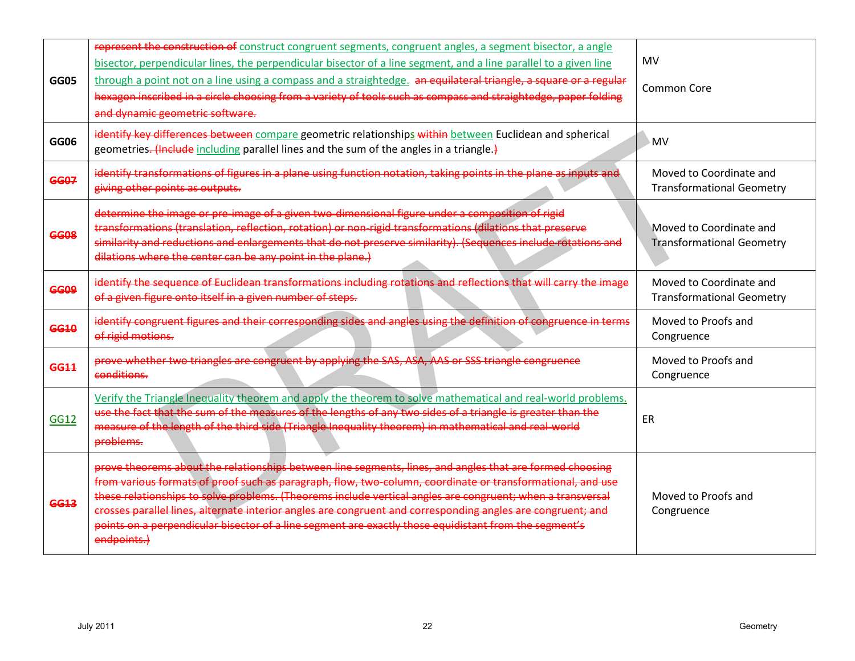| <b>GG05</b> | represent the construction of construct congruent segments, congruent angles, a segment bisector, a angle<br>bisector, perpendicular lines, the perpendicular bisector of a line segment, and a line parallel to a given line<br>through a point not on a line using a compass and a straightedge. an equilateral triangle, a square or a regular                                                                                                                                                                                                                           | MV<br><b>Common Core</b>                                    |
|-------------|-----------------------------------------------------------------------------------------------------------------------------------------------------------------------------------------------------------------------------------------------------------------------------------------------------------------------------------------------------------------------------------------------------------------------------------------------------------------------------------------------------------------------------------------------------------------------------|-------------------------------------------------------------|
|             | hexagon inscribed in a circle choosing from a variety of tools such as compass and straightedge, paper folding<br>and dynamic geometric software.                                                                                                                                                                                                                                                                                                                                                                                                                           |                                                             |
| GG06        | identify key differences between compare geometric relationships within between Euclidean and spherical<br>geometries. (Include including parallel lines and the sum of the angles in a triangle.)                                                                                                                                                                                                                                                                                                                                                                          | <b>MV</b>                                                   |
| <b>GG07</b> | identify transformations of figures in a plane using function notation, taking points in the plane as inputs and<br>giving other points as outputs.                                                                                                                                                                                                                                                                                                                                                                                                                         | Moved to Coordinate and<br><b>Transformational Geometry</b> |
| <b>GG08</b> | determine the image or pre-image of a given two-dimensional figure under a composition of rigid<br>transformations (translation, reflection, rotation) or non-rigid transformations (dilations that preserve<br>similarity and reductions and enlargements that do not preserve similarity). (Sequences include rotations and<br>dilations where the center can be any point in the plane.)                                                                                                                                                                                 | Moved to Coordinate and<br><b>Transformational Geometry</b> |
| <b>GG09</b> | identify the sequence of Euclidean transformations including rotations and reflections that will carry the image<br>of a given figure onto itself in a given number of steps.                                                                                                                                                                                                                                                                                                                                                                                               | Moved to Coordinate and<br><b>Transformational Geometry</b> |
| <b>GG10</b> | identify congruent figures and their corresponding sides and angles using the definition of congruence in terms<br>of rigid motions.                                                                                                                                                                                                                                                                                                                                                                                                                                        | Moved to Proofs and<br>Congruence                           |
| <b>GG11</b> | prove whether two triangles are congruent by applying the SAS, ASA, AAS or SSS triangle congruence<br>conditions.                                                                                                                                                                                                                                                                                                                                                                                                                                                           | Moved to Proofs and<br>Congruence                           |
| <b>GG12</b> | Verify the Triangle Inequality theorem and apply the theorem to solve mathematical and real-world problems.<br>use the fact that the sum of the measures of the lengths of any two sides of a triangle is greater than the<br>measure of the length of the third side (Triangle Inequality theorem) in mathematical and real-world<br>problems.                                                                                                                                                                                                                             | ER                                                          |
| GG13        | prove theorems about the relationships between line segments, lines, and angles that are formed choosing<br>from various formats of proof such as paragraph, flow, two-column, coordinate or transformational, and use<br>these relationships to solve problems. (Theorems include vertical angles are congruent; when a transversal<br>crosses parallel lines, alternate interior angles are congruent and corresponding angles are congruent; and<br>points on a perpendicular bisector of a line segment are exactly those equidistant from the segment's<br>endpoints.) | Moved to Proofs and<br>Congruence                           |
|             |                                                                                                                                                                                                                                                                                                                                                                                                                                                                                                                                                                             |                                                             |
|             | <b>July 2011</b><br>22                                                                                                                                                                                                                                                                                                                                                                                                                                                                                                                                                      | Geometry                                                    |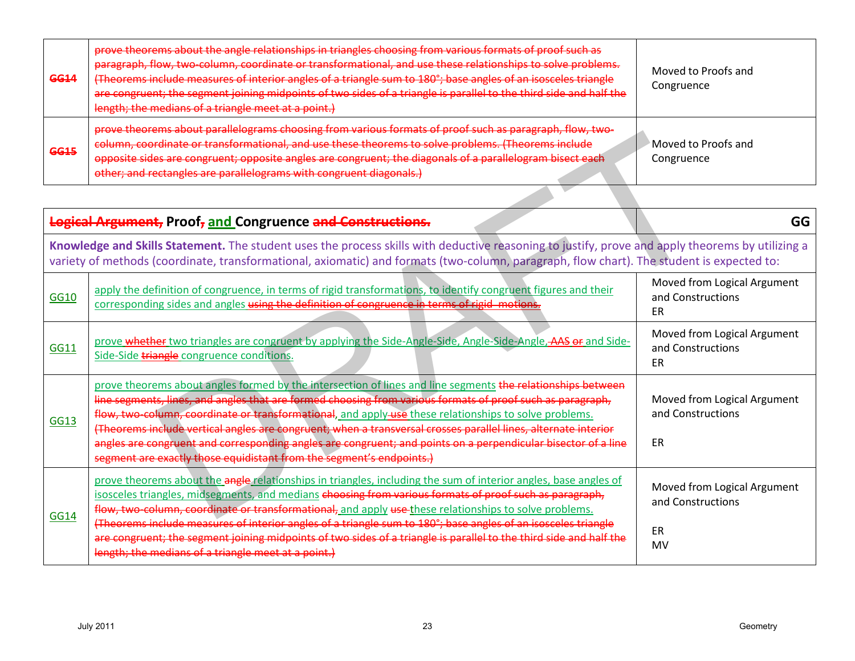| <b>GG14</b> | prove theorems about the angle relationships in triangles choosing from various formats of proof such as<br>paragraph, flow, two-column, coordinate or transformational, and use these relationships to solve problems.<br>(Theorems include measures of interior angles of a triangle sum to 180°; base angles of an isosceles triangle<br>are congruent; the segment joining midpoints of two sides of a triangle is parallel to the third side and half the<br>length; the medians of a triangle meet at a point.) | Moved to Proofs and<br>Congruence |
|-------------|-----------------------------------------------------------------------------------------------------------------------------------------------------------------------------------------------------------------------------------------------------------------------------------------------------------------------------------------------------------------------------------------------------------------------------------------------------------------------------------------------------------------------|-----------------------------------|
| <b>GG15</b> | prove theorems about parallelograms choosing from various formats of proof such as paragraph, flow, two-<br>column, coordinate or transformational, and use these theorems to solve problems. (Theorems include<br>opposite sides are congruent; opposite angles are congruent; the diagonals of a parallelogram bisect each<br>other; and rectangles are parallelograms with congruent diagonals.)                                                                                                                   | Moved to Proofs and<br>Congruence |

| <b>GG15</b> | <del>prove theorems about paralieiograms choosing from vanous formats or proor such as paragraph, now, two-</del><br>column, coordinate or transformational, and use these theorems to solve problems. (Theorems include<br>opposite sides are congruent; opposite angles are congruent; the diagonals of a parallelogram bisect each<br>other; and rectangles are parallelograms with congruent diagonals.)                                                                                                                                                                                                                                   | Moved to Proofs and<br>Congruence                      |
|-------------|------------------------------------------------------------------------------------------------------------------------------------------------------------------------------------------------------------------------------------------------------------------------------------------------------------------------------------------------------------------------------------------------------------------------------------------------------------------------------------------------------------------------------------------------------------------------------------------------------------------------------------------------|--------------------------------------------------------|
|             |                                                                                                                                                                                                                                                                                                                                                                                                                                                                                                                                                                                                                                                |                                                        |
|             | Logical Argument, Proof, and Congruence and Constructions.                                                                                                                                                                                                                                                                                                                                                                                                                                                                                                                                                                                     | GG                                                     |
|             | Knowledge and Skills Statement. The student uses the process skills with deductive reasoning to justify, prove and apply theorems by utilizing a<br>variety of methods (coordinate, transformational, axiomatic) and formats (two-column, paragraph, flow chart). The student is expected to:                                                                                                                                                                                                                                                                                                                                                  |                                                        |
| <b>GG10</b> | apply the definition of congruence, in terms of rigid transformations, to identify congruent figures and their<br>corresponding sides and angles using the definition of congruence in terms of rigid motions.                                                                                                                                                                                                                                                                                                                                                                                                                                 | Moved from Logical Argument<br>and Constructions<br>ER |
| GG11        | prove whether two triangles are congruent by applying the Side-Angle-Side, Angle-Side-Angle, AAS or and Side-<br>Side-Side triangle congruence conditions.                                                                                                                                                                                                                                                                                                                                                                                                                                                                                     | Moved from Logical Argument<br>and Constructions<br>ER |
| <b>GG13</b> | prove theorems about angles formed by the intersection of lines and line segments the relationships between<br>line segments, lines, and angles that are formed choosing from various formats of proof such as paragraph,<br>flow, two-column, coordinate or transformational, and apply-use these relationships to solve problems.<br>(Theorems include vertical angles are congruent; when a transversal crosses parallel lines, alternate interior<br>angles are congruent and corresponding angles are congruent; and points on a perpendicular bisector of a line<br>segment are exactly those equidistant from the segment's endpoints.) | Moved from Logical Argument<br>and Constructions<br>ER |
| <b>GG14</b> | prove theorems about the angle relationships in triangles, including the sum of interior angles, base angles of<br>isosceles triangles, midsegments, and medians choosing from various formats of proof such as paragraph,<br>flow, two-column, coordinate or transformational, and apply use these relationships to solve problems.                                                                                                                                                                                                                                                                                                           | Moved from Logical Argument<br>and Constructions       |
|             | (Theorems include measures of interior angles of a triangle sum to 180°; base angles of an isosceles triangle<br>are congruent; the segment joining midpoints of two sides of a triangle is parallel to the third side and half the<br>length; the medians of a triangle meet at a point.)                                                                                                                                                                                                                                                                                                                                                     | ER<br>MV                                               |
|             |                                                                                                                                                                                                                                                                                                                                                                                                                                                                                                                                                                                                                                                |                                                        |
|             | <b>July 2011</b><br>23                                                                                                                                                                                                                                                                                                                                                                                                                                                                                                                                                                                                                         | Geometry                                               |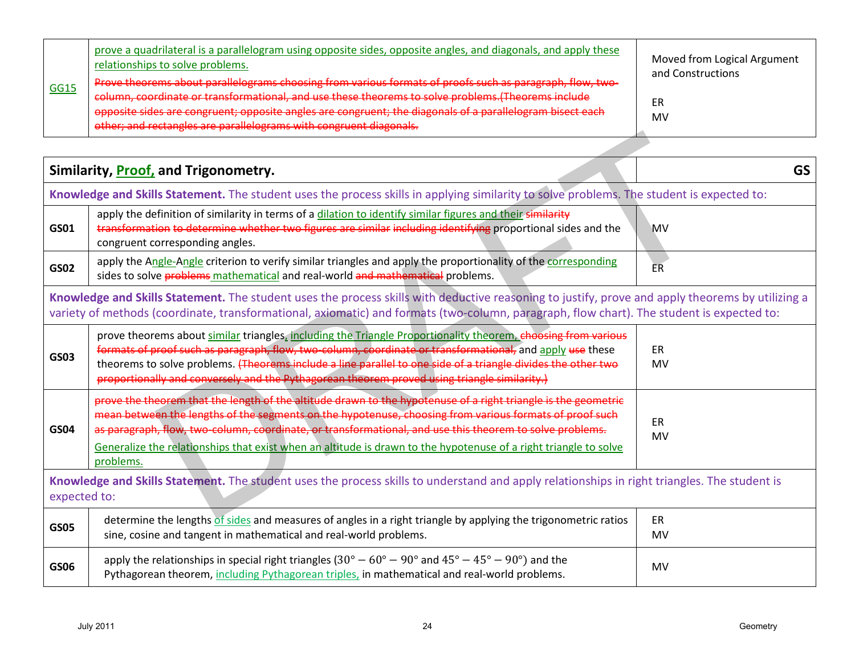| <b>GG15</b> | prove a quadrilateral is a parallelogram using opposite sides, opposite angles, and diagonals, and apply these<br>relationships to solve problems.<br>Prove theorems about parallelograms choosing from various formats of proofs such as paragraph, flow, two-                        | Moved from Logical Argument<br>and Constructions |
|-------------|----------------------------------------------------------------------------------------------------------------------------------------------------------------------------------------------------------------------------------------------------------------------------------------|--------------------------------------------------|
|             | column, coordinate or transformational, and use these theorems to solve problems. (Theorems include<br>opposite sides are congruent; opposite angles are congruent; the diagonals of a parallelogram bisect each<br>other; and rectangles are parallelograms with congruent diagonals. | ΕR<br>M٧                                         |

|                                                                                                                                                              | Similarity, <b>Proof</b> , and Trigonometry.                                                                                                                                                                                                                                                                                                                                                                                                                           | <b>GS</b>       |
|--------------------------------------------------------------------------------------------------------------------------------------------------------------|------------------------------------------------------------------------------------------------------------------------------------------------------------------------------------------------------------------------------------------------------------------------------------------------------------------------------------------------------------------------------------------------------------------------------------------------------------------------|-----------------|
|                                                                                                                                                              | Knowledge and Skills Statement. The student uses the process skills in applying similarity to solve problems. The student is expected to:                                                                                                                                                                                                                                                                                                                              |                 |
| GS01                                                                                                                                                         | apply the definition of similarity in terms of a dilation to identify similar figures and their similarity<br>transformation to determine whether two figures are similar including identifying proportional sides and the<br>congruent corresponding angles.                                                                                                                                                                                                          | <b>MV</b>       |
| <b>GS02</b>                                                                                                                                                  | apply the Angle-Angle criterion to verify similar triangles and apply the proportionality of the corresponding<br>sides to solve problems mathematical and real-world and mathematical problems.                                                                                                                                                                                                                                                                       | ER.             |
|                                                                                                                                                              | Knowledge and Skills Statement. The student uses the process skills with deductive reasoning to justify, prove and apply theorems by utilizing a<br>variety of methods (coordinate, transformational, axiomatic) and formats (two-column, paragraph, flow chart). The student is expected to:                                                                                                                                                                          |                 |
| <b>GS03</b>                                                                                                                                                  | prove theorems about similar triangles, including the Triangle Proportionality theorem, choosing from various<br>formats of proof such as paragraph, flow, two-column, coordinate or transformational, and apply use these<br>theorems to solve problems. (Theorems include a line parallel to one side of a triangle divides the other two<br>proportionally and conversely and the Pythagorean theorem proved using triangle similarity.)                            | ER<br>MV        |
| GS04                                                                                                                                                         | prove the theorem that the length of the altitude drawn to the hypotenuse of a right triangle is the geometric<br>mean between the lengths of the segments on the hypotenuse, choosing from various formats of proof such<br>as paragraph, flow, two-column, coordinate, or transformational, and use this theorem to solve problems.<br>Generalize the relationships that exist when an altitude is drawn to the hypotenuse of a right triangle to solve<br>problems. | <b>ER</b><br>MV |
| Knowledge and Skills Statement. The student uses the process skills to understand and apply relationships in right triangles. The student is<br>expected to: |                                                                                                                                                                                                                                                                                                                                                                                                                                                                        |                 |
| <b>GS05</b>                                                                                                                                                  | determine the lengths of sides and measures of angles in a right triangle by applying the trigonometric ratios<br>sine, cosine and tangent in mathematical and real-world problems.                                                                                                                                                                                                                                                                                    | ER<br>MV        |
| <b>GS06</b>                                                                                                                                                  | apply the relationships in special right triangles ( $30^{\circ} - 60^{\circ} - 90^{\circ}$ and $45^{\circ} - 45^{\circ} - 90^{\circ}$ ) and the<br>Pythagorean theorem, including Pythagorean triples, in mathematical and real-world problems.                                                                                                                                                                                                                       | MV              |
|                                                                                                                                                              | <b>July 2011</b><br>24                                                                                                                                                                                                                                                                                                                                                                                                                                                 | Geometry        |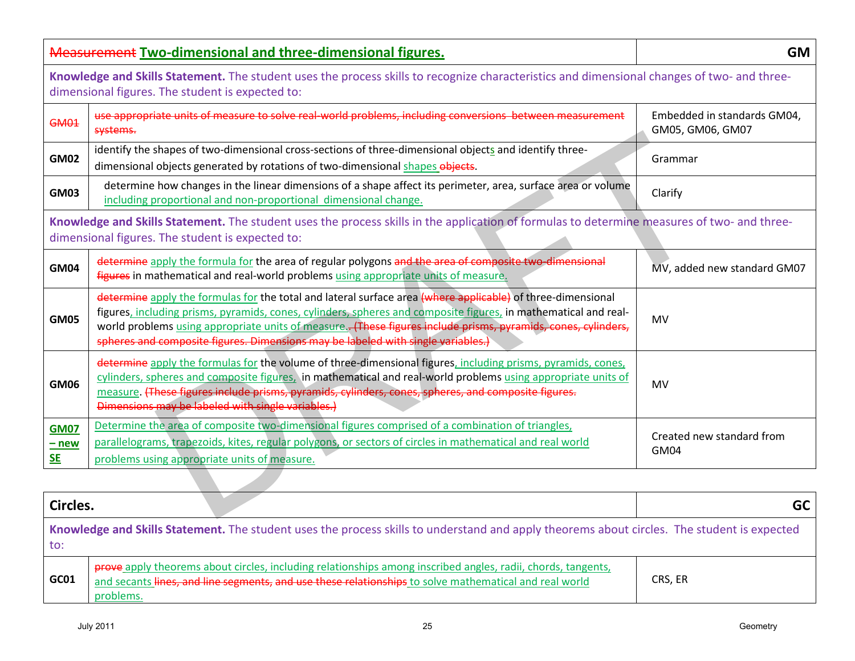|                                     | <b>Measurement Two-dimensional and three-dimensional figures.</b>                                                                                                                                                                                                                                                                                                                                                                   | <b>GM</b>                                       |
|-------------------------------------|-------------------------------------------------------------------------------------------------------------------------------------------------------------------------------------------------------------------------------------------------------------------------------------------------------------------------------------------------------------------------------------------------------------------------------------|-------------------------------------------------|
|                                     | Knowledge and Skills Statement. The student uses the process skills to recognize characteristics and dimensional changes of two- and three-<br>dimensional figures. The student is expected to:                                                                                                                                                                                                                                     |                                                 |
| <b>GM01</b>                         | use appropriate units of measure to solve real-world problems, including conversions between measurement<br>systems.                                                                                                                                                                                                                                                                                                                | Embedded in standards GM04,<br>GM05, GM06, GM07 |
| <b>GM02</b>                         | identify the shapes of two-dimensional cross-sections of three-dimensional objects and identify three-<br>dimensional objects generated by rotations of two-dimensional shapes objects.                                                                                                                                                                                                                                             | Grammar                                         |
| <b>GM03</b>                         | determine how changes in the linear dimensions of a shape affect its perimeter, area, surface area or volume<br>including proportional and non-proportional dimensional change.                                                                                                                                                                                                                                                     | Clarify                                         |
|                                     | Knowledge and Skills Statement. The student uses the process skills in the application of formulas to determine measures of two- and three-<br>dimensional figures. The student is expected to:                                                                                                                                                                                                                                     |                                                 |
| <b>GM04</b>                         | determine apply the formula for the area of regular polygons and the area of composite two-dimensional<br>figures in mathematical and real-world problems using appropriate units of measure.                                                                                                                                                                                                                                       | MV, added new standard GM07                     |
| <b>GM05</b>                         | determine apply the formulas for the total and lateral surface area (where applicable) of three-dimensional<br>figures, including prisms, pyramids, cones, cylinders, spheres and composite figures, in mathematical and real-<br>world problems using appropriate units of measure. (These figures include prisms, pyramids, cones, cylinders,<br>spheres and composite figures. Dimensions may be labeled with single variables.) | MV                                              |
| <b>GM06</b>                         | determine apply the formulas for the volume of three-dimensional figures, including prisms, pyramids, cones,<br>cylinders, spheres and composite figures, in mathematical and real-world problems using appropriate units of<br>measure. (These figures include prisms, pyramids, cylinders, cones, spheres, and composite figures.<br>Dimensions may be labeled with single variables.)                                            | MV                                              |
| <b>GM07</b><br>$-$ new<br><b>SE</b> | Determine the area of composite two-dimensional figures comprised of a combination of triangles,<br>parallelograms, trapezoids, kites, regular polygons, or sectors of circles in mathematical and real world<br>problems using appropriate units of measure.                                                                                                                                                                       | Created new standard from<br>GM04               |
|                                     |                                                                                                                                                                                                                                                                                                                                                                                                                                     |                                                 |
| Circles.                            |                                                                                                                                                                                                                                                                                                                                                                                                                                     | <b>GC</b>                                       |
| to:                                 | Knowledge and Skills Statement. The student uses the process skills to understand and apply theorems about circles. The student is expected                                                                                                                                                                                                                                                                                         |                                                 |
| GC01                                | prove apply theorems about circles, including relationships among inscribed angles, radii, chords, tangents,<br>and secants lines, and line segments, and use these relationships to solve mathematical and real world<br>problems.                                                                                                                                                                                                 | CRS, ER                                         |
|                                     | <b>July 2011</b><br>25                                                                                                                                                                                                                                                                                                                                                                                                              | Geometry                                        |

| Circles. |                                                                                                                                                                                                                                     | GC l    |  |
|----------|-------------------------------------------------------------------------------------------------------------------------------------------------------------------------------------------------------------------------------------|---------|--|
| to:      | Knowledge and Skills Statement. The student uses the process skills to understand and apply theorems about circles. The student is expected                                                                                         |         |  |
| GC01     | prove apply theorems about circles, including relationships among inscribed angles, radii, chords, tangents,<br>and secants lines, and line segments, and use these relationships to solve mathematical and real world<br>problems. | CRS, ER |  |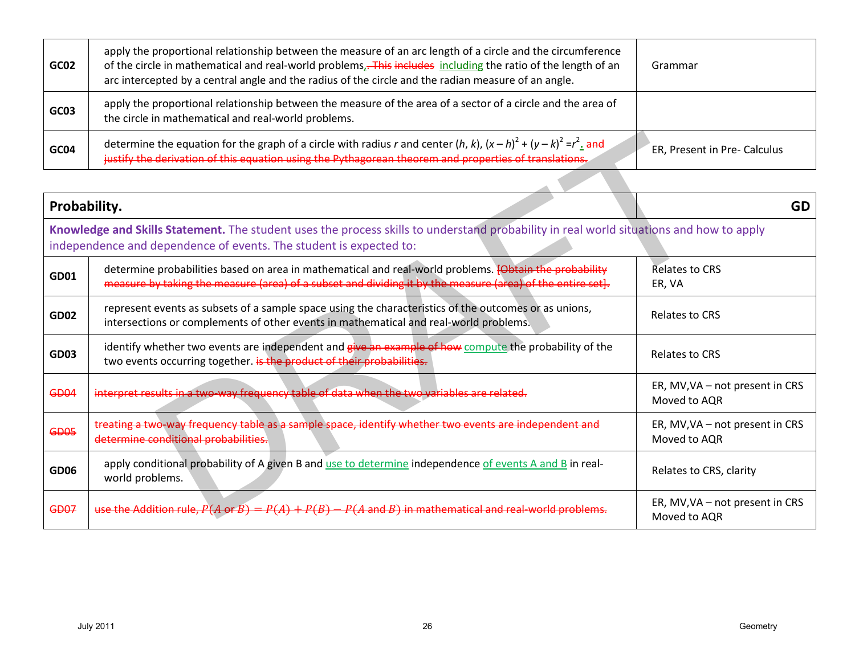| GC02 | apply the proportional relationship between the measure of an arc length of a circle and the circumference<br>of the circle in mathematical and real-world problems. This includes including the ratio of the length of an<br>arc intercepted by a central angle and the radius of the circle and the radian measure of an angle. | Grammar                      |
|------|-----------------------------------------------------------------------------------------------------------------------------------------------------------------------------------------------------------------------------------------------------------------------------------------------------------------------------------|------------------------------|
| GC03 | apply the proportional relationship between the measure of the area of a sector of a circle and the area of<br>the circle in mathematical and real-world problems.                                                                                                                                                                |                              |
| GC04 | determine the equation for the graph of a circle with radius r and center (h, k), $(x-h)^2 + (y-k)^2 = r^2$ . and<br>justify the derivation of this equation using the Pythagorean theorem and properties of translations.                                                                                                        | ER, Present in Pre- Calculus |

| GC04         | determine the equation for the graph of a circle with radius r and center (h, k), $(x - h)^2 + (y - k)^2 = r^2$ . and<br>justify the derivation of this equation using the Pythagorean theorem and properties of translations. | ER, Present in Pre- Calculus                    |
|--------------|--------------------------------------------------------------------------------------------------------------------------------------------------------------------------------------------------------------------------------|-------------------------------------------------|
|              |                                                                                                                                                                                                                                |                                                 |
| Probability. |                                                                                                                                                                                                                                | GD                                              |
|              | Knowledge and Skills Statement. The student uses the process skills to understand probability in real world situations and how to apply<br>independence and dependence of events. The student is expected to:                  |                                                 |
| <b>GD01</b>  | determine probabilities based on area in mathematical and real-world problems. <b>[Obtain the probability</b><br>measure by taking the measure (area) of a subset and dividing it by the measure (area) of the entire set].    | <b>Relates to CRS</b><br>ER, VA                 |
| <b>GD02</b>  | represent events as subsets of a sample space using the characteristics of the outcomes or as unions,<br>intersections or complements of other events in mathematical and real-world problems.                                 | <b>Relates to CRS</b>                           |
| <b>GD03</b>  | identify whether two events are independent and give an example of how compute the probability of the<br>two events occurring together. is the product of their probabilities.                                                 | Relates to CRS                                  |
| GD04         | interpret results in a two-way frequency table of data when the two variables are related.                                                                                                                                     | ER, MV, VA - not present in CRS<br>Moved to AQR |
| <b>GD05</b>  | treating a two-way frequency table as a sample space, identify whether two events are independent and<br>determine conditional probabilities.                                                                                  | ER, MV, VA - not present in CRS<br>Moved to AQR |
| <b>GD06</b>  | apply conditional probability of A given B and use to determine independence of events A and B in real-<br>world problems.                                                                                                     | Relates to CRS, clarity                         |
| <b>GD07</b>  | use the Addition rule, $P(A \text{ or } B) = P(A) + P(B) - P(A \text{ and } B)$ in mathematical and real-world problems.                                                                                                       | ER, MV, VA - not present in CRS<br>Moved to AQR |
|              |                                                                                                                                                                                                                                |                                                 |
|              |                                                                                                                                                                                                                                |                                                 |
|              |                                                                                                                                                                                                                                |                                                 |
|              | <b>July 2011</b><br>26                                                                                                                                                                                                         | Geometry                                        |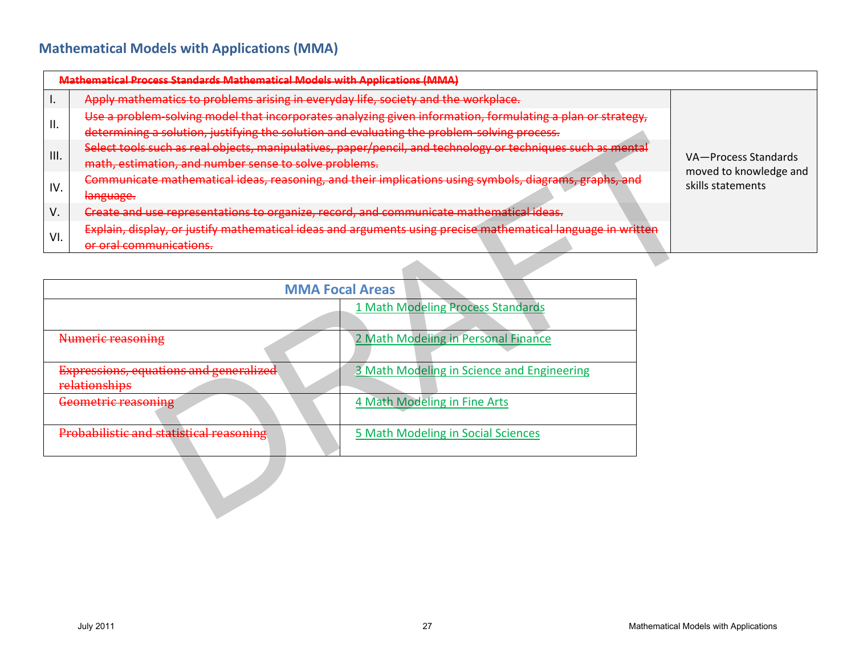## **Mathematical Models with Applications (MMA)**

|      | Mathematical Process Standards Mathematical Models with Applications (MMA)                                   |                                                |
|------|--------------------------------------------------------------------------------------------------------------|------------------------------------------------|
|      | Apply mathematics to problems arising in everyday life, society and the workplace.                           |                                                |
| ΙΙ.  | Use a problem solving model that incorporates analyzing given information, formulating a plan or strategy,   |                                                |
|      | determining a solution, justifying the solution and evaluating the problem solving process.                  |                                                |
| III. | Select tools such as real objects, manipulatives, paper/pencil, and technology or techniques such as mental  | VA-Process Standards<br>moved to knowledge and |
|      | math, estimation, and number sense to solve problems.                                                        |                                                |
| IV.  | Communicate mathematical ideas, reasoning, and their implications using symbols, diagrams, graphs, and       | skills statements                              |
|      | لمقصبتهمها<br><del>tangaage.</del>                                                                           |                                                |
| V.   | Create and use representations to organize, record, and communicate mathematical ideas.                      |                                                |
| VI.  | Explain, display, or justify mathematical ideas and arguments using precise mathematical language in written |                                                |
|      | or oral communications.                                                                                      |                                                |

|      | determining a solution, justifying the solution and evaluating the problem solving process. |                                                                                                              |                                       |
|------|---------------------------------------------------------------------------------------------|--------------------------------------------------------------------------------------------------------------|---------------------------------------|
| III. | math, estimation, and number sense to solve problems.                                       | Select tools such as real objects, manipulatives, paper/pencil, and technology or techniques such as mental  | VA-Process Stand                      |
| IV.  | language.                                                                                   | Communicate mathematical ideas, reasoning, and their implications using symbols, diagrams, graphs, and       | moved to knowled<br>skills statements |
| V.   |                                                                                             | Create and use representations to organize, record, and communicate mathematical ideas.                      |                                       |
| VI.  | or oral communications.                                                                     | Explain, display, or justify mathematical ideas and arguments using precise mathematical language in written |                                       |
|      |                                                                                             |                                                                                                              |                                       |
|      |                                                                                             | <b>MMA Focal Areas</b>                                                                                       |                                       |
|      |                                                                                             | 1 Math Modeling Process Standards                                                                            |                                       |
|      | Numeric reasoning                                                                           | 2 Math Modeling in Personal Finance                                                                          |                                       |
|      | Expressions, equations and generalized<br>relationships                                     | 3 Math Modeling in Science and Engineering                                                                   |                                       |
|      | Geometric reasoning                                                                         | 4 Math Modeling in Fine Arts                                                                                 |                                       |
|      | Probabilistic and statistical reasoning                                                     | 5 Math Modeling in Social Sciences                                                                           |                                       |
|      |                                                                                             |                                                                                                              |                                       |
|      |                                                                                             |                                                                                                              |                                       |
|      |                                                                                             |                                                                                                              |                                       |
|      | <b>July 2011</b>                                                                            | 27                                                                                                           | Mathematical Models with Applications |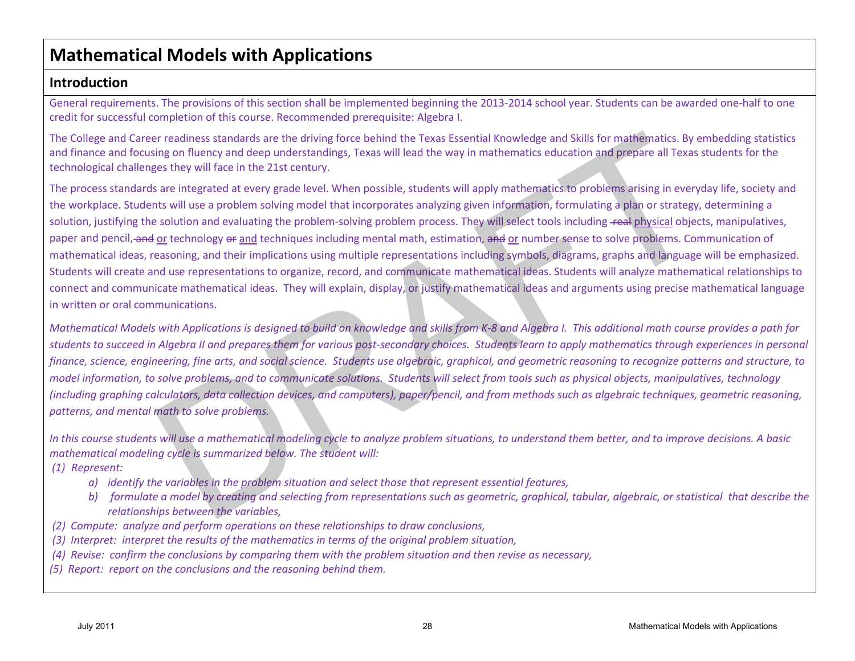# **Mathematical Models with Applications**

### **Introduction**

General requirements. The provisions of this section shall be implemented beginning the 2013-2014 school year. Students can be awarded one-half to one credit for successful completion of this course. Recommended prerequisite: Algebra I.

The College and Career readiness standards are the driving force behind the Texas Essential Knowledge and Skills for mathematics. By embedding statistics and finance and focusing on fluency and deep understandings, Texas will lead the way in mathematics education and prepare all Texas students for the technological challenges they will face in the 21st century.

The process standards are integrated at every grade level. When possible, students will apply mathematics to problems arising in everyday life, society and the workplace. Students will use a problem solving model that incorporates analyzing given information, formulating a plan or strategy, determining a solution, justifying the solution and evaluating the problem-solving problem process. They will select tools including real physical objects, manipulatives, paper and pencil, and or technology or and techniques including mental math, estimation, and or number sense to solve problems. Communication of mathematical ideas, reasoning, and their implications using multiple representations including symbols, diagrams, graphs and language will be emphasized. Students will create and use representations to organize, record, and communicate mathematical ideas. Students will analyze mathematical relationships to connect and communicate mathematical ideas. They will explain, display, or justify mathematical ideas and arguments using precise mathematical language in written or oral communications. allege and Great researchies star the divining force behind the Reas Essential Konverige and Sidis for mathematics, by enough and the constitutions of the product of the constrained star the constrained star in the constra

*Mathematical Models with Applications is designed to build on knowledge and skills from K-8 and Algebra I. This additional math course provides a path for students to succeed in Algebra II and prepares them for various post-secondary choices. Students learn to apply mathematics through experiences in personal finance, science, engineering, fine arts, and social science. Students use algebraic, graphical, and geometric reasoning to recognize patterns and structure, to model information, to solve problems, and to communicate solutions. Students will select from tools such as physical objects, manipulatives, technology (including graphing calculators, data collection devices, and computers), paper/pencil, and from methods such as algebraic techniques, geometric reasoning, patterns, and mental math to solve problems.*

*In this course students will use a mathematical modeling cycle to analyze problem situations, to understand them better, and to improve decisions. A basic mathematical modeling cycle is summarized below. The student will:*

*(1) Represent:* 

- *a) identify the variables in the problem situation and select those that represent essential features,*
- *b) formulate a model by creating and selecting from representations such as geometric, graphical, tabular, algebraic, or statistical that describe the relationships between the variables,*
- *(2) Compute: analyze and perform operations on these relationships to draw conclusions,*
- *(3) Interpret: interpret the results of the mathematics in terms of the original problem situation,*
- *(4) Revise: confirm the conclusions by comparing them with the problem situation and then revise as necessary,*
- *(5) Report: report on the conclusions and the reasoning behind them.*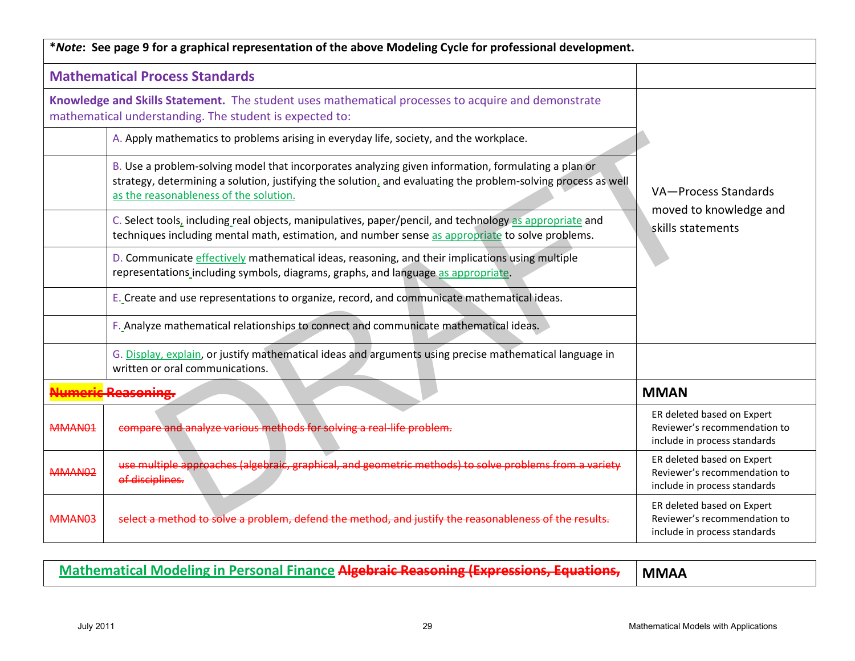|                    | *Note: See page 9 for a graphical representation of the above Modeling Cycle for professional development.                                                                                                                                                     |                                                                                            |
|--------------------|----------------------------------------------------------------------------------------------------------------------------------------------------------------------------------------------------------------------------------------------------------------|--------------------------------------------------------------------------------------------|
|                    | <b>Mathematical Process Standards</b>                                                                                                                                                                                                                          |                                                                                            |
|                    | Knowledge and Skills Statement. The student uses mathematical processes to acquire and demonstrate<br>mathematical understanding. The student is expected to:                                                                                                  |                                                                                            |
|                    | A. Apply mathematics to problems arising in everyday life, society, and the workplace.                                                                                                                                                                         |                                                                                            |
|                    | B. Use a problem-solving model that incorporates analyzing given information, formulating a plan or<br>strategy, determining a solution, justifying the solution, and evaluating the problem-solving process as well<br>as the reasonableness of the solution. | VA-Process Standards<br>moved to knowledge and                                             |
|                    | C. Select tools, including real objects, manipulatives, paper/pencil, and technology as appropriate and<br>techniques including mental math, estimation, and number sense as appropriate to solve problems.                                                    | skills statements                                                                          |
|                    | D. Communicate effectively mathematical ideas, reasoning, and their implications using multiple<br>representations including symbols, diagrams, graphs, and language as appropriate.                                                                           |                                                                                            |
|                    | E. Create and use representations to organize, record, and communicate mathematical ideas.                                                                                                                                                                     |                                                                                            |
|                    | F. Analyze mathematical relationships to connect and communicate mathematical ideas.                                                                                                                                                                           |                                                                                            |
|                    | G. Display, explain, or justify mathematical ideas and arguments using precise mathematical language in<br>written or oral communications.                                                                                                                     |                                                                                            |
|                    | <b>Imeric Reasoning.</b>                                                                                                                                                                                                                                       | <b>MMAN</b>                                                                                |
| MMAN01             | compare and analyze various methods for solving a real-life problem.                                                                                                                                                                                           | ER deleted based on Expert<br>Reviewer's recommendation to<br>include in process standards |
| MMAN <sub>02</sub> | use multiple approaches (algebraic, graphical, and geometric methods) to solve problems from a variety<br>of disciplines.                                                                                                                                      | ER deleted based on Expert<br>Reviewer's recommendation to<br>include in process standards |
| MMAN03             | select a method to solve a problem, defend the method, and justify the reasonableness of the results.                                                                                                                                                          | ER deleted based on Expert<br>Reviewer's recommendation to<br>include in process standards |
|                    | <b>Mathematical Modeling in Personal Finance Algebraic Reasoning (Expressions, Equations,</b>                                                                                                                                                                  | <b>MMAA</b>                                                                                |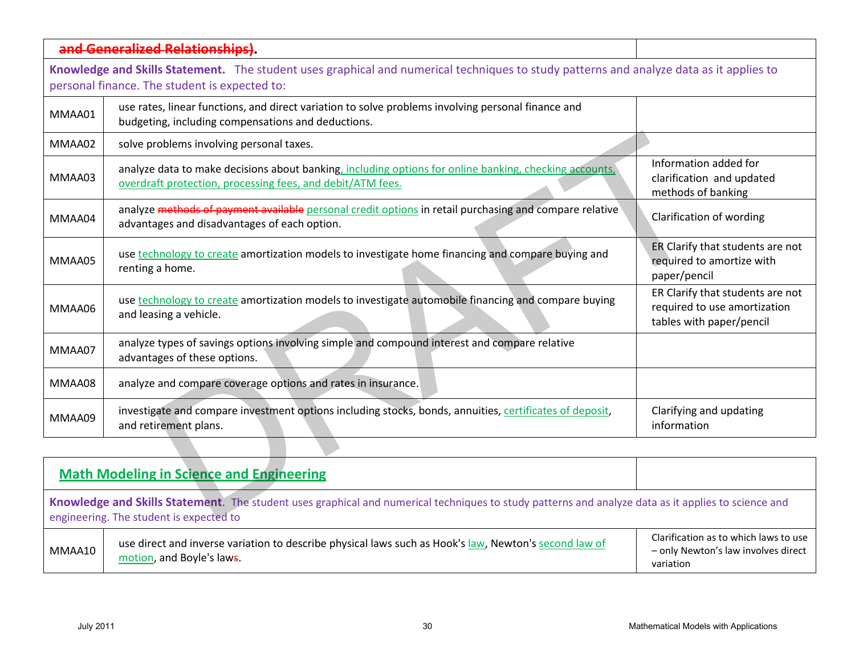|                  | and Generalized Relationships)                                                                                                                                                                 |                                                                                              |
|------------------|------------------------------------------------------------------------------------------------------------------------------------------------------------------------------------------------|----------------------------------------------------------------------------------------------|
|                  | Knowledge and Skills Statement. The student uses graphical and numerical techniques to study patterns and analyze data as it applies to                                                        |                                                                                              |
|                  | personal finance. The student is expected to:                                                                                                                                                  |                                                                                              |
| MMAA01           | use rates, linear functions, and direct variation to solve problems involving personal finance and<br>budgeting, including compensations and deductions.                                       |                                                                                              |
| MMAA02           | solve problems involving personal taxes.                                                                                                                                                       |                                                                                              |
| MMAA03           | analyze data to make decisions about banking, including options for online banking, checking accounts,<br>overdraft protection, processing fees, and debit/ATM fees.                           | Information added for<br>clarification and updated<br>methods of banking                     |
| MMAA04           | analyze methods of payment available personal credit options in retail purchasing and compare relative<br>advantages and disadvantages of each option.                                         | Clarification of wording                                                                     |
| MMAA05           | use technology to create amortization models to investigate home financing and compare buying and<br>renting a home.                                                                           | ER Clarify that students are not<br>required to amortize with<br>paper/pencil                |
| MMAA06           | use technology to create amortization models to investigate automobile financing and compare buying<br>and leasing a vehicle.                                                                  | ER Clarify that students are not<br>required to use amortization<br>tables with paper/pencil |
| MMAA07           | analyze types of savings options involving simple and compound interest and compare relative<br>advantages of these options.                                                                   |                                                                                              |
| MMAA08           | analyze and compare coverage options and rates in insurance.                                                                                                                                   |                                                                                              |
| MMAA09           | investigate and compare investment options including stocks, bonds, annuities, certificates of deposit,<br>and retirement plans.                                                               | Clarifying and updating<br>information                                                       |
|                  |                                                                                                                                                                                                |                                                                                              |
|                  | <b>Math Modeling in Science and Engineering</b>                                                                                                                                                |                                                                                              |
|                  | Knowledge and Skills Statement. The student uses graphical and numerical techniques to study patterns and analyze data as it applies to science and<br>engineering. The student is expected to |                                                                                              |
| MMAA10           | use direct and inverse variation to describe physical laws such as Hook's law, Newton's second law of<br>motion, and Boyle's laws.                                                             | Clarification as to which laws to use<br>- only Newton's law involves direct<br>variation    |
|                  |                                                                                                                                                                                                |                                                                                              |
|                  |                                                                                                                                                                                                |                                                                                              |
| <b>July 2011</b> | 30                                                                                                                                                                                             | Mathematical Models with Applications                                                        |

|                                                                                                                                                                                                | <b>Math Modeling in Science and Engineering</b>                                                                                    |                                                                                           |
|------------------------------------------------------------------------------------------------------------------------------------------------------------------------------------------------|------------------------------------------------------------------------------------------------------------------------------------|-------------------------------------------------------------------------------------------|
| Knowledge and Skills Statement. The student uses graphical and numerical techniques to study patterns and analyze data as it applies to science and<br>engineering. The student is expected to |                                                                                                                                    |                                                                                           |
| MMAA10                                                                                                                                                                                         | use direct and inverse variation to describe physical laws such as Hook's law, Newton's second law of<br>motion, and Boyle's laws. | Clarification as to which laws to use<br>- only Newton's law involves direct<br>variation |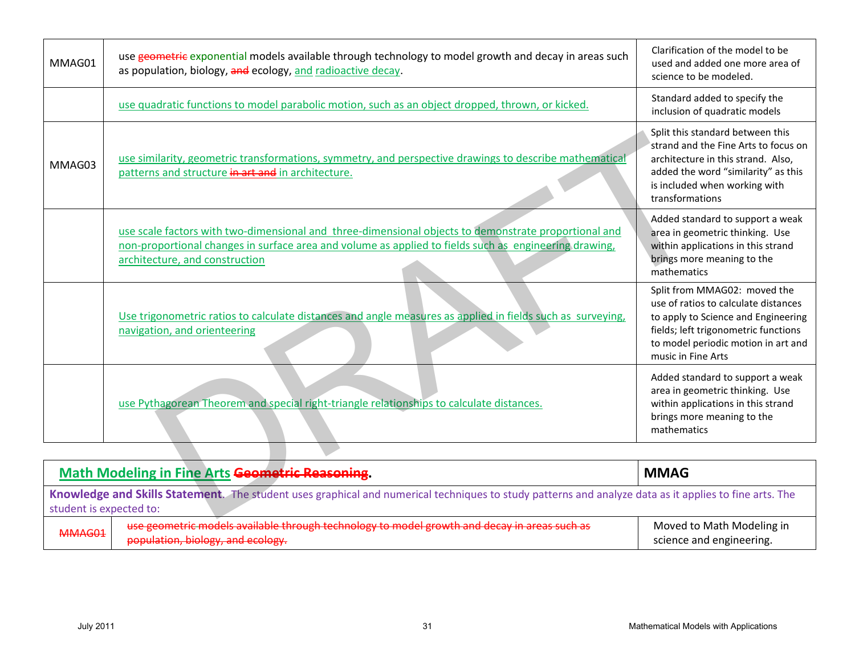| <b>July 2011</b>        | 31                                                                                                                                                                                                                                              | Mathematical Models with Applications                                                                                                                                                                            |
|-------------------------|-------------------------------------------------------------------------------------------------------------------------------------------------------------------------------------------------------------------------------------------------|------------------------------------------------------------------------------------------------------------------------------------------------------------------------------------------------------------------|
| MMAG01                  | use geometric models available through technology to model growth and decay in areas such as<br>population, biology, and ecology.                                                                                                               | Moved to Math Modeling in<br>science and engineering.                                                                                                                                                            |
| student is expected to: | Knowledge and Skills Statement. The student uses graphical and numerical techniques to study patterns and analyze data as it applies to fine arts. The                                                                                          |                                                                                                                                                                                                                  |
|                         | <b>Math Modeling in Fine Arts Geometric Reasoning.</b>                                                                                                                                                                                          | <b>MMAG</b>                                                                                                                                                                                                      |
|                         |                                                                                                                                                                                                                                                 |                                                                                                                                                                                                                  |
|                         | use Pythagorean Theorem and special right-triangle relationships to calculate distances.                                                                                                                                                        | Added standard to support a weak<br>area in geometric thinking. Use<br>within applications in this strand<br>brings more meaning to the<br>mathematics                                                           |
|                         | Use trigonometric ratios to calculate distances and angle measures as applied in fields such as surveying,<br>navigation, and orienteering                                                                                                      | Split from MMAG02: moved the<br>use of ratios to calculate distances<br>to apply to Science and Engineering<br>fields; left trigonometric functions<br>to model periodic motion in art and<br>music in Fine Arts |
|                         | use scale factors with two-dimensional and three-dimensional objects to demonstrate proportional and<br>non-proportional changes in surface area and volume as applied to fields such as engineering drawing,<br>architecture, and construction | Added standard to support a weak<br>area in geometric thinking. Use<br>within applications in this strand<br>brings more meaning to the<br>mathematics                                                           |
| MMAG03                  | use similarity, geometric transformations, symmetry, and perspective drawings to describe mathematical<br>patterns and structure in art and in architecture.                                                                                    | Split this standard between this<br>strand and the Fine Arts to focus on<br>architecture in this strand. Also,<br>added the word "similarity" as this<br>is included when working with<br>transformations        |
|                         | use quadratic functions to model parabolic motion, such as an object dropped, thrown, or kicked.                                                                                                                                                | Standard added to specify the<br>inclusion of quadratic models                                                                                                                                                   |
| MMAG01                  | use geometric exponential models available through technology to model growth and decay in areas such<br>as population, biology, and ecology, and radioactive decay.                                                                            | Clarification of the model to be<br>used and added one more area of<br>science to be modeled.                                                                                                                    |

| <b>Math Modeling in Fine Arts Geometric Reasoning.</b>                                                                                                                            |                                                                                                                                   | <b>MMAG</b>                                           |
|-----------------------------------------------------------------------------------------------------------------------------------------------------------------------------------|-----------------------------------------------------------------------------------------------------------------------------------|-------------------------------------------------------|
| Knowledge and Skills Statement. The student uses graphical and numerical techniques to study patterns and analyze data as it applies to fine arts. The<br>student is expected to: |                                                                                                                                   |                                                       |
| MMAG01                                                                                                                                                                            | use geometric models available through technology to model growth and decay in areas such as<br>population, biology, and ecology. | Moved to Math Modeling in<br>science and engineering. |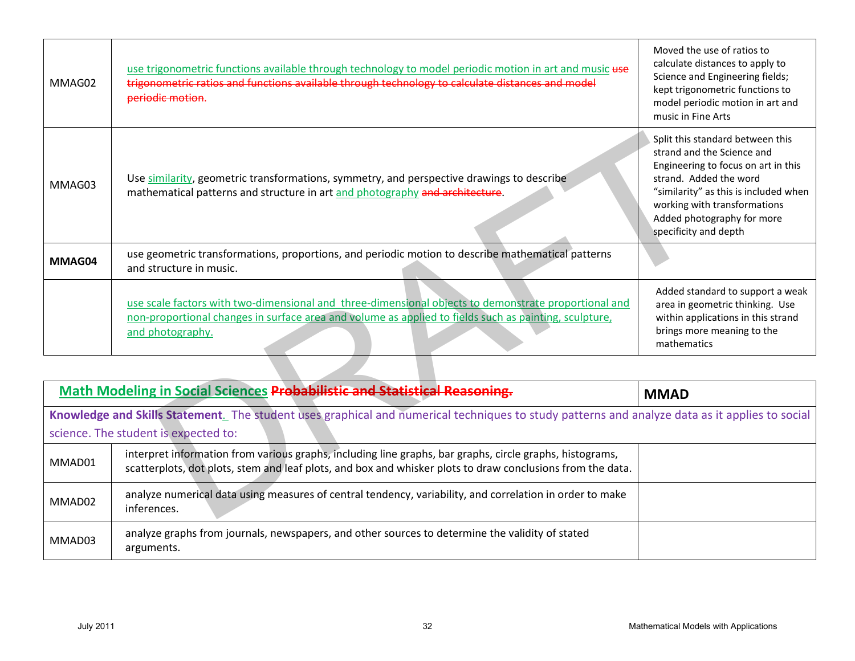| <b>July 2011</b> | 32                                                                                                                                                                                                                                | Mathematical Models with Applications                                                                                                                                                                                                                           |
|------------------|-----------------------------------------------------------------------------------------------------------------------------------------------------------------------------------------------------------------------------------|-----------------------------------------------------------------------------------------------------------------------------------------------------------------------------------------------------------------------------------------------------------------|
| MMAD03           | analyze graphs from journals, newspapers, and other sources to determine the validity of stated<br>arguments.                                                                                                                     |                                                                                                                                                                                                                                                                 |
| MMAD02           | analyze numerical data using measures of central tendency, variability, and correlation in order to make<br>inferences.                                                                                                           |                                                                                                                                                                                                                                                                 |
| MMAD01           | interpret information from various graphs, including line graphs, bar graphs, circle graphs, histograms,<br>scatterplots, dot plots, stem and leaf plots, and box and whisker plots to draw conclusions from the data.            |                                                                                                                                                                                                                                                                 |
|                  | Knowledge and Skills Statement. The student uses graphical and numerical techniques to study patterns and analyze data as it applies to social<br>science. The student is expected to:                                            |                                                                                                                                                                                                                                                                 |
|                  | <b>Math Modeling in Social Sciences Probabilistic and Statistical Reasoning.</b>                                                                                                                                                  | <b>MMAD</b>                                                                                                                                                                                                                                                     |
|                  |                                                                                                                                                                                                                                   |                                                                                                                                                                                                                                                                 |
|                  | use scale factors with two-dimensional and three-dimensional objects to demonstrate proportional and<br>non-proportional changes in surface area and volume as applied to fields such as painting, sculpture,<br>and photography. | Added standard to support a weak<br>area in geometric thinking. Use<br>within applications in this strand<br>brings more meaning to the<br>mathematics                                                                                                          |
| MMAG04           | use geometric transformations, proportions, and periodic motion to describe mathematical patterns<br>and structure in music.                                                                                                      |                                                                                                                                                                                                                                                                 |
| MMAG03           | Use similarity, geometric transformations, symmetry, and perspective drawings to describe<br>mathematical patterns and structure in art and photography and architecture.                                                         | Split this standard between this<br>strand and the Science and<br>Engineering to focus on art in this<br>strand. Added the word<br>"similarity" as this is included when<br>working with transformations<br>Added photography for more<br>specificity and depth |
| MMAG02           | use trigonometric functions available through technology to model periodic motion in art and music use<br>trigonometric ratios and functions available through technology to calculate distances and model<br>periodic motion.    | Moved the use of ratios to<br>calculate distances to apply to<br>Science and Engineering fields;<br>kept trigonometric functions to<br>model periodic motion in art and<br>music in Fine Arts                                                                   |

| Math Modeling in Social Sciences Probabilistic and Statistical Reasoning. |                                                                                                                                                                                                                        | <b>MMAD</b> |
|---------------------------------------------------------------------------|------------------------------------------------------------------------------------------------------------------------------------------------------------------------------------------------------------------------|-------------|
|                                                                           | Knowledge and Skills Statement. The student uses graphical and numerical techniques to study patterns and analyze data as it applies to social                                                                         |             |
| science. The student is expected to:                                      |                                                                                                                                                                                                                        |             |
| MMAD01                                                                    | interpret information from various graphs, including line graphs, bar graphs, circle graphs, histograms,<br>scatterplots, dot plots, stem and leaf plots, and box and whisker plots to draw conclusions from the data. |             |
| MMAD02                                                                    | analyze numerical data using measures of central tendency, variability, and correlation in order to make<br>inferences.                                                                                                |             |
| MMAD03                                                                    | analyze graphs from journals, newspapers, and other sources to determine the validity of stated<br>arguments.                                                                                                          |             |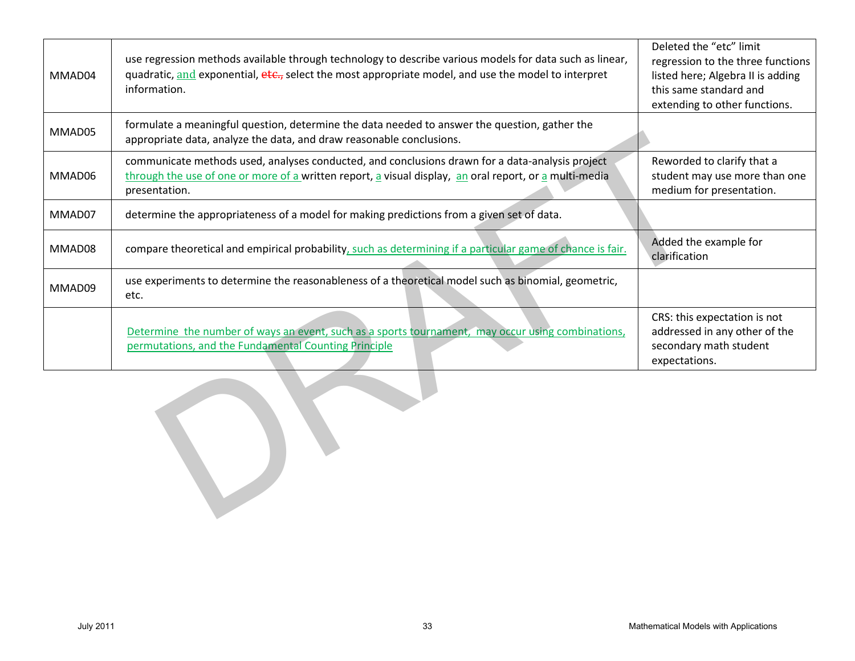| MMAD04           | use regression methods available through technology to describe various models for data such as linear,<br>quadratic, and exponential, etc., select the most appropriate model, and use the model to interpret<br>information. | Deleted the "etc" limit<br>regression to the three functions<br>listed here; Algebra II is adding<br>this same standard and<br>extending to other functions. |
|------------------|--------------------------------------------------------------------------------------------------------------------------------------------------------------------------------------------------------------------------------|--------------------------------------------------------------------------------------------------------------------------------------------------------------|
| MMAD05           | formulate a meaningful question, determine the data needed to answer the question, gather the<br>appropriate data, analyze the data, and draw reasonable conclusions.                                                          |                                                                                                                                                              |
| MMAD06           | communicate methods used, analyses conducted, and conclusions drawn for a data-analysis project<br>through the use of one or more of a written report, a visual display, an oral report, or a multi-media<br>presentation.     | Reworded to clarify that a<br>student may use more than one<br>medium for presentation.                                                                      |
| MMAD07           | determine the appropriateness of a model for making predictions from a given set of data.                                                                                                                                      |                                                                                                                                                              |
| MMAD08           | compare theoretical and empirical probability, such as determining if a particular game of chance is fair.                                                                                                                     | Added the example for<br>clarification                                                                                                                       |
| MMAD09           | use experiments to determine the reasonableness of a theoretical model such as binomial, geometric,<br>etc.                                                                                                                    |                                                                                                                                                              |
|                  | Determine the number of ways an event, such as a sports tournament, may occur using combinations,<br>permutations, and the Fundamental Counting Principle                                                                      | CRS: this expectation is not<br>addressed in any other of the<br>secondary math student<br>expectations.                                                     |
|                  |                                                                                                                                                                                                                                |                                                                                                                                                              |
|                  |                                                                                                                                                                                                                                |                                                                                                                                                              |
| <b>July 2011</b> | 33                                                                                                                                                                                                                             | Mathematical Models with Applications                                                                                                                        |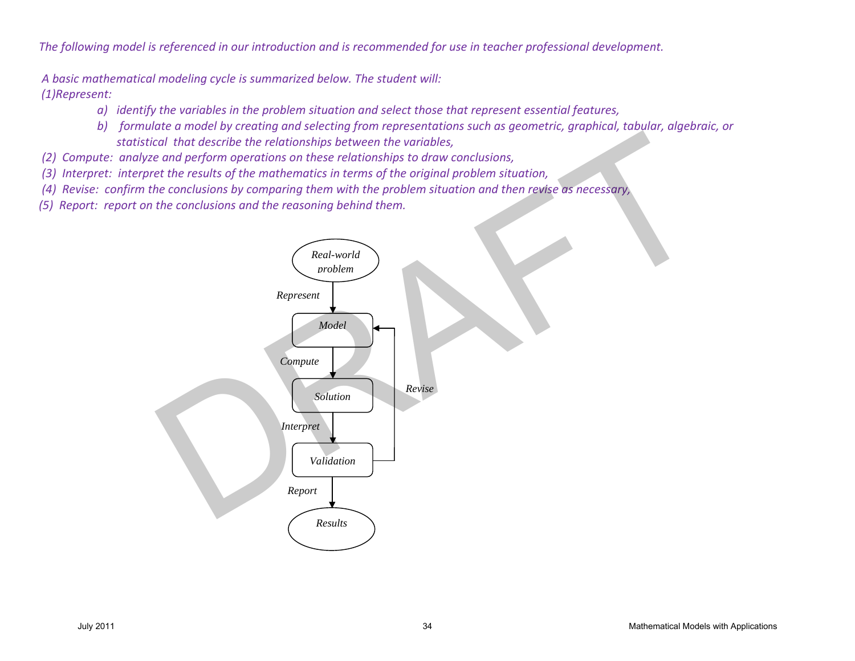*The following model is referenced in our introduction and is recommended for use in teacher professional development.*

 *A basic mathematical modeling cycle is summarized below. The student will:*

*(1)Represent:* 

- *a) identify the variables in the problem situation and select those that represent essential features,*
- *b) formulate a model by creating and selecting from representations such as geometric, graphical, tabular, algebraic, or statistical that describe the relationships between the variables,*
- *(2) Compute: analyze and perform operations on these relationships to draw conclusions,*
- *(3) Interpret: interpret the results of the mathematics in terms of the original problem situation,*
- *(4) Revise: confirm the conclusions by comparing them with the problem situation and then revise as necessary,*
- *(5) Report: report on the conclusions and the reasoning behind them.*

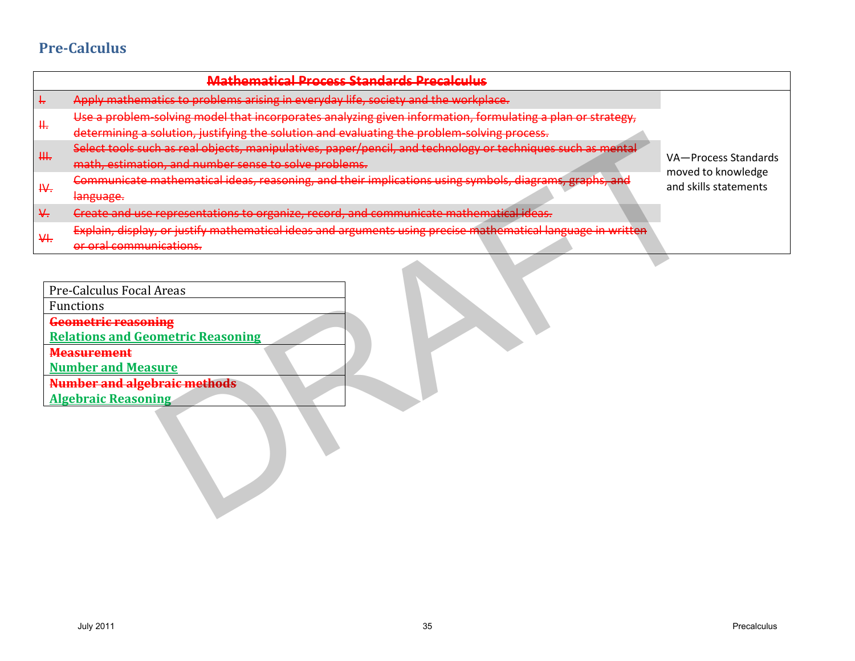## **Pre-Calculus**

|               | <b>Mathematical Process Standards Precalculus</b>                                                                                                                                                                                |                                                                                                              |                       |
|---------------|----------------------------------------------------------------------------------------------------------------------------------------------------------------------------------------------------------------------------------|--------------------------------------------------------------------------------------------------------------|-----------------------|
| ŧ,            | Apply mathematics to problems arising in everyday life, society and the workplace.                                                                                                                                               |                                                                                                              |                       |
|               |                                                                                                                                                                                                                                  | Use a problem-solving model that incorporates analyzing given information, formulating a plan or strategy,   |                       |
| ₩.            | determining a solution, justifying the solution and evaluating the problem-solving process.                                                                                                                                      |                                                                                                              |                       |
| ₩.            | Select tools such as real objects, manipulatives, paper/pencil, and technology or techniques such as mental                                                                                                                      |                                                                                                              | VA-Process Standards  |
|               | math, estimation, and number sense to solve problems.                                                                                                                                                                            |                                                                                                              | moved to knowledge    |
| ₩.            | Communicate mathematical ideas, reasoning, and their implications using symbols, diagrams, graphs, and                                                                                                                           |                                                                                                              | and skills statements |
|               | language.                                                                                                                                                                                                                        |                                                                                                              |                       |
| $\frac{1}{2}$ | Create and use representations to organize, record, and communicate mathematical ideas.                                                                                                                                          |                                                                                                              |                       |
| ₩.            |                                                                                                                                                                                                                                  | Explain, display, or justify mathematical ideas and arguments using precise mathematical language in written |                       |
|               | or oral communications.                                                                                                                                                                                                          |                                                                                                              |                       |
|               | Pre-Calculus Focal Areas<br>Functions<br><b>Geometric reasoning</b><br><b>Relations and Geometric Reasoning</b><br><b>Measurement</b><br><b>Number and Measure</b><br>Number and algebraic methods<br><b>Algebraic Reasoning</b> |                                                                                                              |                       |
|               | <b>July 2011</b>                                                                                                                                                                                                                 | 35                                                                                                           | Precalculus           |

| Pre-Calculus Focal Areas                 |  |
|------------------------------------------|--|
| <b>Functions</b>                         |  |
| <b>Geometric reasoning</b>               |  |
| <b>Relations and Geometric Reasoning</b> |  |
| <b>Measurement</b>                       |  |
| <b>Number and Measure</b>                |  |
| <b>Number and algebraic methods</b>      |  |
| <b>Algebraic Reasoning</b>               |  |
|                                          |  |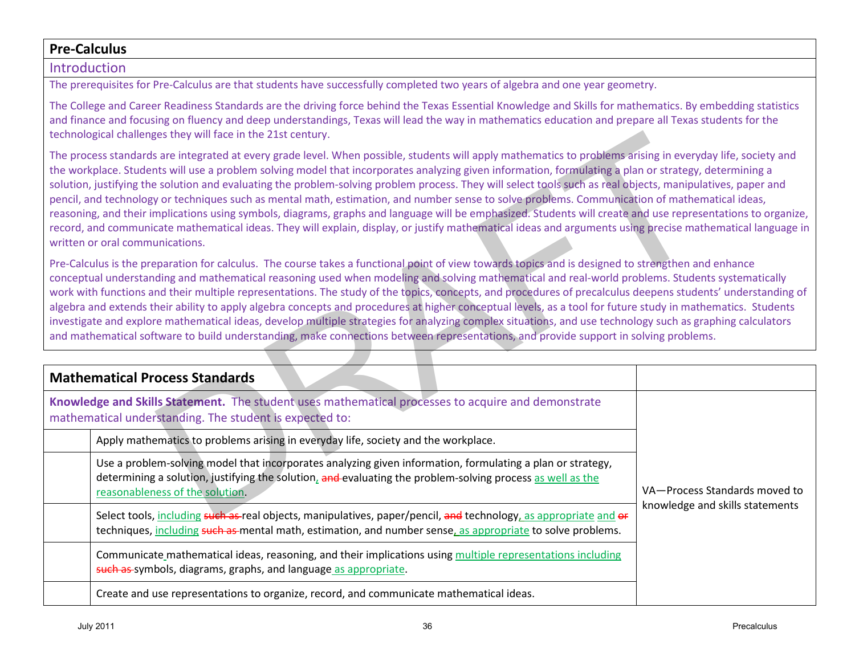### **Pre-Calculus**

#### Introduction

The prerequisites for Pre-Calculus are that students have successfully completed two years of algebra and one year geometry.

The College and Career Readiness Standards are the driving force behind the Texas Essential Knowledge and Skills for mathematics. By embedding statistics and finance and focusing on fluency and deep understandings, Texas will lead the way in mathematics education and prepare all Texas students for the technological challenges they will face in the 21st century.

| technological challenges they will face in the 21st century.                                                                                                                                                                                                                                                                                                                                                                                                                                                                                                                                                                                                                                                                                                                                                                                                                                                                                                                                           |                                 |  |  |
|--------------------------------------------------------------------------------------------------------------------------------------------------------------------------------------------------------------------------------------------------------------------------------------------------------------------------------------------------------------------------------------------------------------------------------------------------------------------------------------------------------------------------------------------------------------------------------------------------------------------------------------------------------------------------------------------------------------------------------------------------------------------------------------------------------------------------------------------------------------------------------------------------------------------------------------------------------------------------------------------------------|---------------------------------|--|--|
| The process standards are integrated at every grade level. When possible, students will apply mathematics to problems arising in everyday life, society and<br>the workplace. Students will use a problem solving model that incorporates analyzing given information, formulating a plan or strategy, determining a<br>solution, justifying the solution and evaluating the problem-solving problem process. They will select tools such as real objects, manipulatives, paper and<br>pencil, and technology or techniques such as mental math, estimation, and number sense to solve problems. Communication of mathematical ideas,<br>reasoning, and their implications using symbols, diagrams, graphs and language will be emphasized. Students will create and use representations to organize,<br>record, and communicate mathematical ideas. They will explain, display, or justify mathematical ideas and arguments using precise mathematical language in<br>written or oral communications. |                                 |  |  |
| Pre-Calculus is the preparation for calculus. The course takes a functional point of view towards topics and is designed to strengthen and enhance<br>conceptual understanding and mathematical reasoning used when modeling and solving mathematical and real-world problems. Students systematically<br>work with functions and their multiple representations. The study of the topics, concepts, and procedures of precalculus deepens students' understanding of<br>algebra and extends their ability to apply algebra concepts and procedures at higher conceptual levels, as a tool for future study in mathematics. Students<br>investigate and explore mathematical ideas, develop multiple strategies for analyzing complex situations, and use technology such as graphing calculators<br>and mathematical software to build understanding, make connections between representations, and provide support in solving problems.                                                              |                                 |  |  |
|                                                                                                                                                                                                                                                                                                                                                                                                                                                                                                                                                                                                                                                                                                                                                                                                                                                                                                                                                                                                        |                                 |  |  |
| <b>Mathematical Process Standards</b>                                                                                                                                                                                                                                                                                                                                                                                                                                                                                                                                                                                                                                                                                                                                                                                                                                                                                                                                                                  |                                 |  |  |
| Knowledge and Skills Statement. The student uses mathematical processes to acquire and demonstrate<br>mathematical understanding. The student is expected to:                                                                                                                                                                                                                                                                                                                                                                                                                                                                                                                                                                                                                                                                                                                                                                                                                                          |                                 |  |  |
| Apply mathematics to problems arising in everyday life, society and the workplace.                                                                                                                                                                                                                                                                                                                                                                                                                                                                                                                                                                                                                                                                                                                                                                                                                                                                                                                     |                                 |  |  |
| Use a problem-solving model that incorporates analyzing given information, formulating a plan or strategy,<br>determining a solution, justifying the solution, and evaluating the problem-solving process as well as the<br>reasonableness of the solution.                                                                                                                                                                                                                                                                                                                                                                                                                                                                                                                                                                                                                                                                                                                                            | VA-Process Standards moved to   |  |  |
| Select tools, including such as real objects, manipulatives, paper/pencil, and technology, as appropriate and or<br>techniques, including such as mental math, estimation, and number sense, as appropriate to solve problems.                                                                                                                                                                                                                                                                                                                                                                                                                                                                                                                                                                                                                                                                                                                                                                         | knowledge and skills statements |  |  |
| Communicate mathematical ideas, reasoning, and their implications using multiple representations including<br>such as symbols, diagrams, graphs, and language as appropriate.                                                                                                                                                                                                                                                                                                                                                                                                                                                                                                                                                                                                                                                                                                                                                                                                                          |                                 |  |  |
| Create and use representations to organize, record, and communicate mathematical ideas.                                                                                                                                                                                                                                                                                                                                                                                                                                                                                                                                                                                                                                                                                                                                                                                                                                                                                                                |                                 |  |  |
| <b>July 2011</b><br>36                                                                                                                                                                                                                                                                                                                                                                                                                                                                                                                                                                                                                                                                                                                                                                                                                                                                                                                                                                                 | Precalculus                     |  |  |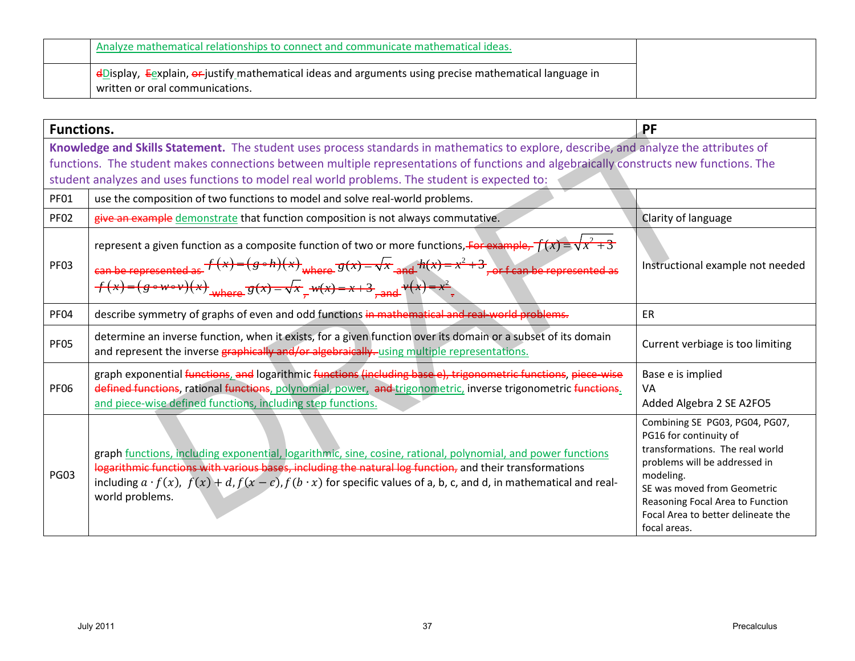| Analyze mathematical relationships to connect and communicate mathematical ideas.                                                                                   |  |
|---------------------------------------------------------------------------------------------------------------------------------------------------------------------|--|
| $\frac{d}{dx}$ Display, Eexplain, $\frac{d}{dx}$ justify mathematical ideas and arguments using precise mathematical language in<br>written or oral communications. |  |

| <b>Functions.</b> |                                                                                                                                                                                                                                                                                                                                                                                    | PF                                                                                                                                                                                                                                                                 |
|-------------------|------------------------------------------------------------------------------------------------------------------------------------------------------------------------------------------------------------------------------------------------------------------------------------------------------------------------------------------------------------------------------------|--------------------------------------------------------------------------------------------------------------------------------------------------------------------------------------------------------------------------------------------------------------------|
|                   | Knowledge and Skills Statement. The student uses process standards in mathematics to explore, describe, and analyze the attributes of<br>functions. The student makes connections between multiple representations of functions and algebraically constructs new functions. The<br>student analyzes and uses functions to model real world problems. The student is expected to:   |                                                                                                                                                                                                                                                                    |
| <b>PF01</b>       | use the composition of two functions to model and solve real-world problems.                                                                                                                                                                                                                                                                                                       |                                                                                                                                                                                                                                                                    |
| <b>PF02</b>       | give an example demonstrate that function composition is not always commutative.                                                                                                                                                                                                                                                                                                   | Clarity of language                                                                                                                                                                                                                                                |
| <b>PF03</b>       | represent a given function as a composite function of two or more functions, For example, $f(x) = \sqrt{x^2 + 3}$<br>can be represented as $f(x)=(g \circ h)(x)$ where $g(x)=\sqrt{x}$ and $h(x)=x^2+3$ , or f can be represented as<br>$f(x)=(g\circ w\circ v)(x)$ <sub>where</sub> $g(x)=\sqrt{x}$ , $w(x)=x+3$ , and $v(x)=x^2$ .                                               | Instructional example not needed                                                                                                                                                                                                                                   |
| <b>PF04</b>       | describe symmetry of graphs of even and odd functions in mathematical and real-world problems.                                                                                                                                                                                                                                                                                     | <b>ER</b>                                                                                                                                                                                                                                                          |
| <b>PF05</b>       | determine an inverse function, when it exists, for a given function over its domain or a subset of its domain<br>and represent the inverse graphically and/or algebraically. using multiple representations.                                                                                                                                                                       | Current verbiage is too limiting                                                                                                                                                                                                                                   |
| <b>PF06</b>       | graph exponential functions, and logarithmic functions (including base e), trigonometric functions, piece-wise<br>defined functions, rational functions, polynomial, power, and trigonometric, inverse trigonometric functions.<br>and piece-wise defined functions, including step functions.                                                                                     | Base e is implied<br>VA<br>Added Algebra 2 SE A2FO5                                                                                                                                                                                                                |
| <b>PG03</b>       | graph functions, including exponential, logarithmic, sine, cosine, rational, polynomial, and power functions<br>logarithmic functions with various bases, including the natural log function, and their transformations<br>including $a \cdot f(x)$ , $f(x) + d$ , $f(x - c)$ , $f(b \cdot x)$ for specific values of a, b, c, and d, in mathematical and real-<br>world problems. | Combining SE PG03, PG04, PG07,<br>PG16 for continuity of<br>transformations. The real world<br>problems will be addressed in<br>modeling.<br>SE was moved from Geometric<br>Reasoning Focal Area to Function<br>Focal Area to better delineate the<br>focal areas. |
|                   | <b>July 2011</b><br>37                                                                                                                                                                                                                                                                                                                                                             | Precalculus                                                                                                                                                                                                                                                        |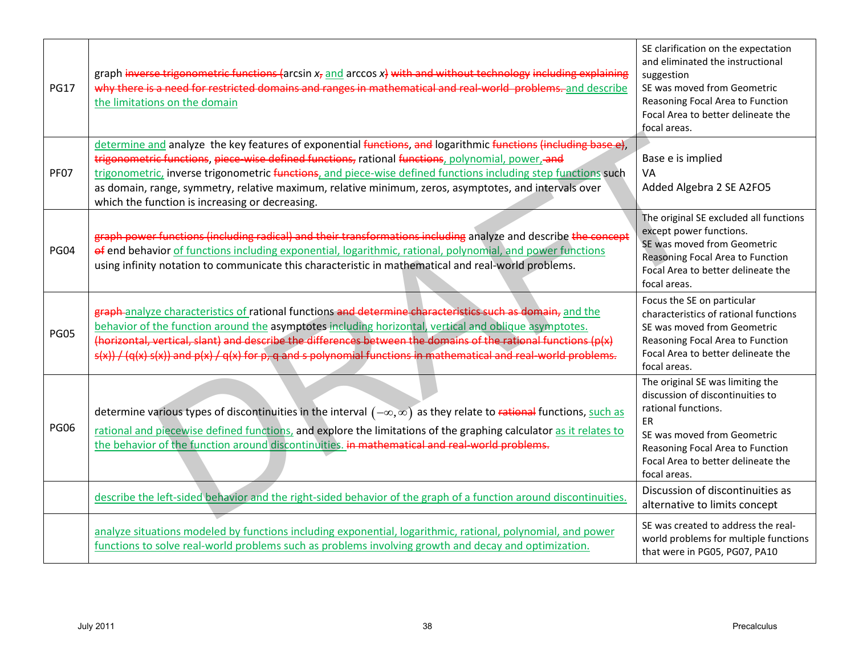| <b>PG17</b> | graph inverse trigonometric functions (arcsin $x_7$ and arccos $x_7$ ) with and without technology including explaining<br>why there is a need for restricted domains and ranges in mathematical and real-world-problems-and describe<br>the limitations on the domain                                                                                                                                                                                                                            | SE clarification on the expectation<br>and eliminated the instructional<br>suggestion<br>SE was moved from Geometric<br>Reasoning Focal Area to Function<br>Focal Area to better delineate the<br>focal areas.             |
|-------------|---------------------------------------------------------------------------------------------------------------------------------------------------------------------------------------------------------------------------------------------------------------------------------------------------------------------------------------------------------------------------------------------------------------------------------------------------------------------------------------------------|----------------------------------------------------------------------------------------------------------------------------------------------------------------------------------------------------------------------------|
| <b>PF07</b> | determine and analyze the key features of exponential functions, and logarithmic functions (including base e),<br>trigonometric functions, piece-wise defined functions, rational functions, polynomial, power, and<br>trigonometric, inverse trigonometric functions, and piece-wise defined functions including step functions such<br>as domain, range, symmetry, relative maximum, relative minimum, zeros, asymptotes, and intervals over<br>which the function is increasing or decreasing. | Base e is implied<br>VA<br>Added Algebra 2 SE A2FO5                                                                                                                                                                        |
| <b>PG04</b> | graph power functions (including radical) and their transformations including analyze and describe the concept<br>of end behavior of functions including exponential, logarithmic, rational, polynomial, and power functions<br>using infinity notation to communicate this characteristic in mathematical and real-world problems.                                                                                                                                                               | The original SE excluded all functions<br>except power functions.<br>SE was moved from Geometric<br>Reasoning Focal Area to Function<br>Focal Area to better delineate the<br>focal areas.                                 |
| <b>PG05</b> | graph-analyze characteristics of rational functions and determine characteristics such as domain, and the<br>behavior of the function around the asymptotes including horizontal, vertical and oblique asymptotes.<br>(horizontal, vertical, slant) and describe the differences between the domains of the rational functions (p(x)<br>s(x)) / (q(x) s(x)) and p(x) / q(x) for p, q and s polynomial functions in mathematical and real-world problems.                                          | Focus the SE on particular<br>characteristics of rational functions<br>SE was moved from Geometric<br>Reasoning Focal Area to Function<br>Focal Area to better delineate the<br>focal areas.                               |
| <b>PG06</b> | determine various types of discontinuities in the interval $(-\infty,\infty)$ as they relate to rational functions, such as<br>rational and piecewise defined functions, and explore the limitations of the graphing calculator as it relates to<br>the behavior of the function around discontinuities. in mathematical and real-world problems.                                                                                                                                                 | The original SE was limiting the<br>discussion of discontinuities to<br>rational functions.<br>ER<br>SE was moved from Geometric<br>Reasoning Focal Area to Function<br>Focal Area to better delineate the<br>focal areas. |
|             | describe the left-sided behavior and the right-sided behavior of the graph of a function around discontinuities.                                                                                                                                                                                                                                                                                                                                                                                  | Discussion of discontinuities as<br>alternative to limits concept                                                                                                                                                          |
|             | analyze situations modeled by functions including exponential, logarithmic, rational, polynomial, and power<br>functions to solve real-world problems such as problems involving growth and decay and optimization.                                                                                                                                                                                                                                                                               | SE was created to address the real-<br>world problems for multiple functions<br>that were in PG05, PG07, PA10                                                                                                              |
|             | <b>July 2011</b><br>38                                                                                                                                                                                                                                                                                                                                                                                                                                                                            | Precalculus                                                                                                                                                                                                                |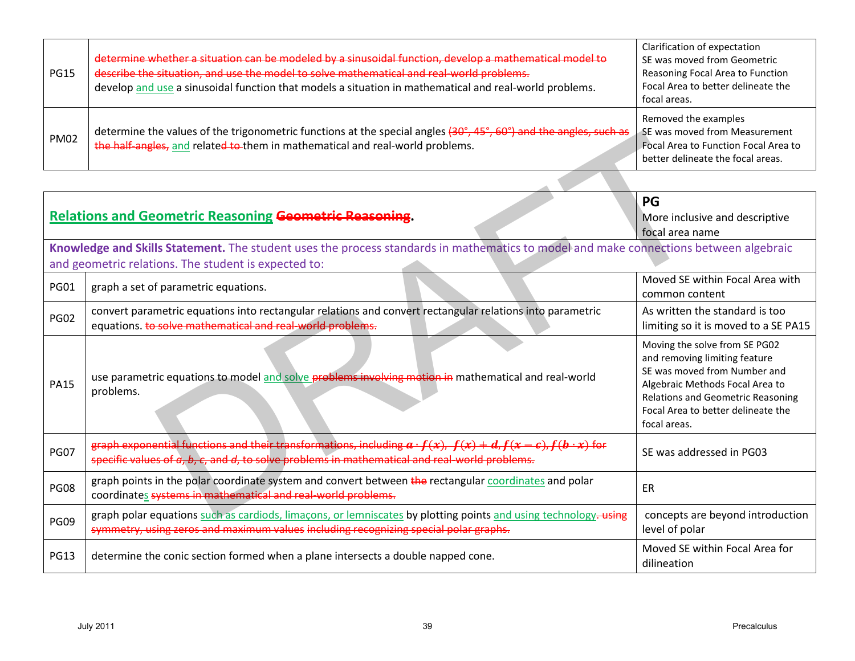| <b>PG15</b> | determine whether a situation can be modeled by a sinusoidal function, develop a mathematical model to<br>describe the situation, and use the model to solve mathematical and real-world problems.<br>develop and use a sinusoidal function that models a situation in mathematical and real-world problems. | Clarification of expectation<br>SE was moved from Geometric<br>Reasoning Focal Area to Function<br>Focal Area to better delineate the<br>focal areas. |
|-------------|--------------------------------------------------------------------------------------------------------------------------------------------------------------------------------------------------------------------------------------------------------------------------------------------------------------|-------------------------------------------------------------------------------------------------------------------------------------------------------|
| <b>PM02</b> | determine the values of the trigonometric functions at the special angles (30°, 45°, 60°) and the angles, such as<br>the half-angles, and related to them in mathematical and real-world problems.                                                                                                           | Removed the examples<br>SE was moved from Measurement<br>Focal Area to Function Focal Area to<br>better delineate the focal areas.                    |

| <b>PM02</b> | determine the values of the trigonometric functions at the special angles (30°, 45°, 60°) and the angles, such as<br>the half-angles, and related to them in mathematical and real-world problems.                              | SE was moved from Measurement<br>Focal Area to Function Focal Area to<br>better delineate the focal areas.                                                                                                                          |
|-------------|---------------------------------------------------------------------------------------------------------------------------------------------------------------------------------------------------------------------------------|-------------------------------------------------------------------------------------------------------------------------------------------------------------------------------------------------------------------------------------|
|             | <b>Relations and Geometric Reasoning Geometric Reasoning.</b>                                                                                                                                                                   | PG<br>More inclusive and descriptive<br>focal area name                                                                                                                                                                             |
|             | Knowledge and Skills Statement. The student uses the process standards in mathematics to model and make connections between algebraic<br>and geometric relations. The student is expected to:                                   |                                                                                                                                                                                                                                     |
| <b>PG01</b> | graph a set of parametric equations.                                                                                                                                                                                            | Moved SE within Focal Area with<br>common content                                                                                                                                                                                   |
| <b>PG02</b> | convert parametric equations into rectangular relations and convert rectangular relations into parametric<br>equations. to solve mathematical and real-world problems.                                                          | As written the standard is too<br>limiting so it is moved to a SE PA15                                                                                                                                                              |
| <b>PA15</b> | use parametric equations to model and solve problems involving motion in mathematical and real-world<br>problems.                                                                                                               | Moving the solve from SE PG02<br>and removing limiting feature<br>SE was moved from Number and<br>Algebraic Methods Focal Area to<br><b>Relations and Geometric Reasoning</b><br>Focal Area to better delineate the<br>focal areas. |
| <b>PG07</b> | eraph exponential functions and their transformations, including $a \cdot f(x)$ , $f(x) + d$ , $f(x - c)$ , $f(b \cdot x)$ for<br>specific values of a, b, c, and d, to solve problems in mathematical and real-world problems. | SE was addressed in PG03                                                                                                                                                                                                            |
| <b>PG08</b> | graph points in the polar coordinate system and convert between the rectangular coordinates and polar<br>coordinates systems in mathematical and real-world problems.                                                           | ER                                                                                                                                                                                                                                  |
| <b>PG09</b> | graph polar equations such as cardiods, limaçons, or lemniscates by plotting points and using technology-using<br>symmetry, using zeros and maximum values including recognizing special polar graphs.                          | concepts are beyond introduction<br>level of polar                                                                                                                                                                                  |
| <b>PG13</b> | determine the conic section formed when a plane intersects a double napped cone.                                                                                                                                                | Moved SE within Focal Area for<br>dilineation                                                                                                                                                                                       |
|             | <b>July 2011</b><br>39                                                                                                                                                                                                          |                                                                                                                                                                                                                                     |
|             |                                                                                                                                                                                                                                 | Precalculus                                                                                                                                                                                                                         |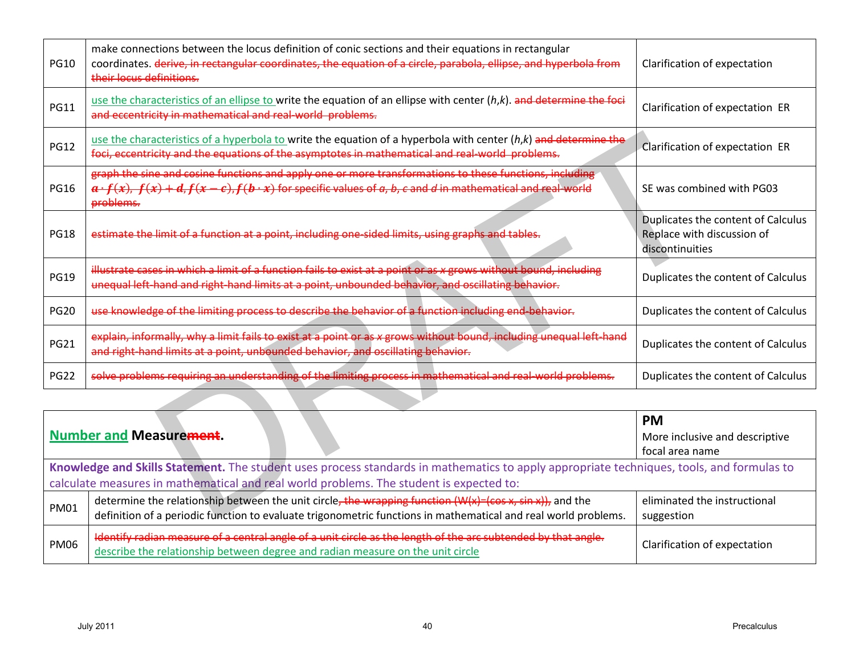| <b>PG10</b>                                                                                                                               | make connections between the locus definition of conic sections and their equations in rectangular<br>coordinates. derive, in rectangular coordinates, the equation of a circle, parabola, ellipse, and hyperbola from<br>their locus definitions.    | Clarification of expectation                                                        |
|-------------------------------------------------------------------------------------------------------------------------------------------|-------------------------------------------------------------------------------------------------------------------------------------------------------------------------------------------------------------------------------------------------------|-------------------------------------------------------------------------------------|
| <b>PG11</b>                                                                                                                               | use the characteristics of an ellipse to write the equation of an ellipse with center $(h,k)$ . and determine the foci<br>and eccentricity in mathematical and real-world problems.                                                                   | Clarification of expectation ER                                                     |
| <b>PG12</b>                                                                                                                               | use the characteristics of a hyperbola to write the equation of a hyperbola with center (h,k) and determine the<br>foci, eccentricity and the equations of the asymptotes in mathematical and real-world-problems.                                    | Clarification of expectation ER                                                     |
| <b>PG16</b>                                                                                                                               | graph the sine and cosine functions and apply one or more transformations to these functions, including<br>$a \cdot f(x)$ , $f(x) + d$ , $f(x - c)$ , $f(b \cdot x)$ for specific values of a, b, c and d in mathematical and real world<br>problems. | SE was combined with PG03                                                           |
| <b>PG18</b>                                                                                                                               | estimate the limit of a function at a point, including one-sided limits, using graphs and tables.                                                                                                                                                     | Duplicates the content of Calculus<br>Replace with discussion of<br>discontinuities |
| <b>PG19</b>                                                                                                                               | illustrate cases in which a limit of a function fails to exist at a point or as x grows without bound, including<br>unequal left-hand and right-hand limits at a point, unbounded behavior, and oscillating behavior.                                 | Duplicates the content of Calculus                                                  |
| <b>PG20</b>                                                                                                                               | use knowledge of the limiting process to describe the behavior of a function including end-behavior.                                                                                                                                                  | Duplicates the content of Calculus                                                  |
| <b>PG21</b>                                                                                                                               | explain, informally, why a limit fails to exist at a point or as x grows without bound, including unequal left-hand<br>and right-hand limits at a point, unbounded behavior, and oscillating behavior.                                                | Duplicates the content of Calculus                                                  |
| <b>PG22</b>                                                                                                                               | solve problems requiring an understanding of the limiting process in mathematical and real-world problems.                                                                                                                                            | Duplicates the content of Calculus                                                  |
|                                                                                                                                           |                                                                                                                                                                                                                                                       |                                                                                     |
|                                                                                                                                           |                                                                                                                                                                                                                                                       | <b>PM</b>                                                                           |
|                                                                                                                                           | <b>Number and Measurement.</b>                                                                                                                                                                                                                        | More inclusive and descriptive<br>focal area name                                   |
| Knowledge and Skills Statement. The student uses process standards in mathematics to apply appropriate techniques, tools, and formulas to |                                                                                                                                                                                                                                                       |                                                                                     |
|                                                                                                                                           | calculate measures in mathematical and real world problems. The student is expected to:                                                                                                                                                               |                                                                                     |
| <b>PM01</b>                                                                                                                               | determine the relationship between the unit circle, the wrapping function (W(x)=(cos x, sin x)), and the<br>definition of a periodic function to evaluate trigonometric functions in mathematical and real world problems.                            | eliminated the instructional<br>suggestion                                          |
| <b>PM06</b>                                                                                                                               | Identify radian measure of a central angle of a unit circle as the length of the arc subtended by that angle.<br>describe the relationship between degree and radian measure on the unit circle                                                       | Clarification of expectation                                                        |
|                                                                                                                                           |                                                                                                                                                                                                                                                       |                                                                                     |
|                                                                                                                                           | <b>July 2011</b><br>40                                                                                                                                                                                                                                | Precalculus                                                                         |

|                                                                                                                                                                                                                                      |                                                                                                                                                                                                                                 | <b>PM</b>                                  |
|--------------------------------------------------------------------------------------------------------------------------------------------------------------------------------------------------------------------------------------|---------------------------------------------------------------------------------------------------------------------------------------------------------------------------------------------------------------------------------|--------------------------------------------|
|                                                                                                                                                                                                                                      | Number and Measurement.                                                                                                                                                                                                         | More inclusive and descriptive             |
|                                                                                                                                                                                                                                      |                                                                                                                                                                                                                                 | focal area name                            |
| Knowledge and Skills Statement. The student uses process standards in mathematics to apply appropriate techniques, tools, and formulas to<br>calculate measures in mathematical and real world problems. The student is expected to: |                                                                                                                                                                                                                                 |                                            |
| <b>PM01</b>                                                                                                                                                                                                                          | determine the relationship between the unit circle, the wrapping function $(W(x) = (cos x, sin x))$ , and the<br>definition of a periodic function to evaluate trigonometric functions in mathematical and real world problems. | eliminated the instructional<br>suggestion |
| <b>PM06</b>                                                                                                                                                                                                                          | Identify radian measure of a central angle of a unit circle as the length of the arc subtended by that angle.<br>describe the relationship between degree and radian measure on the unit circle                                 | Clarification of expectation               |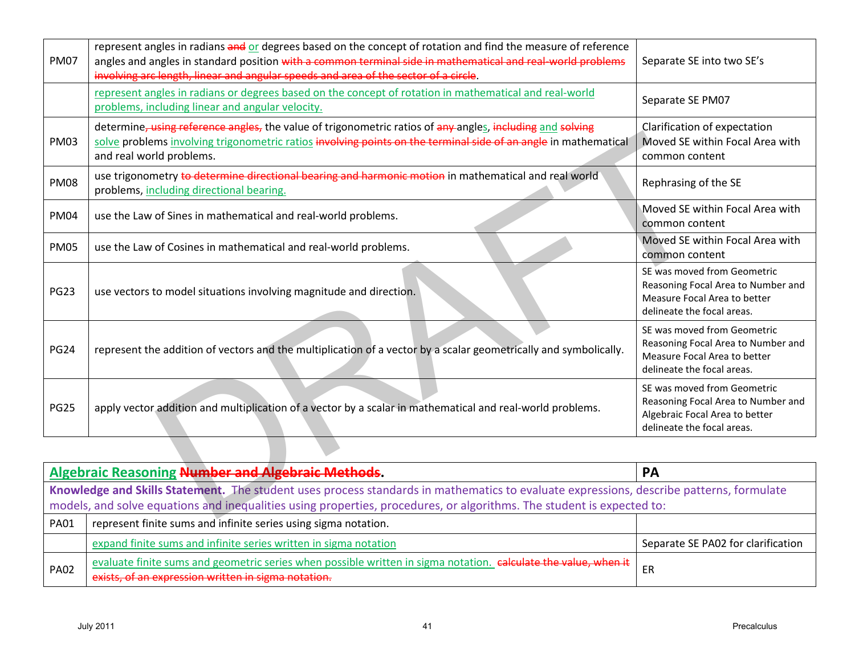| <b>PM07</b>                                                                                                                                                                                                                                                      | represent angles in radians and or degrees based on the concept of rotation and find the measure of reference<br>angles and angles in standard position with a common terminal side in mathematical and real-world problems<br>involving arc length, linear and angular speeds and area of the sector of a circle. | Separate SE into two SE's                                                                                                         |
|------------------------------------------------------------------------------------------------------------------------------------------------------------------------------------------------------------------------------------------------------------------|--------------------------------------------------------------------------------------------------------------------------------------------------------------------------------------------------------------------------------------------------------------------------------------------------------------------|-----------------------------------------------------------------------------------------------------------------------------------|
|                                                                                                                                                                                                                                                                  | represent angles in radians or degrees based on the concept of rotation in mathematical and real-world<br>problems, including linear and angular velocity.                                                                                                                                                         | Separate SE PM07                                                                                                                  |
| <b>PM03</b>                                                                                                                                                                                                                                                      | determine, using reference angles, the value of trigonometric ratios of any angles, including and solving<br>solve problems involving trigonometric ratios involving points on the terminal side of an angle in mathematical<br>and real world problems.                                                           | Clarification of expectation<br>Moved SE within Focal Area with<br>common content                                                 |
| <b>PM08</b>                                                                                                                                                                                                                                                      | use trigonometry to determine directional bearing and harmonic motion in mathematical and real world<br>problems, including directional bearing.                                                                                                                                                                   | Rephrasing of the SE                                                                                                              |
| <b>PM04</b>                                                                                                                                                                                                                                                      | use the Law of Sines in mathematical and real-world problems.                                                                                                                                                                                                                                                      | Moved SE within Focal Area with<br>common content                                                                                 |
| <b>PM05</b>                                                                                                                                                                                                                                                      | use the Law of Cosines in mathematical and real-world problems.                                                                                                                                                                                                                                                    | Moved SE within Focal Area with<br>common content                                                                                 |
| <b>PG23</b>                                                                                                                                                                                                                                                      | use vectors to model situations involving magnitude and direction.                                                                                                                                                                                                                                                 | SE was moved from Geometric<br>Reasoning Focal Area to Number and<br>Measure Focal Area to better<br>delineate the focal areas.   |
| <b>PG24</b>                                                                                                                                                                                                                                                      | represent the addition of vectors and the multiplication of a vector by a scalar geometrically and symbolically.                                                                                                                                                                                                   | SE was moved from Geometric<br>Reasoning Focal Area to Number and<br>Measure Focal Area to better<br>delineate the focal areas.   |
| <b>PG25</b>                                                                                                                                                                                                                                                      | apply vector addition and multiplication of a vector by a scalar in mathematical and real-world problems.                                                                                                                                                                                                          | SE was moved from Geometric<br>Reasoning Focal Area to Number and<br>Algebraic Focal Area to better<br>delineate the focal areas. |
|                                                                                                                                                                                                                                                                  |                                                                                                                                                                                                                                                                                                                    |                                                                                                                                   |
|                                                                                                                                                                                                                                                                  | <b>Algebraic Reasoning Number and Algebraic Methods.</b>                                                                                                                                                                                                                                                           | PA                                                                                                                                |
| Knowledge and Skills Statement. The student uses process standards in mathematics to evaluate expressions, describe patterns, formulate<br>models, and solve equations and inequalities using properties, procedures, or algorithms. The student is expected to: |                                                                                                                                                                                                                                                                                                                    |                                                                                                                                   |
| PA01                                                                                                                                                                                                                                                             | represent finite sums and infinite series using sigma notation.                                                                                                                                                                                                                                                    |                                                                                                                                   |
|                                                                                                                                                                                                                                                                  | expand finite sums and infinite series written in sigma notation                                                                                                                                                                                                                                                   | Separate SE PA02 for clarification                                                                                                |
| <b>PA02</b>                                                                                                                                                                                                                                                      | evaluate finite sums and geometric series when possible written in sigma notation. calculate the value, when it<br>exists, of an expression written in sigma notation.                                                                                                                                             | ER                                                                                                                                |
|                                                                                                                                                                                                                                                                  | <b>July 2011</b><br>41                                                                                                                                                                                                                                                                                             | Precalculus                                                                                                                       |

| <b>Algebraic Reasoning Number and Algebraic Methods.</b> |                                                                                                                                                                        | <b>PA</b>                          |  |
|----------------------------------------------------------|------------------------------------------------------------------------------------------------------------------------------------------------------------------------|------------------------------------|--|
|                                                          | Knowledge and Skills Statement. The student uses process standards in mathematics to evaluate expressions, describe patterns, formulate                                |                                    |  |
|                                                          | models, and solve equations and inequalities using properties, procedures, or algorithms. The student is expected to:                                                  |                                    |  |
| <b>PA01</b>                                              | represent finite sums and infinite series using sigma notation.                                                                                                        |                                    |  |
|                                                          | expand finite sums and infinite series written in sigma notation                                                                                                       | Separate SE PA02 for clarification |  |
| <b>PA02</b>                                              | evaluate finite sums and geometric series when possible written in sigma notation. calculate the value, when it<br>exists, of an expression written in sigma notation. | ER                                 |  |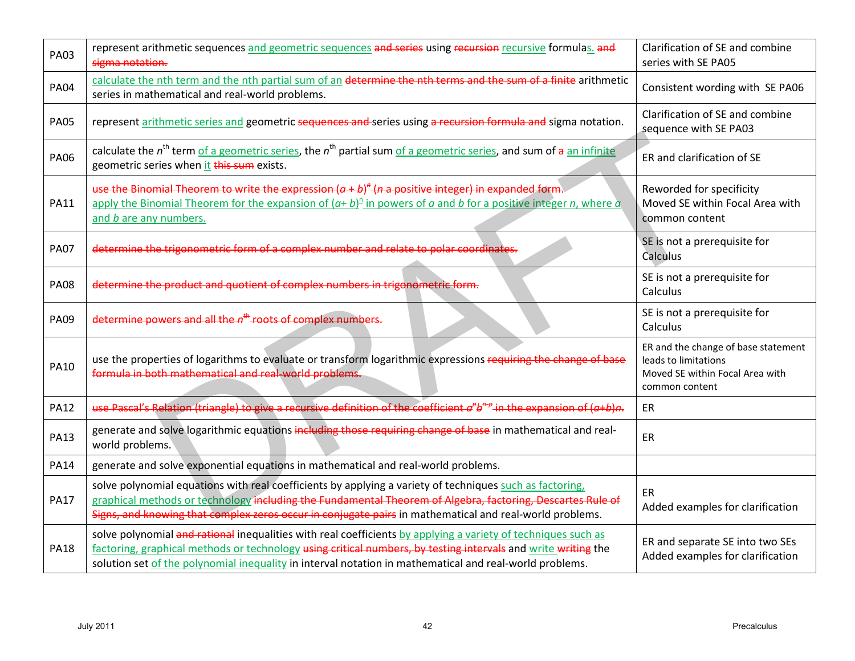| <b>PA03</b> | represent arithmetic sequences and geometric sequences and series using recursion recursive formulas. and<br>sigma notation.                                                                                                                                                                                                              | Clarification of SE and combine<br>series with SE PA05                                                           |
|-------------|-------------------------------------------------------------------------------------------------------------------------------------------------------------------------------------------------------------------------------------------------------------------------------------------------------------------------------------------|------------------------------------------------------------------------------------------------------------------|
| <b>PA04</b> | calculate the nth term and the nth partial sum of an determine the nth terms and the sum of a finite arithmetic<br>series in mathematical and real-world problems.                                                                                                                                                                        | Consistent wording with SE PA06                                                                                  |
| <b>PA05</b> | represent arithmetic series and geometric sequences and series using a recursion formula and sigma notation.                                                                                                                                                                                                                              | Clarification of SE and combine<br>sequence with SE PA03                                                         |
| <b>PA06</b> | calculate the $n^{th}$ term of a geometric series, the $n^{th}$ partial sum of a geometric series, and sum of $a$ an infinite<br>geometric series when it this sum exists.                                                                                                                                                                | ER and clarification of SE                                                                                       |
| <b>PA11</b> | use the Binomial Theorem to write the expression $(a + b)^n$ ( <i>n</i> a positive integer) in expanded form.<br>apply the Binomial Theorem for the expansion of $(a + b)^n$ in powers of a and b for a positive integer n, where a<br>and <i>b</i> are any numbers.                                                                      | Reworded for specificity<br>Moved SE within Focal Area with<br>common content                                    |
| <b>PA07</b> | determine the trigonometric form of a complex number and relate to polar coordinates.                                                                                                                                                                                                                                                     | SE is not a prerequisite for<br>Calculus                                                                         |
| <b>PA08</b> | determine the product and quotient of complex numbers in trigonometric form.                                                                                                                                                                                                                                                              | SE is not a prerequisite for<br>Calculus                                                                         |
| <b>PA09</b> | determine powers and all the n <sup>th</sup> roots of complex numbers.                                                                                                                                                                                                                                                                    | SE is not a prerequisite for<br>Calculus                                                                         |
| <b>PA10</b> | use the properties of logarithms to evaluate or transform logarithmic expressions requiring the change of base<br>formula in both mathematical and real-world problems.                                                                                                                                                                   | ER and the change of base statement<br>leads to limitations<br>Moved SE within Focal Area with<br>common content |
| <b>PA12</b> | use Pascal's Relation (triangle) to give a recursive definition of the coefficient $a^{\rho}b^{n\rho}$ in the expansion of $(a+b)n$ .                                                                                                                                                                                                     | ER                                                                                                               |
| <b>PA13</b> | generate and solve logarithmic equations including those requiring change of base in mathematical and real-<br>world problems.                                                                                                                                                                                                            | ER                                                                                                               |
| <b>PA14</b> | generate and solve exponential equations in mathematical and real-world problems.                                                                                                                                                                                                                                                         |                                                                                                                  |
| <b>PA17</b> | solve polynomial equations with real coefficients by applying a variety of techniques such as factoring,<br>graphical methods or technology including the Fundamental Theorem of Algebra, factoring, Descartes Rule of<br>Signs, and knowing that complex zeros occur in conjugate pairs in mathematical and real-world problems.         | ER<br>Added examples for clarification                                                                           |
| <b>PA18</b> | solve polynomial and rational inequalities with real coefficients by applying a variety of techniques such as<br>factoring, graphical methods or technology using critical numbers, by testing intervals and write writing the<br>solution set of the polynomial inequality in interval notation in mathematical and real-world problems. | ER and separate SE into two SEs<br>Added examples for clarification                                              |
|             |                                                                                                                                                                                                                                                                                                                                           |                                                                                                                  |
|             | <b>July 2011</b><br>42                                                                                                                                                                                                                                                                                                                    | Precalculus                                                                                                      |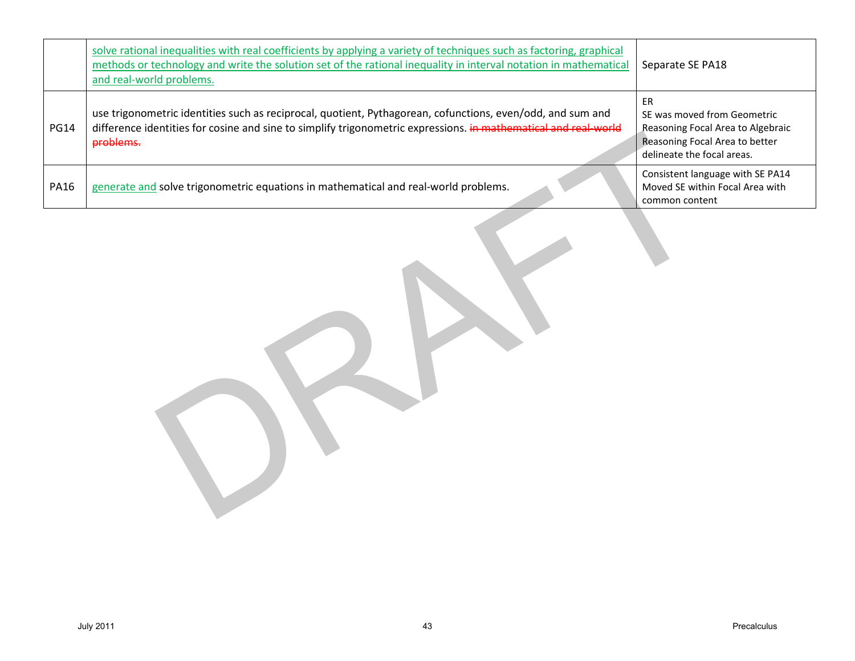|             | solve rational inequalities with real coefficients by applying a variety of techniques such as factoring, graphical<br>methods or technology and write the solution set of the rational inequality in interval notation in mathematical<br>and real-world problems. | Separate SE PA18                                                                                                                       |
|-------------|---------------------------------------------------------------------------------------------------------------------------------------------------------------------------------------------------------------------------------------------------------------------|----------------------------------------------------------------------------------------------------------------------------------------|
| <b>PG14</b> | use trigonometric identities such as reciprocal, quotient, Pythagorean, cofunctions, even/odd, and sum and<br>difference identities for cosine and sine to simplify trigonometric expressions. in mathematical and real-world<br>problems.                          | ER<br>SE was moved from Geometric<br>Reasoning Focal Area to Algebraic<br>Reasoning Focal Area to better<br>delineate the focal areas. |
| <b>PA16</b> | generate and solve trigonometric equations in mathematical and real-world problems.                                                                                                                                                                                 | Consistent language with SE PA14<br>Moved SE within Focal Area with<br>common content                                                  |
|             |                                                                                                                                                                                                                                                                     |                                                                                                                                        |
|             | <b>July 2011</b><br>43                                                                                                                                                                                                                                              | Precalculus                                                                                                                            |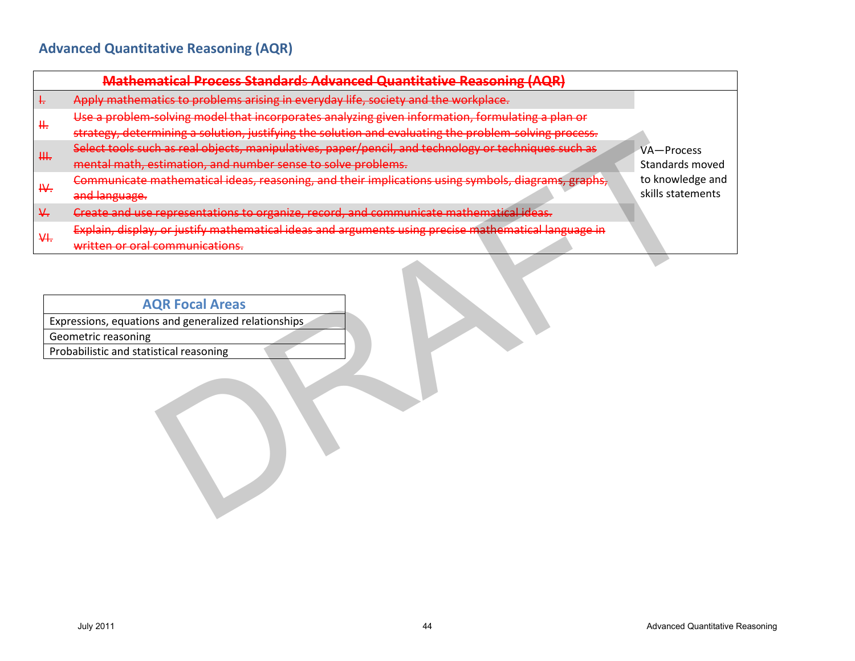|    | Mathematical Process Standards Advanced Quantitative Reasoning (AQR)                                                   |
|----|------------------------------------------------------------------------------------------------------------------------|
| ŧ, | Apply mathematics to problems arising in everyday life, society and the workplace.                                     |
|    | Use a problem solving model that incorporates analyzing given information, formulating a plan or                       |
| ₩. | strategy, determining a solution, justifying the solution and evaluating the problem-solving process.                  |
| ₩. | Select tools such as real objects, manipulatives, paper/pencil, and technology or techniques such as<br>VA-Process     |
|    | mental math, estimation, and number sense to solve problems.<br>Standards moved                                        |
| H. | Communicate mathematical ideas, reasoning, and their implications using symbols, diagrams, graphs,<br>to knowledge and |
|    | skills statements<br>and language.                                                                                     |
| ₩. | Create and use representations to organize, record, and communicate mathematical ideas.                                |
|    | Explain, display, or justify mathematical ideas and arguments using precise mathematical language in                   |
| ₩. | written or oral communications.                                                                                        |
|    | Expressions, equations and generalized relationships<br>Geometric reasoning<br>Probabilistic and statistical reasoning |
|    | <b>July 2011</b><br><b>Advanced Quantitative Reasoning</b><br>44                                                       |

### **AQR Focal Areas**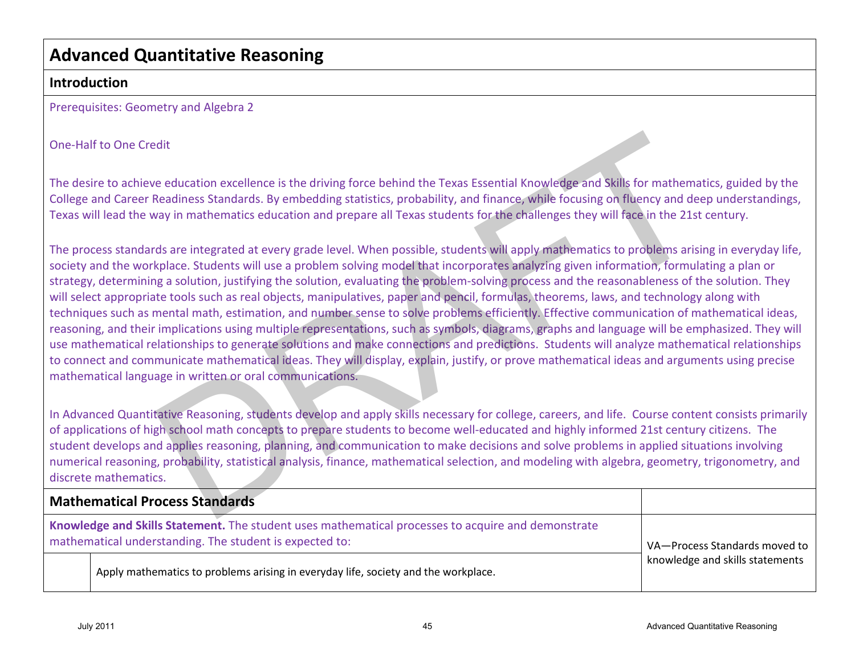# **Advanced Quantitative Reasoning**

### **Introduction**

Prerequisites: Geometry and Algebra 2

#### One-Half to One Credit

The desire to achieve education excellence is the driving force behind the Texas Essential Knowledge and Skills for mathematics, guided by the College and Career Readiness Standards. By embedding statistics, probability, and finance, while focusing on fluency and deep understandings, Texas will lead the way in mathematics education and prepare all Texas students for the challenges they will face in the 21st century.

The process standards are integrated at every grade level. When possible, students will apply mathematics to problems arising in everyday life, society and the workplace. Students will use a problem solving model that incorporates analyzing given information, formulating a plan or strategy, determining a solution, justifying the solution, evaluating the problem-solving process and the reasonableness of the solution. They will select appropriate tools such as real objects, manipulatives, paper and pencil, formulas, theorems, laws, and technology along with techniques such as mental math, estimation, and number sense to solve problems efficiently. Effective communication of mathematical ideas, reasoning, and their implications using multiple representations, such as symbols, diagrams, graphs and language will be emphasized. They will use mathematical relationships to generate solutions and make connections and predictions. Students will analyze mathematical relationships to connect and communicate mathematical ideas. They will display, explain, justify, or prove mathematical ideas and arguments using precise mathematical language in written or oral communications. Half to One Credit<br>esire to achieve education excellence is the driving force behind the Texas Essential Knowledge and Siels for mathematics, guided by<br>esire to achieve education casts and sympled distributions, probabilit

In Advanced Quantitative Reasoning, students develop and apply skills necessary for college, careers, and life. Course content consists primarily of applications of high school math concepts to prepare students to become well-educated and highly informed 21st century citizens. The student develops and applies reasoning, planning, and communication to make decisions and solve problems in applied situations involving numerical reasoning, probability, statistical analysis, finance, mathematical selection, and modeling with algebra, geometry, trigonometry, and discrete mathematics.

| <b>Mathematical Process Standards</b>                                                                                                                         |                                 |  |
|---------------------------------------------------------------------------------------------------------------------------------------------------------------|---------------------------------|--|
| Knowledge and Skills Statement. The student uses mathematical processes to acquire and demonstrate<br>mathematical understanding. The student is expected to: | VA-Process Standards moved to   |  |
| Apply mathematics to problems arising in everyday life, society and the workplace.                                                                            | knowledge and skills statements |  |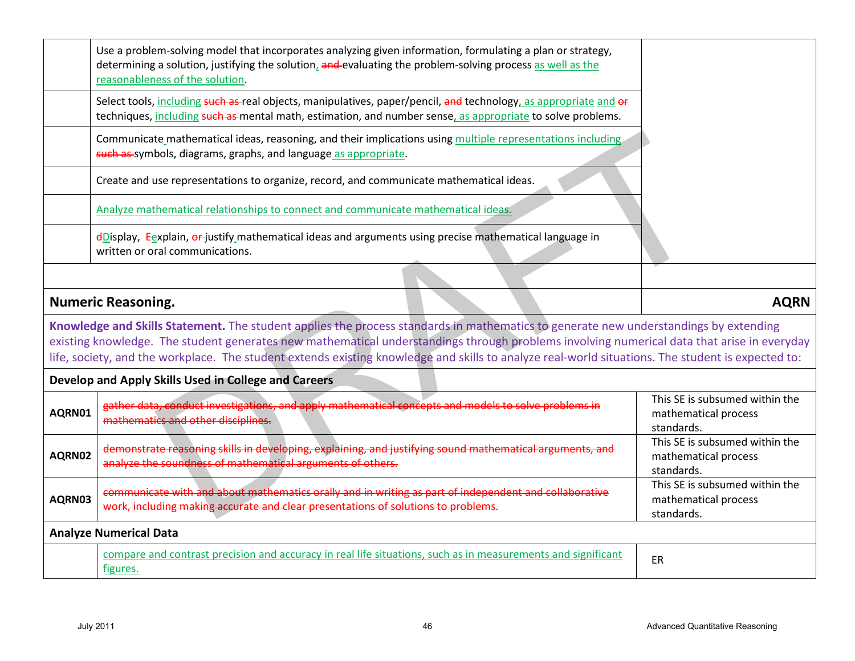|        | Use a problem-solving model that incorporates analyzing given information, formulating a plan or strategy,<br>determining a solution, justifying the solution, and evaluating the problem-solving process as well as the<br>reasonableness of the solution.                                                                                                                                                                             |                                                                      |
|--------|-----------------------------------------------------------------------------------------------------------------------------------------------------------------------------------------------------------------------------------------------------------------------------------------------------------------------------------------------------------------------------------------------------------------------------------------|----------------------------------------------------------------------|
|        | Select tools, including such as-real objects, manipulatives, paper/pencil, and technology, as appropriate and or<br>techniques, including such as mental math, estimation, and number sense, as appropriate to solve problems.                                                                                                                                                                                                          |                                                                      |
|        | Communicate mathematical ideas, reasoning, and their implications using multiple representations including<br>such as symbols, diagrams, graphs, and language as appropriate.                                                                                                                                                                                                                                                           |                                                                      |
|        | Create and use representations to organize, record, and communicate mathematical ideas.                                                                                                                                                                                                                                                                                                                                                 |                                                                      |
|        | Analyze mathematical relationships to connect and communicate mathematical ideas.                                                                                                                                                                                                                                                                                                                                                       |                                                                      |
|        | $\frac{1}{2}$ Display, Eexplain, or justify mathematical ideas and arguments using precise mathematical language in<br>written or oral communications.                                                                                                                                                                                                                                                                                  |                                                                      |
|        |                                                                                                                                                                                                                                                                                                                                                                                                                                         |                                                                      |
|        | <b>Numeric Reasoning.</b>                                                                                                                                                                                                                                                                                                                                                                                                               | <b>AQRN</b>                                                          |
|        | Knowledge and Skills Statement. The student applies the process standards in mathematics to generate new understandings by extending<br>existing knowledge. The student generates new mathematical understandings through problems involving numerical data that arise in everyday<br>life, society, and the workplace. The student extends existing knowledge and skills to analyze real-world situations. The student is expected to: |                                                                      |
|        | Develop and Apply Skills Used in College and Careers                                                                                                                                                                                                                                                                                                                                                                                    |                                                                      |
| AQRN01 | gather data, conduct investigations, and apply mathematical concepts and models to solve problems in<br>mathematics and other disciplines.                                                                                                                                                                                                                                                                                              | This SE is subsumed within the<br>mathematical process<br>standards. |
| AQRN02 | demonstrate reasoning skills in developing, explaining, and justifying sound mathematical arguments, and<br>analyze the soundness of mathematical arguments of others.                                                                                                                                                                                                                                                                  | This SE is subsumed within the<br>mathematical process<br>standards. |
| AQRN03 | communicate with and about mathematics orally and in writing as part of independent and collaborative<br>work, including making accurate and clear presentations of solutions to problems.                                                                                                                                                                                                                                              | This SE is subsumed within the<br>mathematical process<br>standards. |
|        | <b>Analyze Numerical Data</b>                                                                                                                                                                                                                                                                                                                                                                                                           |                                                                      |
|        | compare and contrast precision and accuracy in real life situations, such as in measurements and significant<br>figures.                                                                                                                                                                                                                                                                                                                | ER                                                                   |
|        |                                                                                                                                                                                                                                                                                                                                                                                                                                         |                                                                      |
|        | <b>July 2011</b><br>46                                                                                                                                                                                                                                                                                                                                                                                                                  | <b>Advanced Quantitative Reasoning</b>                               |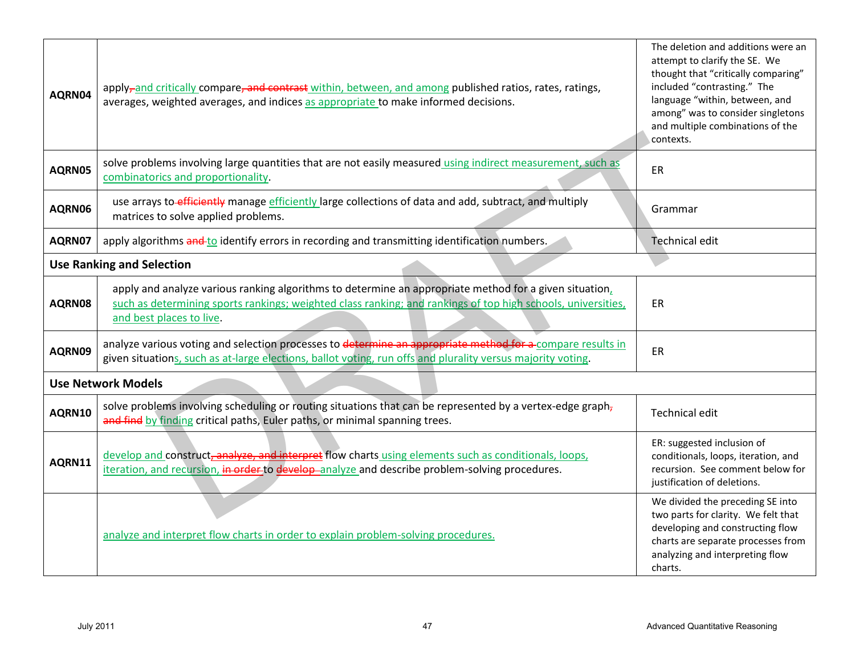| AQRN04           | apply-and critically compare, and contrast within, between, and among published ratios, rates, ratings,<br>averages, weighted averages, and indices as appropriate to make informed decisions.                                                     | The deletion and additions were an<br>attempt to clarify the SE. We<br>thought that "critically comparing"<br>included "contrasting." The<br>language "within, between, and<br>among" was to consider singletons<br>and multiple combinations of the<br>contexts. |
|------------------|----------------------------------------------------------------------------------------------------------------------------------------------------------------------------------------------------------------------------------------------------|-------------------------------------------------------------------------------------------------------------------------------------------------------------------------------------------------------------------------------------------------------------------|
| AQRN05           | solve problems involving large quantities that are not easily measured using indirect measurement, such as<br>combinatorics and proportionality.                                                                                                   | ER                                                                                                                                                                                                                                                                |
| AQRN06           | use arrays to-efficiently manage efficiently large collections of data and add, subtract, and multiply<br>matrices to solve applied problems.                                                                                                      | Grammar                                                                                                                                                                                                                                                           |
| AQRN07           | apply algorithms and to identify errors in recording and transmitting identification numbers.                                                                                                                                                      | <b>Technical edit</b>                                                                                                                                                                                                                                             |
|                  | <b>Use Ranking and Selection</b>                                                                                                                                                                                                                   |                                                                                                                                                                                                                                                                   |
| AQRN08           | apply and analyze various ranking algorithms to determine an appropriate method for a given situation,<br>such as determining sports rankings; weighted class ranking; and rankings of top high schools, universities,<br>and best places to live. | ER                                                                                                                                                                                                                                                                |
| AQRN09           | analyze various voting and selection processes to determine an appropriate method for a compare results in<br>given situations, such as at-large elections, ballot voting, run offs and plurality versus majority voting.                          | ER                                                                                                                                                                                                                                                                |
|                  | <b>Use Network Models</b>                                                                                                                                                                                                                          |                                                                                                                                                                                                                                                                   |
| AQRN10           | solve problems involving scheduling or routing situations that can be represented by a vertex-edge graph,<br>and find by finding critical paths, Euler paths, or minimal spanning trees.                                                           | <b>Technical edit</b>                                                                                                                                                                                                                                             |
| AQRN11           | develop and construct, analyze, and interpret flow charts using elements such as conditionals, loops,<br>iteration, and recursion, in order to develop-analyze and describe problem-solving procedures.                                            | ER: suggested inclusion of<br>conditionals, loops, iteration, and<br>recursion. See comment below for<br>justification of deletions.                                                                                                                              |
|                  | analyze and interpret flow charts in order to explain problem-solving procedures.                                                                                                                                                                  | We divided the preceding SE into<br>two parts for clarity. We felt that<br>developing and constructing flow<br>charts are separate processes from<br>analyzing and interpreting flow<br>charts.                                                                   |
| <b>July 2011</b> | 47                                                                                                                                                                                                                                                 | <b>Advanced Quantitative Reasoning</b>                                                                                                                                                                                                                            |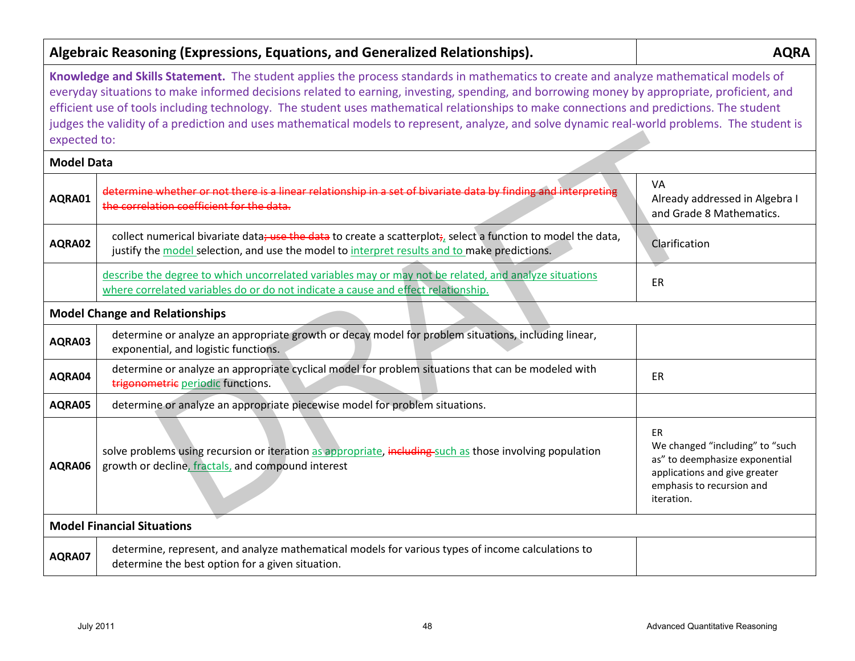|                                   | Algebraic Reasoning (Expressions, Equations, and Generalized Relationships).                                                                                                                                                                                                                                                                                                                                                                                                                                                                                                       | <b>AQRA</b>                                                                                                                                                |
|-----------------------------------|------------------------------------------------------------------------------------------------------------------------------------------------------------------------------------------------------------------------------------------------------------------------------------------------------------------------------------------------------------------------------------------------------------------------------------------------------------------------------------------------------------------------------------------------------------------------------------|------------------------------------------------------------------------------------------------------------------------------------------------------------|
| expected to:                      | Knowledge and Skills Statement. The student applies the process standards in mathematics to create and analyze mathematical models of<br>everyday situations to make informed decisions related to earning, investing, spending, and borrowing money by appropriate, proficient, and<br>efficient use of tools including technology. The student uses mathematical relationships to make connections and predictions. The student<br>judges the validity of a prediction and uses mathematical models to represent, analyze, and solve dynamic real-world problems. The student is |                                                                                                                                                            |
| <b>Model Data</b>                 |                                                                                                                                                                                                                                                                                                                                                                                                                                                                                                                                                                                    |                                                                                                                                                            |
| AQRA01                            | determine whether or not there is a linear relationship in a set of bivariate data by finding and interpreting<br>the correlation coefficient for the data.                                                                                                                                                                                                                                                                                                                                                                                                                        | VA<br>Already addressed in Algebra I<br>and Grade 8 Mathematics.                                                                                           |
| AQRA02                            | collect numerical bivariate data; use the data to create a scatterplot; select a function to model the data,<br>justify the model selection, and use the model to interpret results and to make predictions.                                                                                                                                                                                                                                                                                                                                                                       | Clarification                                                                                                                                              |
|                                   | describe the degree to which uncorrelated variables may or may not be related, and analyze situations<br>where correlated variables do or do not indicate a cause and effect relationship.                                                                                                                                                                                                                                                                                                                                                                                         | ER                                                                                                                                                         |
|                                   | <b>Model Change and Relationships</b>                                                                                                                                                                                                                                                                                                                                                                                                                                                                                                                                              |                                                                                                                                                            |
| AQRA03                            | determine or analyze an appropriate growth or decay model for problem situations, including linear,<br>exponential, and logistic functions.                                                                                                                                                                                                                                                                                                                                                                                                                                        |                                                                                                                                                            |
| AQRA04                            | determine or analyze an appropriate cyclical model for problem situations that can be modeled with<br>trigonometric periodic functions.                                                                                                                                                                                                                                                                                                                                                                                                                                            | ER                                                                                                                                                         |
| AQRA05                            | determine or analyze an appropriate piecewise model for problem situations.                                                                                                                                                                                                                                                                                                                                                                                                                                                                                                        |                                                                                                                                                            |
| AQRA06                            | solve problems using recursion or iteration as appropriate, including-such as those involving population<br>growth or decline, fractals, and compound interest                                                                                                                                                                                                                                                                                                                                                                                                                     | <b>ER</b><br>We changed "including" to "such<br>as" to deemphasize exponential<br>applications and give greater<br>emphasis to recursion and<br>iteration. |
| <b>Model Financial Situations</b> |                                                                                                                                                                                                                                                                                                                                                                                                                                                                                                                                                                                    |                                                                                                                                                            |
| AQRA07                            | determine, represent, and analyze mathematical models for various types of income calculations to<br>determine the best option for a given situation.                                                                                                                                                                                                                                                                                                                                                                                                                              |                                                                                                                                                            |
| <b>July 2011</b>                  | 48                                                                                                                                                                                                                                                                                                                                                                                                                                                                                                                                                                                 | Advanced Quantitative Reasoning                                                                                                                            |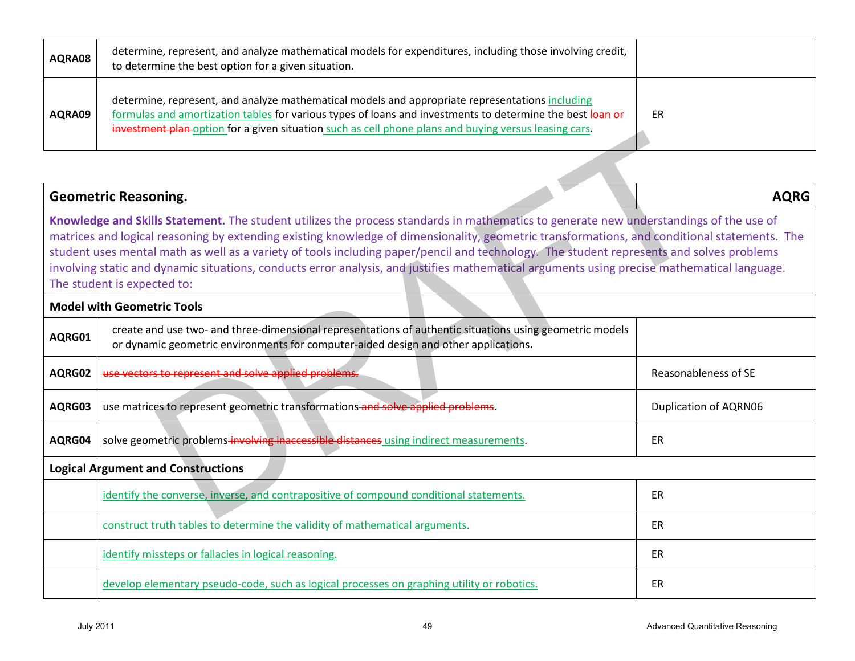| AQRA08 | determine, represent, and analyze mathematical models for expenditures, including those involving credit,<br>to determine the best option for a given situation.                                                                                                                                                      |           |
|--------|-----------------------------------------------------------------------------------------------------------------------------------------------------------------------------------------------------------------------------------------------------------------------------------------------------------------------|-----------|
| AQRA09 | determine, represent, and analyze mathematical models and appropriate representations including<br>formulas and amortization tables for various types of loans and investments to determine the best loan or<br>investment plan-option for a given situation such as cell phone plans and buying versus leasing cars. | <b>ER</b> |

|                  | <del>lestinent pian-</del> option for a given situation such as cell prione pians and buying versus leasing cars.                                                                                                                                                                                                                                                                                                                                                                                                                                                                                                |                                 |
|------------------|------------------------------------------------------------------------------------------------------------------------------------------------------------------------------------------------------------------------------------------------------------------------------------------------------------------------------------------------------------------------------------------------------------------------------------------------------------------------------------------------------------------------------------------------------------------------------------------------------------------|---------------------------------|
|                  |                                                                                                                                                                                                                                                                                                                                                                                                                                                                                                                                                                                                                  |                                 |
|                  | <b>Geometric Reasoning.</b>                                                                                                                                                                                                                                                                                                                                                                                                                                                                                                                                                                                      | <b>AQRG</b>                     |
|                  | Knowledge and Skills Statement. The student utilizes the process standards in mathematics to generate new understandings of the use of<br>matrices and logical reasoning by extending existing knowledge of dimensionality, geometric transformations, and conditional statements. The<br>student uses mental math as well as a variety of tools including paper/pencil and technology. The student represents and solves problems<br>involving static and dynamic situations, conducts error analysis, and justifies mathematical arguments using precise mathematical language.<br>The student is expected to: |                                 |
|                  | <b>Model with Geometric Tools</b>                                                                                                                                                                                                                                                                                                                                                                                                                                                                                                                                                                                |                                 |
| AQRG01           | create and use two- and three-dimensional representations of authentic situations using geometric models<br>or dynamic geometric environments for computer-aided design and other applications.                                                                                                                                                                                                                                                                                                                                                                                                                  |                                 |
| AQRG02           | use vectors to represent and solve applied problems.                                                                                                                                                                                                                                                                                                                                                                                                                                                                                                                                                             | Reasonableness of SE            |
| AQRG03           | use matrices to represent geometric transformations-and solve applied problems.                                                                                                                                                                                                                                                                                                                                                                                                                                                                                                                                  | <b>Duplication of AQRN06</b>    |
| AQRG04           | solve geometric problems-involving inaccessible distances using indirect measurements.                                                                                                                                                                                                                                                                                                                                                                                                                                                                                                                           | ER                              |
|                  | <b>Logical Argument and Constructions</b>                                                                                                                                                                                                                                                                                                                                                                                                                                                                                                                                                                        |                                 |
|                  | identify the converse, inverse, and contrapositive of compound conditional statements.                                                                                                                                                                                                                                                                                                                                                                                                                                                                                                                           | ER                              |
|                  | construct truth tables to determine the validity of mathematical arguments.                                                                                                                                                                                                                                                                                                                                                                                                                                                                                                                                      | ER                              |
|                  | identify missteps or fallacies in logical reasoning.                                                                                                                                                                                                                                                                                                                                                                                                                                                                                                                                                             | ER                              |
|                  | develop elementary pseudo-code, such as logical processes on graphing utility or robotics.                                                                                                                                                                                                                                                                                                                                                                                                                                                                                                                       | ER                              |
| <b>July 2011</b> | 49                                                                                                                                                                                                                                                                                                                                                                                                                                                                                                                                                                                                               | Advanced Quantitative Reasoning |

| identify the converse, inverse, and contrapositive of compound conditional statements.     | ЕR |
|--------------------------------------------------------------------------------------------|----|
| construct truth tables to determine the validity of mathematical arguments.                | ER |
| identify missteps or fallacies in logical reasoning.                                       | ER |
| develop elementary pseudo-code, such as logical processes on graphing utility or robotics. | ER |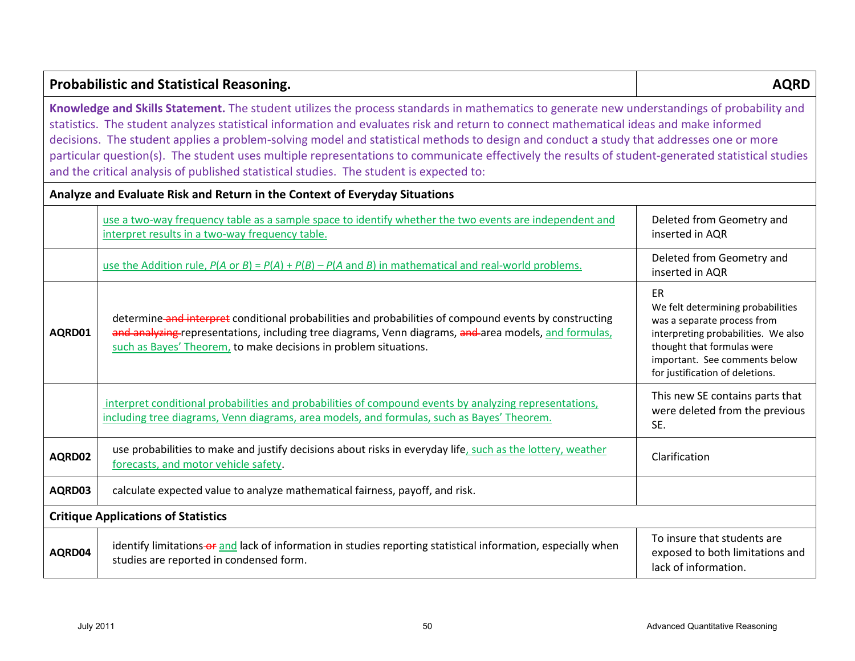|                                                                                                                                                                                                                                                                                                                                                                                                                                                                                                                                                                                                                                                                                  | <b>Probabilistic and Statistical Reasoning.</b>                                                                                                                                                                                                                                     | <b>AQRD</b>                                                                                                                                                                                                            |
|----------------------------------------------------------------------------------------------------------------------------------------------------------------------------------------------------------------------------------------------------------------------------------------------------------------------------------------------------------------------------------------------------------------------------------------------------------------------------------------------------------------------------------------------------------------------------------------------------------------------------------------------------------------------------------|-------------------------------------------------------------------------------------------------------------------------------------------------------------------------------------------------------------------------------------------------------------------------------------|------------------------------------------------------------------------------------------------------------------------------------------------------------------------------------------------------------------------|
| Knowledge and Skills Statement. The student utilizes the process standards in mathematics to generate new understandings of probability and<br>statistics. The student analyzes statistical information and evaluates risk and return to connect mathematical ideas and make informed<br>decisions. The student applies a problem-solving model and statistical methods to design and conduct a study that addresses one or more<br>particular question(s). The student uses multiple representations to communicate effectively the results of student-generated statistical studies<br>and the critical analysis of published statistical studies. The student is expected to: |                                                                                                                                                                                                                                                                                     |                                                                                                                                                                                                                        |
|                                                                                                                                                                                                                                                                                                                                                                                                                                                                                                                                                                                                                                                                                  | Analyze and Evaluate Risk and Return in the Context of Everyday Situations                                                                                                                                                                                                          |                                                                                                                                                                                                                        |
|                                                                                                                                                                                                                                                                                                                                                                                                                                                                                                                                                                                                                                                                                  | use a two-way frequency table as a sample space to identify whether the two events are independent and<br>interpret results in a two-way frequency table.                                                                                                                           | Deleted from Geometry and<br>inserted in AQR                                                                                                                                                                           |
|                                                                                                                                                                                                                                                                                                                                                                                                                                                                                                                                                                                                                                                                                  | use the Addition rule, $P(A \text{ or } B) = P(A) + P(B) - P(A \text{ and } B)$ in mathematical and real-world problems.                                                                                                                                                            | Deleted from Geometry and<br>inserted in AQR                                                                                                                                                                           |
| AQRD01                                                                                                                                                                                                                                                                                                                                                                                                                                                                                                                                                                                                                                                                           | determine and interpret conditional probabilities and probabilities of compound events by constructing<br>and analyzing representations, including tree diagrams, Venn diagrams, and area models, and formulas,<br>such as Bayes' Theorem, to make decisions in problem situations. | <b>ER</b><br>We felt determining probabilities<br>was a separate process from<br>interpreting probabilities. We also<br>thought that formulas were<br>important. See comments below<br>for justification of deletions. |
|                                                                                                                                                                                                                                                                                                                                                                                                                                                                                                                                                                                                                                                                                  | interpret conditional probabilities and probabilities of compound events by analyzing representations,<br>including tree diagrams, Venn diagrams, area models, and formulas, such as Bayes' Theorem.                                                                                | This new SE contains parts that<br>were deleted from the previous<br>SE.                                                                                                                                               |
| AQRD02                                                                                                                                                                                                                                                                                                                                                                                                                                                                                                                                                                                                                                                                           | use probabilities to make and justify decisions about risks in everyday life, such as the lottery, weather<br>forecasts, and motor vehicle safety.                                                                                                                                  | Clarification                                                                                                                                                                                                          |
| AQRD03                                                                                                                                                                                                                                                                                                                                                                                                                                                                                                                                                                                                                                                                           | calculate expected value to analyze mathematical fairness, payoff, and risk.                                                                                                                                                                                                        |                                                                                                                                                                                                                        |
| <b>Critique Applications of Statistics</b>                                                                                                                                                                                                                                                                                                                                                                                                                                                                                                                                                                                                                                       |                                                                                                                                                                                                                                                                                     |                                                                                                                                                                                                                        |
| AQRD04                                                                                                                                                                                                                                                                                                                                                                                                                                                                                                                                                                                                                                                                           | identify limitations-or and lack of information in studies reporting statistical information, especially when<br>studies are reported in condensed form.                                                                                                                            | To insure that students are<br>exposed to both limitations and<br>lack of information.                                                                                                                                 |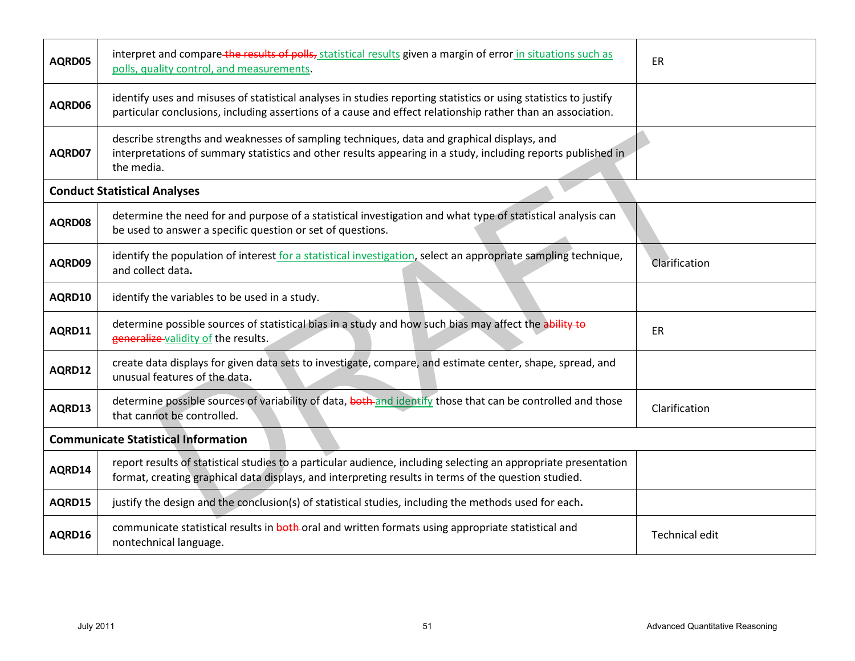| AQRD05                                     | interpret and compare the results of polls, statistical results given a margin of error in situations such as<br>polls, quality control, and measurements.                                                                      | ER                              |  |
|--------------------------------------------|---------------------------------------------------------------------------------------------------------------------------------------------------------------------------------------------------------------------------------|---------------------------------|--|
| AQRD06                                     | identify uses and misuses of statistical analyses in studies reporting statistics or using statistics to justify<br>particular conclusions, including assertions of a cause and effect relationship rather than an association. |                                 |  |
| AQRD07                                     | describe strengths and weaknesses of sampling techniques, data and graphical displays, and<br>interpretations of summary statistics and other results appearing in a study, including reports published in<br>the media.        |                                 |  |
|                                            | <b>Conduct Statistical Analyses</b>                                                                                                                                                                                             |                                 |  |
| AQRD08                                     | determine the need for and purpose of a statistical investigation and what type of statistical analysis can<br>be used to answer a specific question or set of questions.                                                       |                                 |  |
| AQRD09                                     | identify the population of interest for a statistical investigation, select an appropriate sampling technique,<br>and collect data.                                                                                             | Clarification                   |  |
| AQRD10                                     | identify the variables to be used in a study.                                                                                                                                                                                   |                                 |  |
| AQRD11                                     | determine possible sources of statistical bias in a study and how such bias may affect the ability to<br>generalize-validity of the results.                                                                                    | ER                              |  |
| AQRD12                                     | create data displays for given data sets to investigate, compare, and estimate center, shape, spread, and<br>unusual features of the data.                                                                                      |                                 |  |
| AQRD13                                     | determine possible sources of variability of data, both and identify those that can be controlled and those<br>that cannot be controlled.                                                                                       | Clarification                   |  |
| <b>Communicate Statistical Information</b> |                                                                                                                                                                                                                                 |                                 |  |
| AQRD14                                     | report results of statistical studies to a particular audience, including selecting an appropriate presentation<br>format, creating graphical data displays, and interpreting results in terms of the question studied.         |                                 |  |
| AQRD15                                     | justify the design and the conclusion(s) of statistical studies, including the methods used for each.                                                                                                                           |                                 |  |
| AQRD16                                     | communicate statistical results in both oral and written formats using appropriate statistical and<br>nontechnical language.                                                                                                    | Technical edit                  |  |
| <b>July 2011</b>                           | 51                                                                                                                                                                                                                              | Advanced Quantitative Reasoning |  |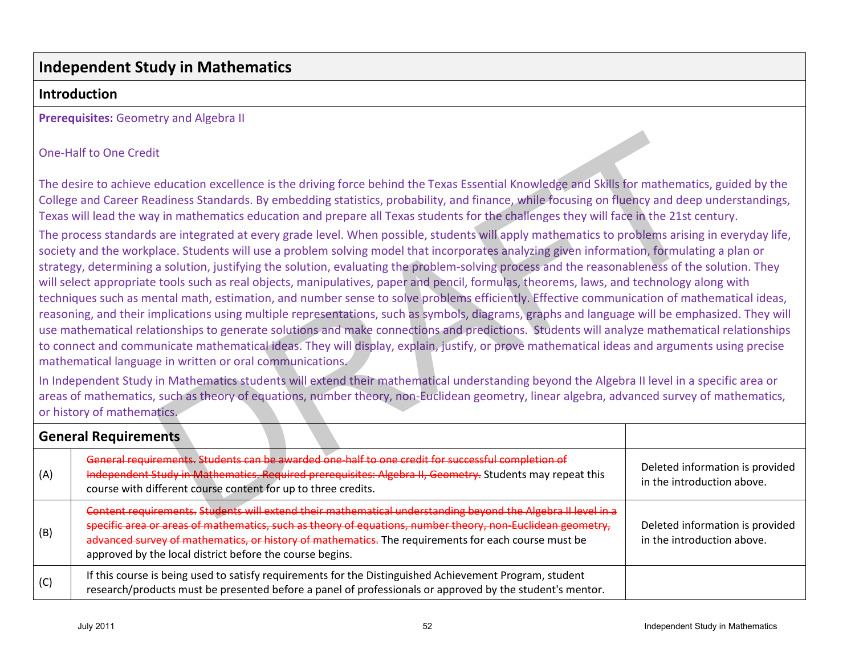## **Independent Study in Mathematics**

### **Introduction**

**Prerequisites:** Geometry and Algebra II

| <b>One-Half to One Credit</b>                                                                                                                                                                                                                                                                                                                                                                                                                                                                                                                                                                                                                                                                                                                                                                                                                                                                                                                                                                                                                                                                                                                                                                                                                                                                                                                                                                                                                                                                                                                                                                                                                                                                                                                                                                                                                                                                                                                                                                                               |                                                                                                                                                                                                                                                                                                                                                                                               |    |                                                               |
|-----------------------------------------------------------------------------------------------------------------------------------------------------------------------------------------------------------------------------------------------------------------------------------------------------------------------------------------------------------------------------------------------------------------------------------------------------------------------------------------------------------------------------------------------------------------------------------------------------------------------------------------------------------------------------------------------------------------------------------------------------------------------------------------------------------------------------------------------------------------------------------------------------------------------------------------------------------------------------------------------------------------------------------------------------------------------------------------------------------------------------------------------------------------------------------------------------------------------------------------------------------------------------------------------------------------------------------------------------------------------------------------------------------------------------------------------------------------------------------------------------------------------------------------------------------------------------------------------------------------------------------------------------------------------------------------------------------------------------------------------------------------------------------------------------------------------------------------------------------------------------------------------------------------------------------------------------------------------------------------------------------------------------|-----------------------------------------------------------------------------------------------------------------------------------------------------------------------------------------------------------------------------------------------------------------------------------------------------------------------------------------------------------------------------------------------|----|---------------------------------------------------------------|
| The desire to achieve education excellence is the driving force behind the Texas Essential Knowledge and Skills for mathematics, guided by the<br>College and Career Readiness Standards. By embedding statistics, probability, and finance, while focusing on fluency and deep understandings,<br>Texas will lead the way in mathematics education and prepare all Texas students for the challenges they will face in the 21st century.<br>The process standards are integrated at every grade level. When possible, students will apply mathematics to problems arising in everyday life,<br>society and the workplace. Students will use a problem solving model that incorporates analyzing given information, formulating a plan or<br>strategy, determining a solution, justifying the solution, evaluating the problem-solving process and the reasonableness of the solution. They<br>will select appropriate tools such as real objects, manipulatives, paper and pencil, formulas, theorems, laws, and technology along with<br>techniques such as mental math, estimation, and number sense to solve problems efficiently. Effective communication of mathematical ideas,<br>reasoning, and their implications using multiple representations, such as symbols, diagrams, graphs and language will be emphasized. They will<br>use mathematical relationships to generate solutions and make connections and predictions. Students will analyze mathematical relationships<br>to connect and communicate mathematical ideas. They will display, explain, justify, or prove mathematical ideas and arguments using precise<br>mathematical language in written or oral communications.<br>In Independent Study in Mathematics students will extend their mathematical understanding beyond the Algebra II level in a specific area or<br>areas of mathematics, such as theory of equations, number theory, non-Euclidean geometry, linear algebra, advanced survey of mathematics,<br>or history of mathematics. |                                                                                                                                                                                                                                                                                                                                                                                               |    |                                                               |
| <b>General Requirements</b>                                                                                                                                                                                                                                                                                                                                                                                                                                                                                                                                                                                                                                                                                                                                                                                                                                                                                                                                                                                                                                                                                                                                                                                                                                                                                                                                                                                                                                                                                                                                                                                                                                                                                                                                                                                                                                                                                                                                                                                                 |                                                                                                                                                                                                                                                                                                                                                                                               |    |                                                               |
| (A)                                                                                                                                                                                                                                                                                                                                                                                                                                                                                                                                                                                                                                                                                                                                                                                                                                                                                                                                                                                                                                                                                                                                                                                                                                                                                                                                                                                                                                                                                                                                                                                                                                                                                                                                                                                                                                                                                                                                                                                                                         | General requirements. Students can be awarded one-half to one credit for successful completion of<br>Independent Study in Mathematics. Required prerequisites: Algebra II, Geometry. Students may repeat this<br>course with different course content for up to three credits.                                                                                                                |    | Deleted information is provided<br>in the introduction above. |
| (B)                                                                                                                                                                                                                                                                                                                                                                                                                                                                                                                                                                                                                                                                                                                                                                                                                                                                                                                                                                                                                                                                                                                                                                                                                                                                                                                                                                                                                                                                                                                                                                                                                                                                                                                                                                                                                                                                                                                                                                                                                         | Content requirements. Students will extend their mathematical understanding beyond the Algebra II level in a<br>specific area or areas of mathematics, such as theory of equations, number theory, non-Euclidean geometry,<br>advanced survey of mathematics, or history of mathematics. The requirements for each course must be<br>approved by the local district before the course begins. |    | Deleted information is provided<br>in the introduction above. |
| (C)                                                                                                                                                                                                                                                                                                                                                                                                                                                                                                                                                                                                                                                                                                                                                                                                                                                                                                                                                                                                                                                                                                                                                                                                                                                                                                                                                                                                                                                                                                                                                                                                                                                                                                                                                                                                                                                                                                                                                                                                                         | If this course is being used to satisfy requirements for the Distinguished Achievement Program, student<br>research/products must be presented before a panel of professionals or approved by the student's mentor.                                                                                                                                                                           |    |                                                               |
|                                                                                                                                                                                                                                                                                                                                                                                                                                                                                                                                                                                                                                                                                                                                                                                                                                                                                                                                                                                                                                                                                                                                                                                                                                                                                                                                                                                                                                                                                                                                                                                                                                                                                                                                                                                                                                                                                                                                                                                                                             | <b>July 2011</b>                                                                                                                                                                                                                                                                                                                                                                              | 52 | Independent Study in Mathematics                              |